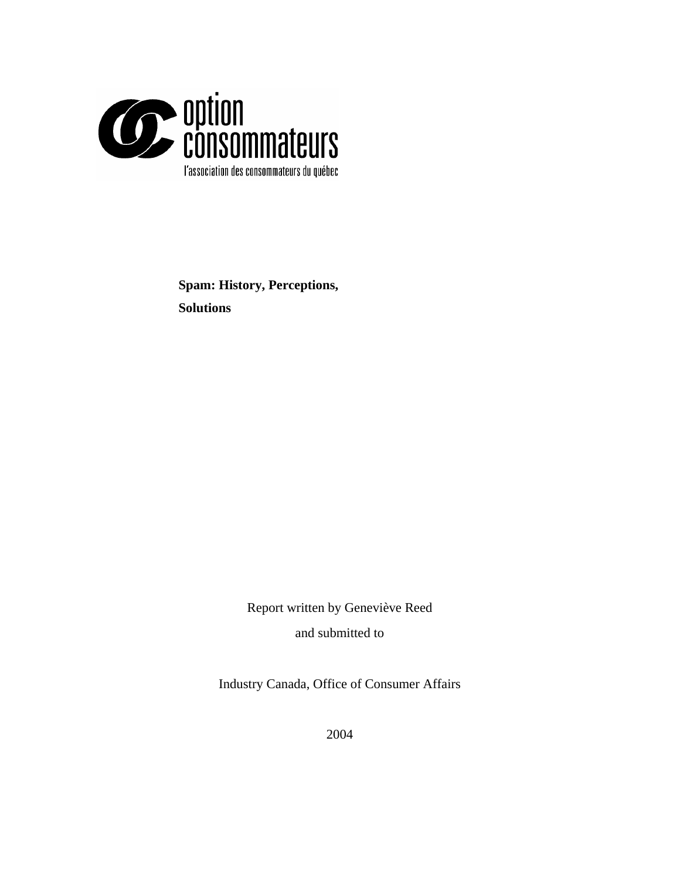

**Spam: History, Perceptions, Solutions** 

> Report written by Geneviève Reed and submitted to

Industry Canada, Office of Consumer Affairs

2004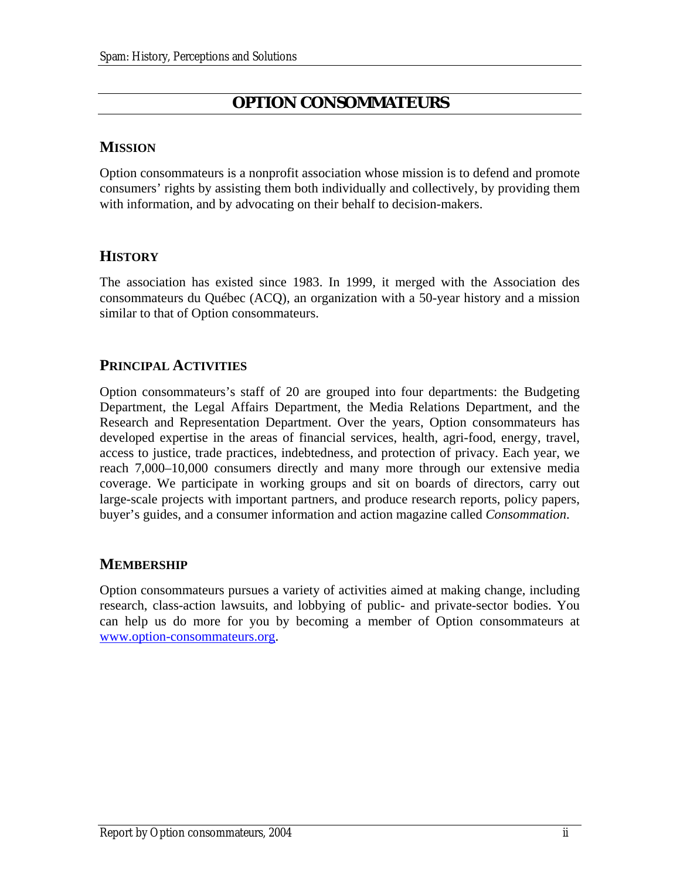## **OPTION CONSOMMATEURS**

## <span id="page-1-0"></span>**MISSION**

Option consommateurs is a nonprofit association whose mission is to defend and promote consumers' rights by assisting them both individually and collectively, by providing them with information, and by advocating on their behalf to decision-makers.

## **HISTORY**

The association has existed since 1983. In 1999, it merged with the Association des consommateurs du Québec (ACQ), an organization with a 50-year history and a mission similar to that of Option consommateurs.

## **PRINCIPAL ACTIVITIES**

Option consommateurs's staff of 20 are grouped into four departments: the Budgeting Department, the Legal Affairs Department, the Media Relations Department, and the Research and Representation Department. Over the years, Option consommateurs has developed expertise in the areas of financial services, health, agri-food, energy, travel, access to justice, trade practices, indebtedness, and protection of privacy. Each year, we reach 7,000–10,000 consumers directly and many more through our extensive media coverage. We participate in working groups and sit on boards of directors, carry out large-scale projects with important partners, and produce research reports, policy papers, buyer's guides, and a consumer information and action magazine called *Consommation*.

## **MEMBERSHIP**

Option consommateurs pursues a variety of activities aimed at making change, including research, class-action lawsuits, and lobbying of public- and private-sector bodies. You can help us do more for you by becoming a member of Option consommateurs at [www.option-consommateurs.org.](http://www.option-consommateurs.org/)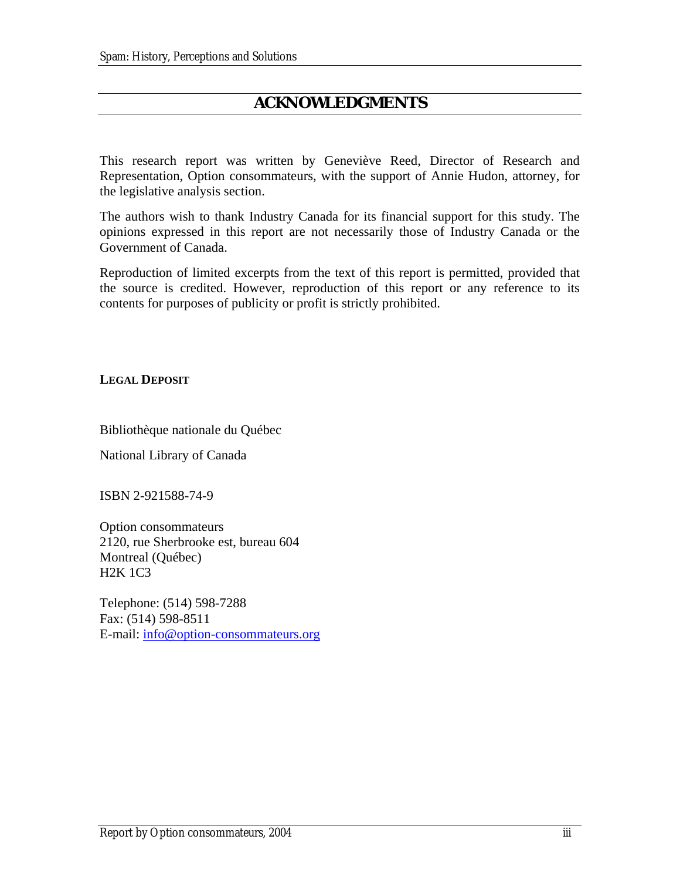## **ACKNOWLEDGMENTS**

<span id="page-2-0"></span>This research report was written by Geneviève Reed, Director of Research and Representation, Option consommateurs, with the support of Annie Hudon, attorney, for the legislative analysis section.

The authors wish to thank Industry Canada for its financial support for this study. The opinions expressed in this report are not necessarily those of Industry Canada or the Government of Canada.

Reproduction of limited excerpts from the text of this report is permitted, provided that the source is credited. However, reproduction of this report or any reference to its contents for purposes of publicity or profit is strictly prohibited.

**LEGAL DEPOSIT**

Bibliothèque nationale du Québec

National Library of Canada

ISBN 2-921588-74-9

Option consommateurs 2120, rue Sherbrooke est, bureau 604 Montreal (Québec) H2K 1C3

Telephone: (514) 598-7288 Fax: (514) 598-8511 E-mail: [info@option-consommateurs.org](mailto:info@option-consommateurs.org)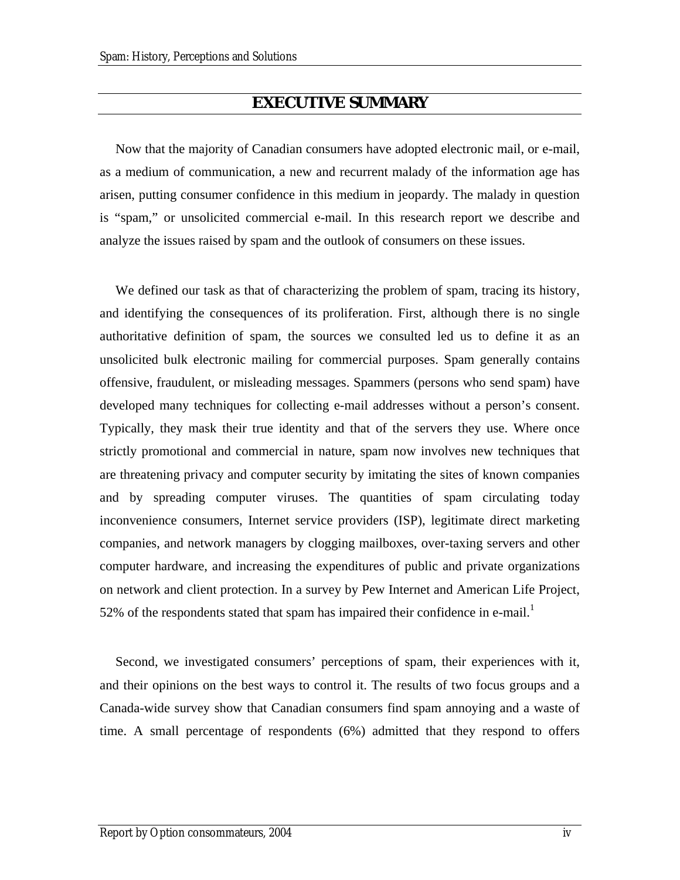## **EXECUTIVE SUMMARY**

<span id="page-3-1"></span>Now that the majority of Canadian consumers have adopted electronic mail, or e-mail, as a medium of communication, a new and recurrent malady of the information age has arisen, putting consumer confidence in this medium in jeopardy. The malady in question is "spam," or unsolicited commercial e-mail. In this research report we describe and analyze the issues raised by spam and the outlook of consumers on these issues.

We defined our task as that of characterizing the problem of spam, tracing its history, and identifying the consequences of its proliferation. First, although there is no single authoritative definition of spam, the sources we consulted led us to define it as an unsolicited bulk electronic mailing for commercial purposes. Spam generally contains offensive, fraudulent, or misleading messages. Spammers (persons who send spam) have developed many techniques for collecting e-mail addresses without a person's consent. Typically, they mask their true identity and that of the servers they use. Where once strictly promotional and commercial in nature, spam now involves new techniques that are threatening privacy and computer security by imitating the sites of known companies and by spreading computer viruses. The quantities of spam circulating today inconvenience consumers, Internet service providers (ISP), legitimate direct marketing companies, and network managers by clogging mailboxes, over-taxing servers and other computer hardware, and increasing the expenditures of public and private organizations on network and client protection. In a survey by Pew Internet and American Life Project, 52% of the respondents stated that spam has impaired their confidence in e-mail.<sup>[1](#page-3-0)</sup>

<span id="page-3-0"></span>Second, we investigated consumers' perceptions of spam, their experiences with it, and their opinions on the best ways to control it. The results of two focus groups and a Canada-wide survey show that Canadian consumers find spam annoying and a waste of time. A small percentage of respondents (6%) admitted that they respond to offers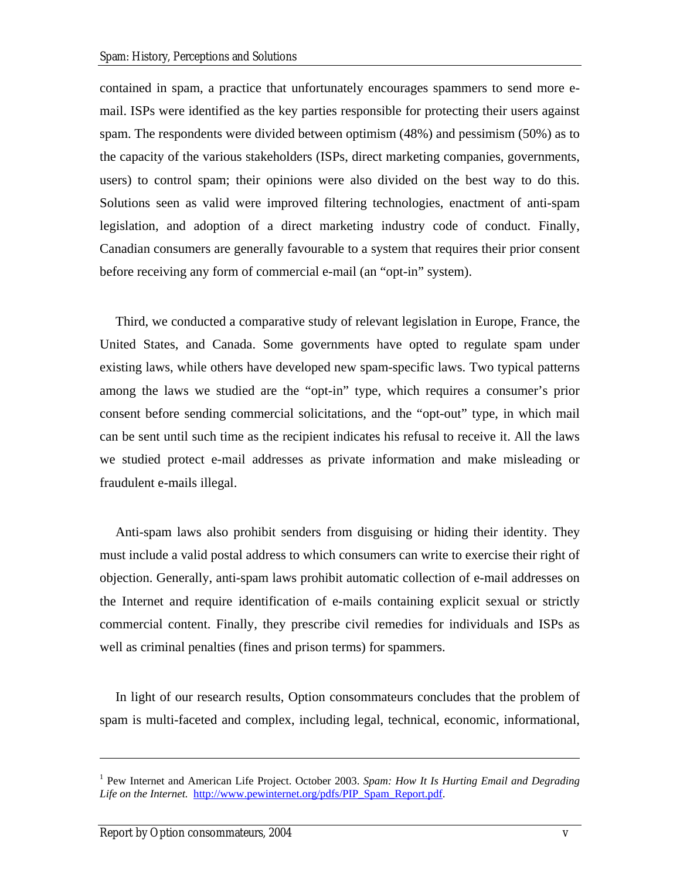contained in spam, a practice that unfortunately encourages spammers to send more email. ISPs were identified as the key parties responsible for protecting their users against spam. The respondents were divided between optimism (48%) and pessimism (50%) as to the capacity of the various stakeholders (ISPs, direct marketing companies, governments, users) to control spam; their opinions were also divided on the best way to do this. Solutions seen as valid were improved filtering technologies, enactment of anti-spam legislation, and adoption of a direct marketing industry code of conduct. Finally, Canadian consumers are generally favourable to a system that requires their prior consent before receiving any form of commercial e-mail (an "opt-in" system).

Third, we conducted a comparative study of relevant legislation in Europe, France, the United States, and Canada. Some governments have opted to regulate spam under existing laws, while others have developed new spam-specific laws. Two typical patterns among the laws we studied are the "opt-in" type, which requires a consumer's prior consent before sending commercial solicitations, and the "opt-out" type, in which mail can be sent until such time as the recipient indicates his refusal to receive it. All the laws we studied protect e-mail addresses as private information and make misleading or fraudulent e-mails illegal.

Anti-spam laws also prohibit senders from disguising or hiding their identity. They must include a valid postal address to which consumers can write to exercise their right of objection. Generally, anti-spam laws prohibit automatic collection of e-mail addresses on the Internet and require identification of e-mails containing explicit sexual or strictly commercial content. Finally, they prescribe civil remedies for individuals and ISPs as well as criminal penalties (fines and prison terms) for spammers.

In light of our research results, Option consommateurs concludes that the problem of spam is multi-faceted and complex, including legal, technical, economic, informational,

1

<sup>&</sup>lt;sup>1</sup> Pew Internet and American Life Project. October 2003. *Spam: How It Is Hurting Email and Degrading Life on the Internet.* [http://www.pewinternet.org/pdfs/PIP\\_Spam\\_Report.pdf.](http://www.pewinternet.org/pdfs/PIP_Spam_Report.pdf)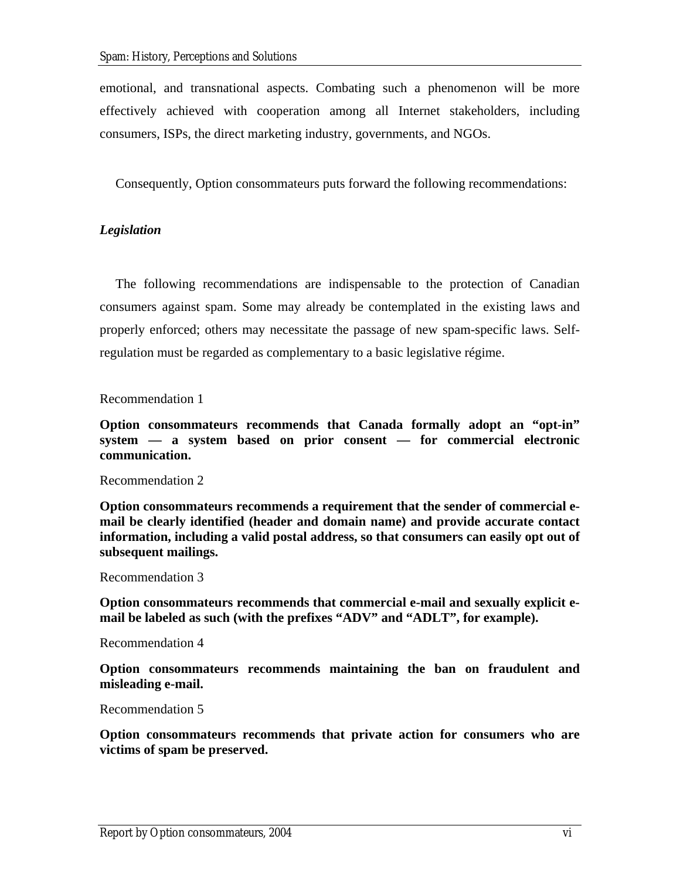emotional, and transnational aspects. Combating such a phenomenon will be more effectively achieved with cooperation among all Internet stakeholders, including consumers, ISPs, the direct marketing industry, governments, and NGOs.

Consequently, Option consommateurs puts forward the following recommendations:

### *Legislation*

The following recommendations are indispensable to the protection of Canadian consumers against spam. Some may already be contemplated in the existing laws and properly enforced; others may necessitate the passage of new spam-specific laws. Selfregulation must be regarded as complementary to a basic legislative régime.

#### Recommendation 1

**Option consommateurs recommends that Canada formally adopt an "opt-in" system — a system based on prior consent — for commercial electronic communication.** 

#### Recommendation 2

**Option consommateurs recommends a requirement that the sender of commercial email be clearly identified (header and domain name) and provide accurate contact information, including a valid postal address, so that consumers can easily opt out of subsequent mailings.** 

#### Recommendation 3

**Option consommateurs recommends that commercial e-mail and sexually explicit email be labeled as such (with the prefixes "ADV" and "ADLT", for example).** 

Recommendation 4

**Option consommateurs recommends maintaining the ban on fraudulent and misleading e-mail.** 

### Recommendation 5

**Option consommateurs recommends that private action for consumers who are victims of spam be preserved.**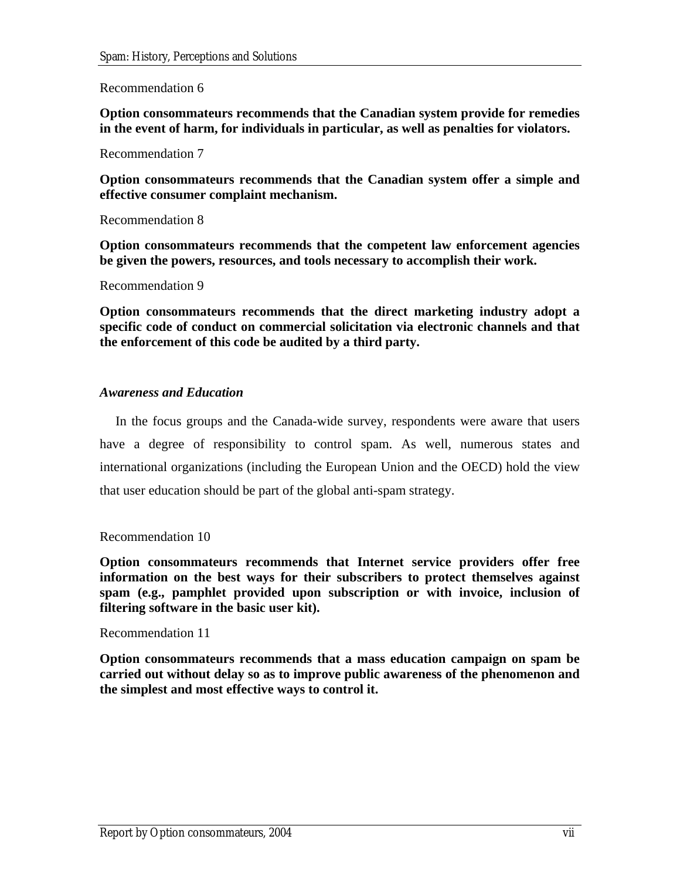### Recommendation 6

**Option consommateurs recommends that the Canadian system provide for remedies in the event of harm, for individuals in particular, as well as penalties for violators.** 

Recommendation 7

**Option consommateurs recommends that the Canadian system offer a simple and effective consumer complaint mechanism.** 

Recommendation 8

**Option consommateurs recommends that the competent law enforcement agencies be given the powers, resources, and tools necessary to accomplish their work.** 

Recommendation 9

**Option consommateurs recommends that the direct marketing industry adopt a specific code of conduct on commercial solicitation via electronic channels and that the enforcement of this code be audited by a third party.** 

#### *Awareness and Education*

In the focus groups and the Canada-wide survey, respondents were aware that users have a degree of responsibility to control spam. As well, numerous states and international organizations (including the European Union and the OECD) hold the view that user education should be part of the global anti-spam strategy.

#### Recommendation 10

**Option consommateurs recommends that Internet service providers offer free information on the best ways for their subscribers to protect themselves against spam (e.g., pamphlet provided upon subscription or with invoice, inclusion of filtering software in the basic user kit).** 

#### Recommendation 11

**Option consommateurs recommends that a mass education campaign on spam be carried out without delay so as to improve public awareness of the phenomenon and the simplest and most effective ways to control it.**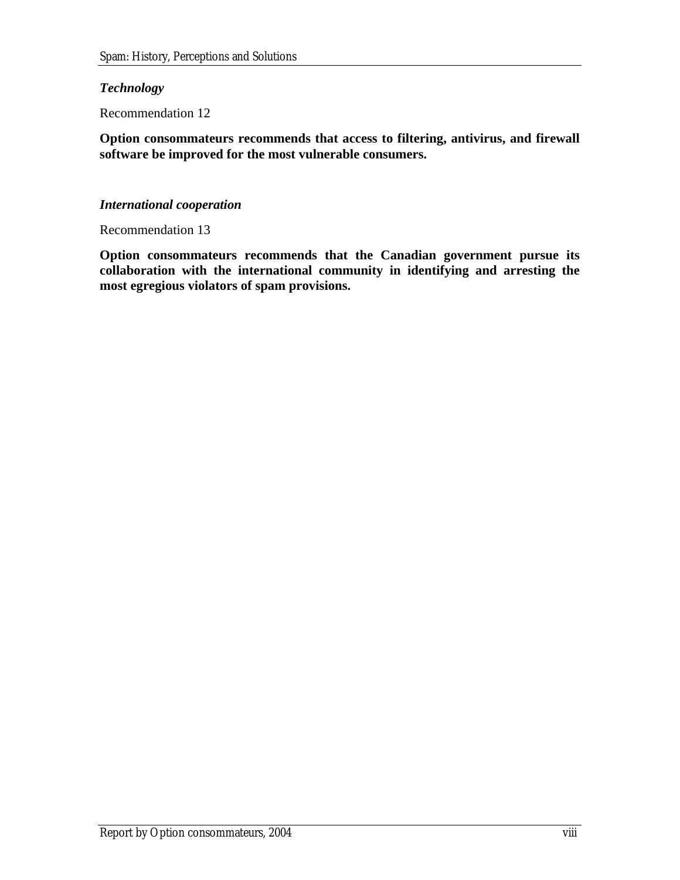### *Technology*

Recommendation 12

**Option consommateurs recommends that access to filtering, antivirus, and firewall software be improved for the most vulnerable consumers.**

### *International cooperation*

Recommendation 13

**Option consommateurs recommends that the Canadian government pursue its collaboration with the international community in identifying and arresting the most egregious violators of spam provisions.**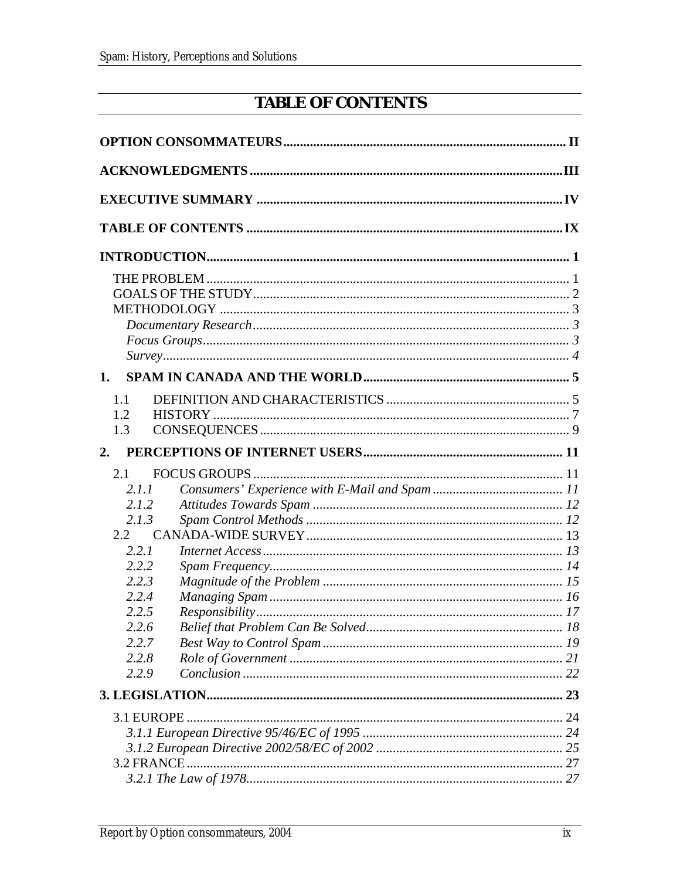# **TABLE OF CONTENTS**

<span id="page-8-0"></span>

| $Focus \, Groups \, 3$                                                                                                 |  |
|------------------------------------------------------------------------------------------------------------------------|--|
| 1.                                                                                                                     |  |
| 1.1<br>1.2<br>1.3                                                                                                      |  |
| 2.                                                                                                                     |  |
| 2.1<br>2.1.1<br>2.1.2<br>2.1.3<br>2.2<br>2.2.1<br>2.2.2<br>2.2.3<br>2.2.4<br>2.2.5<br>2.2.6<br>2.2.7<br>2.2.8<br>2.2.9 |  |
|                                                                                                                        |  |
| 3.1 EUROPE                                                                                                             |  |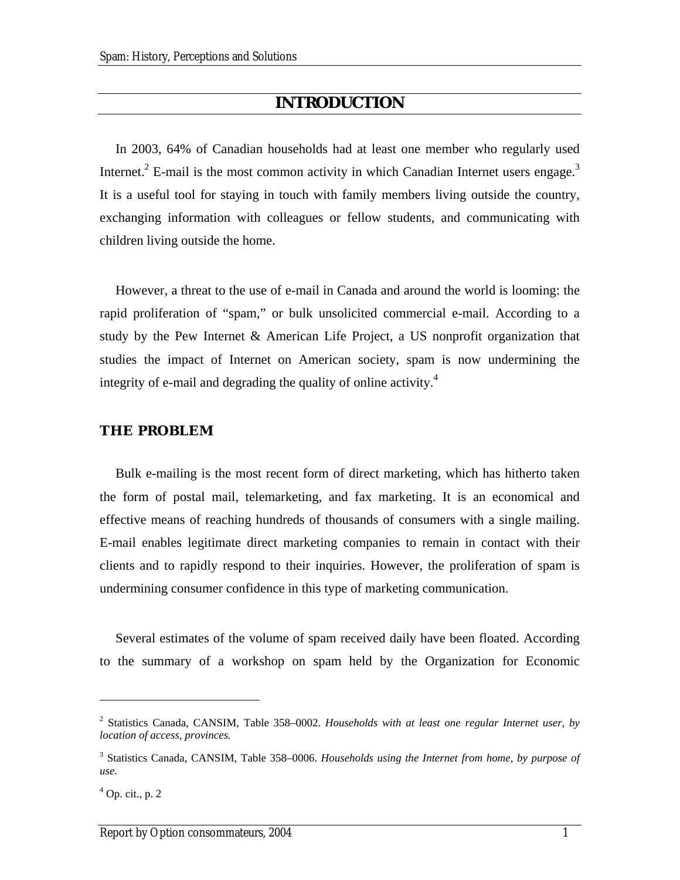## **INTRODUCTION**

<span id="page-10-0"></span>In 2003, 64% of Canadian households had at least one member who regularly used Internet.<sup>[2](#page-10-1)</sup> E-mail is the most common activity in which Canadian Internet users engage.<sup>3</sup> It is a useful tool for staying in touch with family members living outside the country, exchanging information with colleagues or fellow students, and communicating with children living outside the home.

However, a threat to the use of e-mail in Canada and around the world is looming: the rapid proliferation of "spam," or bulk unsolicited commercial e-mail. According to a study by the Pew Internet & American Life Project, a US nonprofit organization that studies the impact of Internet on American society, spam is now undermining the integrity of e-mail and degrading the quality of online activity. $4$ 

#### **THE PROBLEM**

Bulk e-mailing is the most recent form of direct marketing, which has hitherto taken the form of postal mail, telemarketing, and fax marketing. It is an economical and effective means of reaching hundreds of thousands of consumers with a single mailing. E-mail enables legitimate direct marketing companies to remain in contact with their clients and to rapidly respond to their inquiries. However, the proliferation of spam is undermining consumer confidence in this type of marketing communication.

Several estimates of the volume of spam received daily have been floated. According to the summary of a workshop on spam held by the Organization for Economic

<span id="page-10-1"></span><sup>2</sup> Statistics Canada, CANSIM, Table [358–0002](http://cansim2.statcan.ca/cgi-win/cnsmcgi.exe?Lang=F&RootDir=CII/&ResultTemplate=CII/CII_pick&Array_Pick=1&ArrayId=3580002). *Households with at least one regular Internet user, by location of access, provinces.*

<span id="page-10-2"></span><sup>3</sup> Statistics Canada, CANSIM, Table [358–0006](http://cansim2.statcan.ca/cgi-win/cnsmcgi.exe?Lang=F&RootDir=CII/&ResultTemplate=CII/CII_pick&Array_Pick=1&ArrayId=3580006). *Households using the Internet from home, by purpose of use.*

<span id="page-10-3"></span> $<sup>4</sup>$  Op. cit., p. 2</sup>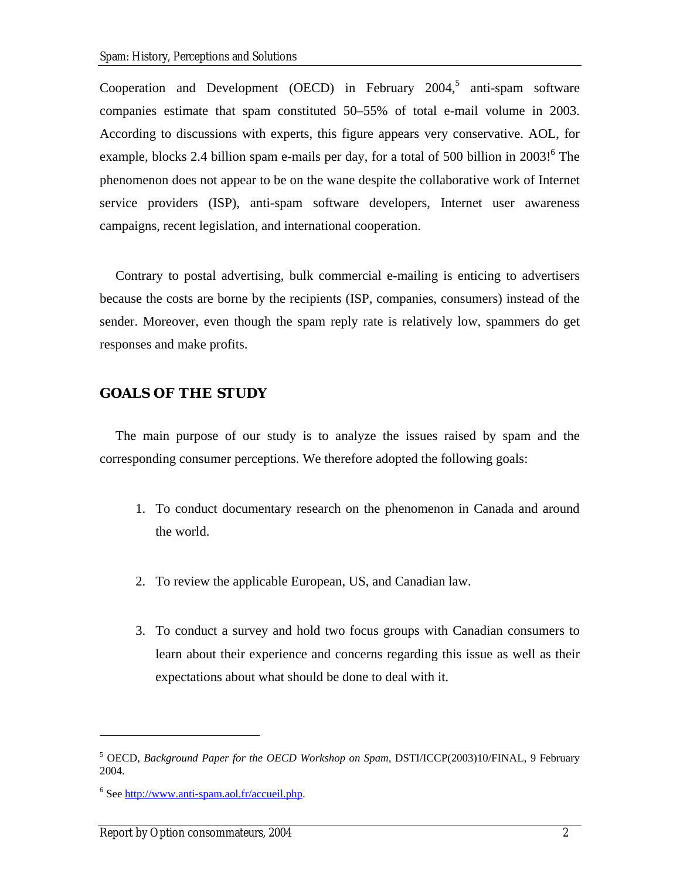<span id="page-11-0"></span>Cooperationand Development (OECD) in February  $2004$ ,<sup>5</sup> anti-spam software companies estimate that spam constituted 50–55% of total e-mail volume in 2003. According to discussions with experts, this figure appears very conservative. AOL, for example, blocks 2.4 billion spam e-mails per day, for a total of 500 billion in 2003!<sup>6</sup> The phenomenon does not appear to be on the wane despite the collaborative work of Internet service providers (ISP), anti-spam software developers, Internet user awareness campaigns, recent legislation, and international cooperation.

Contrary to postal advertising, bulk commercial e-mailing is enticing to advertisers because the costs are borne by the recipients (ISP, companies, consumers) instead of the sender. Moreover, even though the spam reply rate is relatively low, spammers do get responses and make profits.

#### **GOALS OF THE STUDY**

The main purpose of our study is to analyze the issues raised by spam and the corresponding consumer perceptions. We therefore adopted the following goals:

- 1. To conduct documentary research on the phenomenon in Canada and around the world.
- 2. To review the applicable European, US, and Canadian law.
- 3. To conduct a survey and hold two focus groups with Canadian consumers to learn about their experience and concerns regarding this issue as well as their expectations about what should be done to deal with it.

<span id="page-11-1"></span><sup>&</sup>lt;sup>5</sup> OECD, *Background Paper for the OECD Workshop on Spam*, DSTI/ICCP(2003)10/FINAL, 9 February 2004.

<span id="page-11-2"></span><sup>&</sup>lt;sup>6</sup> See [http://www.anti-spam.aol.fr/accueil.php.](http://www.antispam.aol.fr/accueil.php)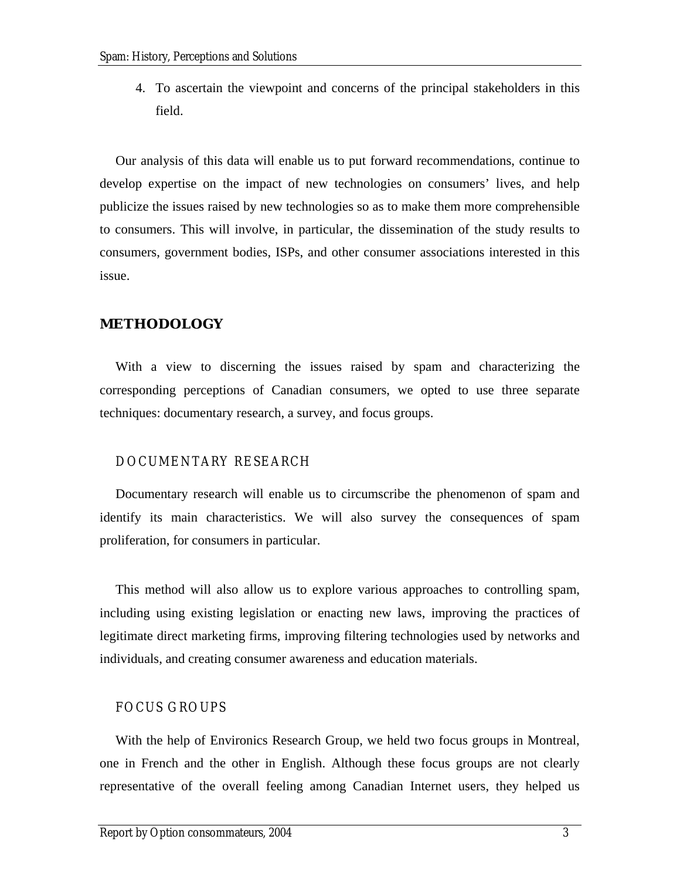<span id="page-12-0"></span>4. To ascertain the viewpoint and concerns of the principal stakeholders in this field.

Our analysis of this data will enable us to put forward recommendations, continue to develop expertise on the impact of new technologies on consumers' lives, and help publicize the issues raised by new technologies so as to make them more comprehensible to consumers. This will involve, in particular, the dissemination of the study results to consumers, government bodies, ISPs, and other consumer associations interested in this issue.

#### **METHODOLOGY**

With a view to discerning the issues raised by spam and characterizing the corresponding perceptions of Canadian consumers, we opted to use three separate techniques: documentary research, a survey, and focus groups.

#### DOCUMENTARY RESEARCH

Documentary research will enable us to circumscribe the phenomenon of spam and identify its main characteristics. We will also survey the consequences of spam proliferation, for consumers in particular.

This method will also allow us to explore various approaches to controlling spam, including using existing legislation or enacting new laws, improving the practices of legitimate direct marketing firms, improving filtering technologies used by networks and individuals, and creating consumer awareness and education materials.

#### FOCUS GROUPS

With the help of Environics Research Group, we held two focus groups in Montreal, one in French and the other in English. Although these focus groups are not clearly representative of the overall feeling among Canadian Internet users, they helped us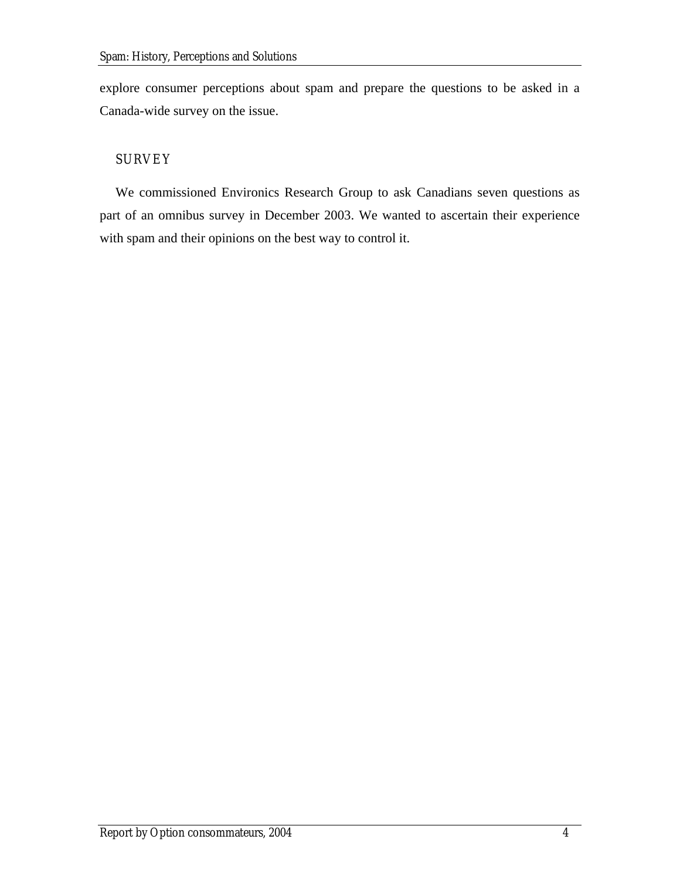<span id="page-13-0"></span>explore consumer perceptions about spam and prepare the questions to be asked in a Canada-wide survey on the issue.

## **SURVEY**

We commissioned Environics Research Group to ask Canadians seven questions as part of an omnibus survey in December 2003. We wanted to ascertain their experience with spam and their opinions on the best way to control it.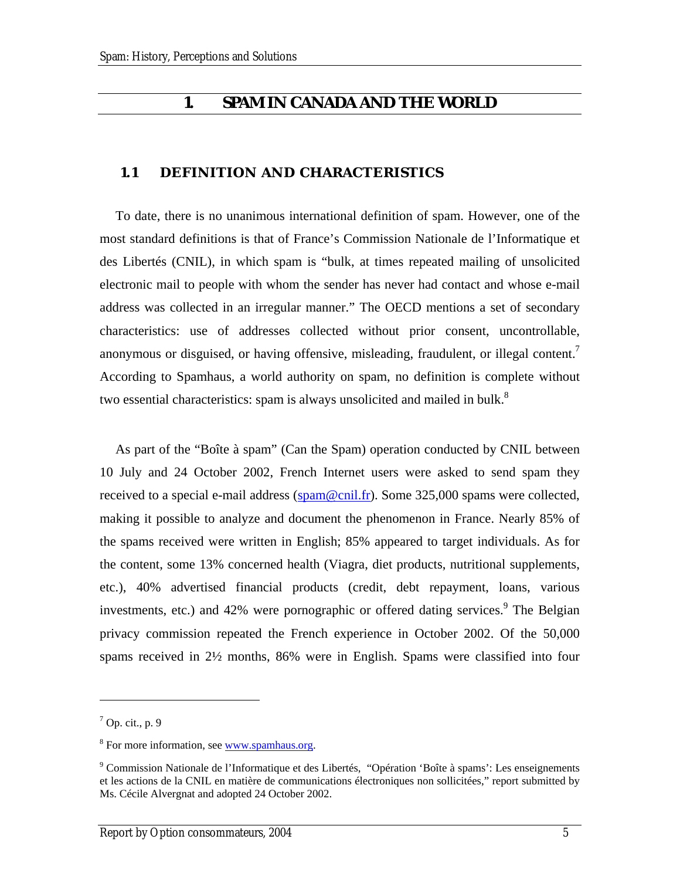## **1. SPAM IN CANADA AND THE WORLD**

### <span id="page-14-0"></span>**1.1 DEFINITION AND CHARACTERISTICS**

To date, there is no unanimous international definition of spam. However, one of the most standard definitions is that of France's Commission Nationale de l'Informatique et des Libertés (CNIL), in which spam is "bulk, at times repeated mailing of unsolicited electronic mail to people with whom the sender has never had contact and whose e-mail address was collected in an irregular manner." The OECD mentions a set of secondary characteristics: use of addresses collected without prior consent, uncontrollable, anonymous or disguised, or having offensive, misleading, fraudulent, or illegal content.<sup>7</sup> According to Spamhaus, a world authority on spam, no definition is complete without two essential characteristics: spam is always unsolicited and mailed in bulk.<sup>[8](#page-14-2)</sup>

As part of the "Boîte à spam" (Can the Spam) operation conducted by CNIL between 10 July and 24 October 2002, French Internet users were asked to send spam they received to a special e-mail address ( $spam@ceil.fr$ ). Some 325,000 spams were collected, making it possible to analyze and document the phenomenon in France. Nearly 85% of the spams received were written in English; 85% appeared to target individuals. As for the content, some 13% concerned health (Viagra, diet products, nutritional supplements, etc.), 40% advertised financial products (credit, debt repayment, loans, various investments, etc.) and 42% were pornographic or offered dating services.<sup>[9](#page-14-3)</sup> The Belgian privacy commission repeated the French experience in October 2002. Of the 50,000 spams received in 2½ months, 86% were in English. Spams were classified into four

<span id="page-14-1"></span> $<sup>7</sup>$  Op. cit., p. 9</sup>

<span id="page-14-2"></span><sup>&</sup>lt;sup>8</sup> For more information, see [www.spamhaus.org](http://www.spamhaus.org/).

<span id="page-14-3"></span><sup>&</sup>lt;sup>9</sup> Commission Nationale de l'Informatique et des Libertés, "Opération 'Boîte à spams': Les enseignements et les actions de la CNIL en matière de communications électroniques non sollicitées," report submitted by Ms. Cécile Alvergnat and adopted 24 October 2002.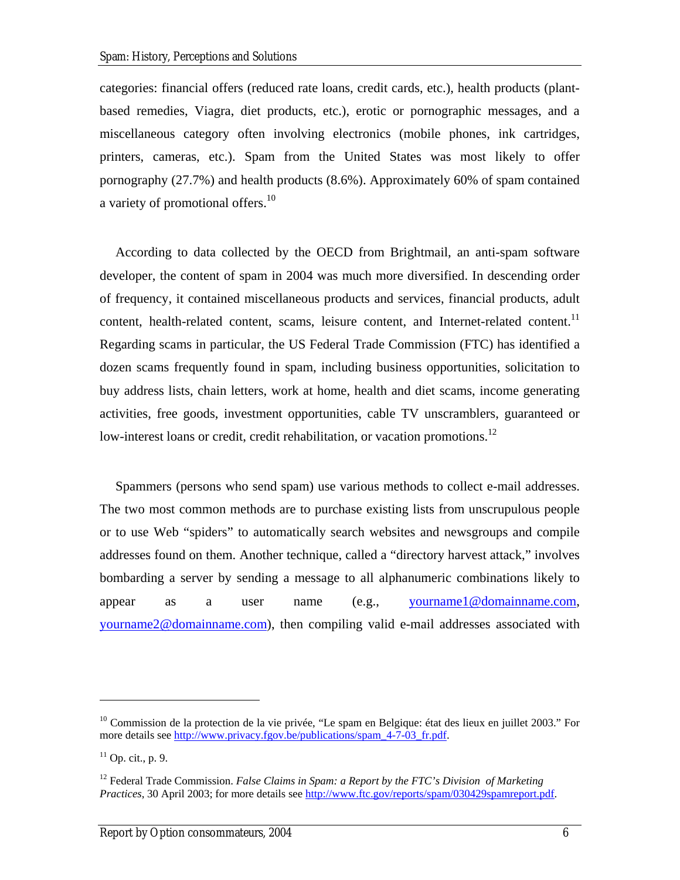categories: financial offers (reduced rate loans, credit cards, etc.), health products (plantbased remedies, Viagra, diet products, etc.), erotic or pornographic messages, and a miscellaneous category often involving electronics (mobile phones, ink cartridges, printers, cameras, etc.). Spam from the United States was most likely to offer pornography (27.7%) and health products (8.6%). Approximately 60% of spam contained a variety of promotional offers[.](#page-15-0)<sup>10</sup>

According to data collected by the OECD from Brightmail, an anti-spam software developer, the content of spam in 2004 was much more diversified. In descending order of frequency, it contained miscellaneous products and services, financial products, adult content, health-related content, scams, leisure content, and Internet-related content.<sup>11</sup> Regarding scams in particular, the US Federal Trade Commission (FTC) has identified a dozen scams frequently found in spam, including business opportunities, solicitation to buy address lists, chain letters, work at home, health and diet scams, income generating activities, free goods, investment opportunities, cable TV unscramblers, guaranteed or low-interest loans or credit, credit rehabilitation, or vacation promotions.<sup>12</sup>

Spammers (persons who send spam) use various methods to collect e-mail addresses. The two most common methods are to purchase existing lists from unscrupulous people or to use Web "spiders" to automatically search websites and newsgroups and compile addresses found on them. Another technique, called a "directory harvest attack," involves bombarding a server by sending a message to all alphanumeric combinations likely to appear as a user name (e.g., [yourname1@domainname.com](mailto:votrenom1@nomdedomaine.com), [yourname2@domainname.com\)](mailto:votrenom1@nomdedomaine.com), then compiling valid e-mail addresses associated with

<span id="page-15-0"></span> $10$  Commission de la protection de la vie privée, "Le spam en Belgique: état des lieux en juillet 2003." For more details see [http://www.privacy.fgov.be/publications/spam\\_4-7-03\\_fr.pdf](http://www.privacy.fgov.be/publications/spam_4-7-03_fr.pdf).

<span id="page-15-1"></span> $11$  Op. cit., p. 9.

<span id="page-15-2"></span><sup>12</sup> Federal Trade Commission. *False Claims in Spam: a Report by the FTC's Division of Marketing Practices*, 30 April 2003; for more details see<http://www.ftc.gov/reports/spam/030429spamreport.pdf>.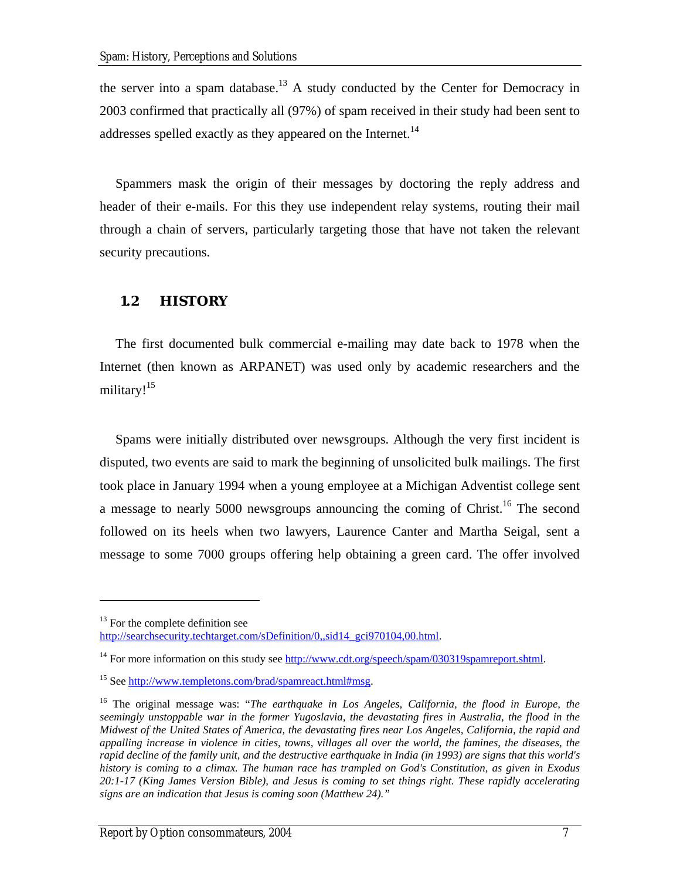<span id="page-16-0"></span>theserver into a spam database.<sup>13</sup> A study conducted by the Center for Democracy in 2003 confirmed that practically all (97%) of spam received in their study had been sent to addressesspelled exactly as they appeared on the Internet.<sup>14</sup>

Spammers mask the origin of their messages by doctoring the reply address and header of their e-mails. For this they use independent relay systems, routing their mail through a chain of servers, particularly targeting those that have not taken the relevant security precautions.

### **1.2 HISTORY**

The first documented bulk commercial e-mailing may date back to 1978 when the Internet (then known as ARPANET) was used only by academic researchers and the military!<sup>[15](#page-16-3)</sup>

Spams were initially distributed over newsgroups. Although the very first incident is disputed, two events are said to mark the beginning of unsolicited bulk mailings. The first took place in January 1994 when a young employee at a Michigan Adventist college sent a message to nearly 5000 newsgroups announcing the coming of Christ.<sup>16</sup> The second followed on its heels when two lawyers, Laurence Canter and Martha Seigal, sent a message to some 7000 groups offering help obtaining a green card. The offer involved

<span id="page-16-1"></span> $13$  For the complete definition see

[http://searchsecurity.techtarget.com/sDefinition/0,,sid14\\_gci970104,00.html](http://searchsecurity.techtarget.com/sDefinition/0,,sid14_gci970104,00.html).

<span id="page-16-2"></span><sup>&</sup>lt;sup>14</sup> For more information on this study see <http://www.cdt.org/speech/spam/030319spamreport.shtml>.

<span id="page-16-3"></span><sup>&</sup>lt;sup>15</sup> See [http://www.templetons.com/brad/spamreact.html#msg.](http://www.templetons.com/brad/spamreact.html)

<span id="page-16-4"></span><sup>&</sup>lt;sup>16</sup> The original message was: "The earthquake in Los Angeles, California, the flood in Europe, the *seemingly unstoppable war in the former Yugoslavia, the devastating fires in Australia, the flood in the Midwest of the United States of America, the devastating fires near Los Angeles, California, the rapid and appalling increase in violence in cities, towns, villages all over the world, the famines, the diseases, the rapid decline of the family unit, and the destructive earthquake in India (in 1993) are signs that this world's history is coming to a climax. The human race has trampled on God's Constitution, as given in Exodus 20:1-17 (King James Version Bible), and Jesus is coming to set things right. These rapidly accelerating signs are an indication that Jesus is coming soon (Matthew 24)."*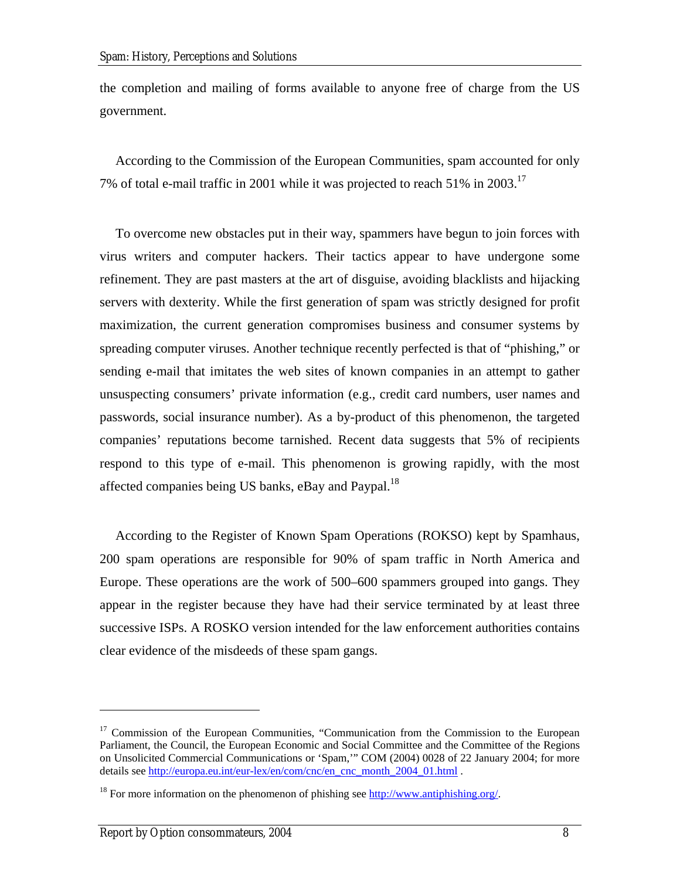the completion and mailing of forms available to anyone free of charge from the US government.

According to the Commission of the European Communities, spam accounted for only 7% of total e-mail traffic in 2001 while it was projected to reach 51% in 2003.[17](#page-17-0)

To overcome new obstacles put in their way, spammers have begun to join forces with virus writers and computer hackers. Their tactics appear to have undergone some refinement. They are past masters at the art of disguise, avoiding blacklists and hijacking servers with dexterity. While the first generation of spam was strictly designed for profit maximization, the current generation compromises business and consumer systems by spreading computer viruses. Another technique recently perfected is that of "phishing," or sending e-mail that imitates the web sites of known companies in an attempt to gather unsuspecting consumers' private information (e.g., credit card numbers, user names and passwords, social insurance number). As a by-product of this phenomenon, the targeted companies' reputations become tarnished. Recent data suggests that 5% of recipients respond to this type of e-mail. This phenomenon is growing rapidly, with the most affected companies being US banks, eBay and Paypal.<sup>[18](#page-17-1)</sup>

According to the Register of Known Spam Operations (ROKSO) kept by Spamhaus, 200 spam operations are responsible for 90% of spam traffic in North America and Europe. These operations are the work of 500–600 spammers grouped into gangs. They appear in the register because they have had their service terminated by at least three successive ISPs. A ROSKO version intended for the law enforcement authorities contains clear evidence of the misdeeds of these spam gangs.

<span id="page-17-0"></span> $17$  Commission of the European Communities, "Communication from the Commission to the European Parliament, the Council, the European Economic and Social Committee and the Committee of the Regions on Unsolicited Commercial Communications or 'Spam,'" COM (2004) 0028 of 22 January 2004; for more details see [http://europa.eu.int/eur-lex/en/com/cnc/en\\_cnc\\_month\\_2004\\_01.html](http://europa.eu.int/eur-lex/en/com/cnc/en_cnc_month_2004_01.html) .

<span id="page-17-1"></span><sup>&</sup>lt;sup>18</sup> For more information on the phenomenon of phishing see [http://www.antiphishing.org/.](http://www.antiphishing.org/)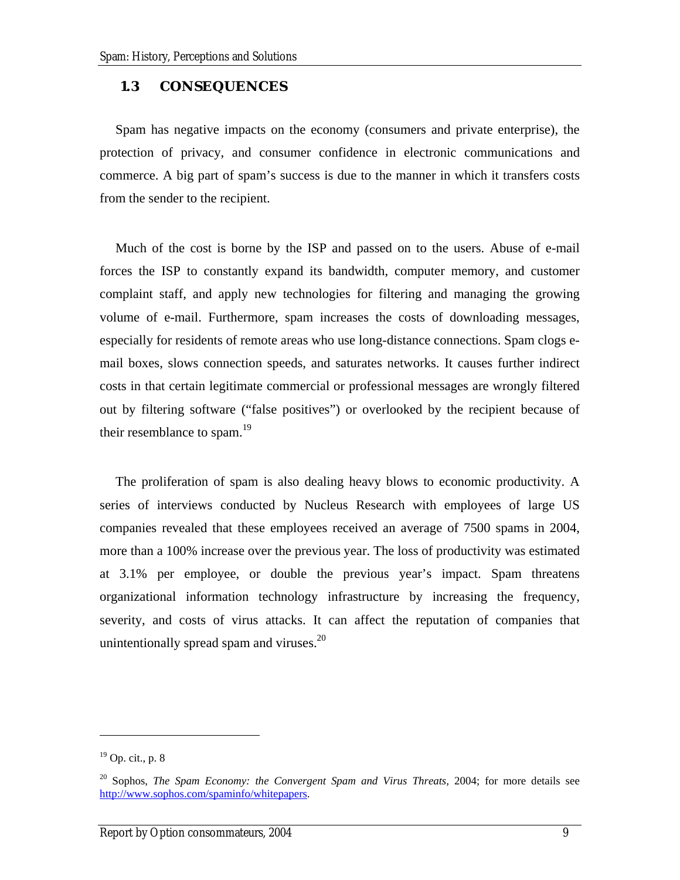#### <span id="page-18-0"></span>**1.3 CONSEQUENCES**

Spam has negative impacts on the economy (consumers and private enterprise), the protection of privacy, and consumer confidence in electronic communications and commerce. A big part of spam's success is due to the manner in which it transfers costs from the sender to the recipient.

Much of the cost is borne by the ISP and passed on to the users. Abuse of e-mail forces the ISP to constantly expand its bandwidth, computer memory, and customer complaint staff, and apply new technologies for filtering and managing the growing volume of e-mail. Furthermore, spam increases the costs of downloading messages, especially for residents of remote areas who use long-distance connections. Spam clogs email boxes, slows connection speeds, and saturates networks. It causes further indirect costs in that certain legitimate commercial or professional messages are wrongly filtered out by filtering software ("false positives") or overlooked by the recipient because of their resemblance to spam.<sup>[19](#page-18-1)</sup>

The proliferation of spam is also dealing heavy blows to economic productivity. A series of interviews conducted by Nucleus Research with employees of large US companies revealed that these employees received an average of 7500 spams in 2004, more than a 100% increase over the previous year. The loss of productivity was estimated at 3.1% per employee, or double the previous year's impact. Spam threatens organizational information technology infrastructure by increasing the frequency, severity, and costs of virus attacks. It can affect the reputation of companies that unintentionally spread spam and viruses.<sup>[20](#page-18-2)</sup>

<span id="page-18-1"></span> $19$  Op. cit., p. 8

<span id="page-18-2"></span><sup>20</sup> Sophos, *The Spam Economy: the Convergent Spam and Virus Threats,* 2004; for more details see [http://www.sophos.com/spaminfo/whitepapers.](http://www.sophos.com/spaminfo/whitepapers)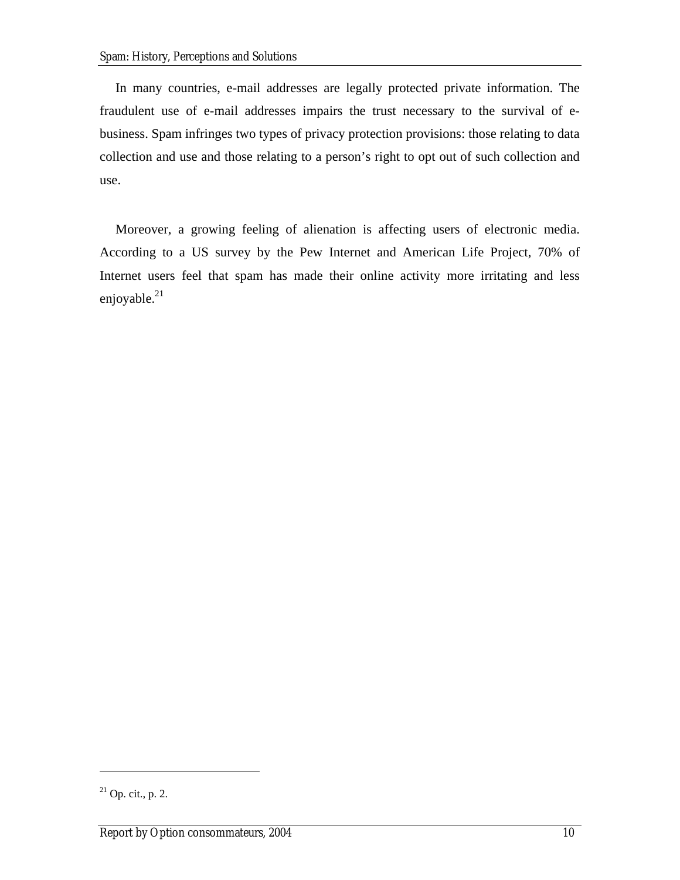In many countries, e-mail addresses are legally protected private information. The fraudulent use of e-mail addresses impairs the trust necessary to the survival of ebusiness. Spam infringes two types of privacy protection provisions: those relating to data collection and use and those relating to a person's right to opt out of such collection and use.

Moreover, a growing feeling of alienation is affecting users of electronic media. According to a US survey by the Pew Internet and American Life Project, 70% of Internet users feel that spam has made their online activity more irritating and less enjoyable. $^{21}$  $^{21}$  $^{21}$ 

<span id="page-19-0"></span> $21$  Op. cit., p. 2.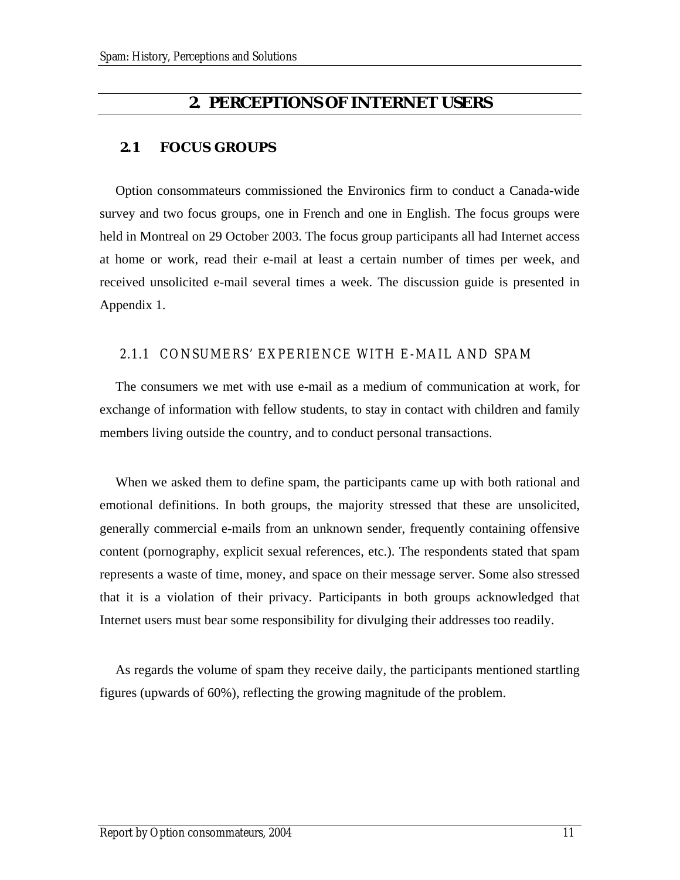## **2. PERCEPTIONS OF INTERNET USERS**

### <span id="page-20-0"></span>**2.1 FOCUS GROUPS**

Option consommateurs commissioned the Environics firm to conduct a Canada-wide survey and two focus groups, one in French and one in English. The focus groups were held in Montreal on 29 October 2003. The focus group participants all had Internet access at home or work, read their e-mail at least a certain number of times per week, and received unsolicited e-mail several times a week. The discussion guide is presented in Appendix 1.

#### 2.1.1 CONSUMERS' EXPERIENCE WITH E-MAIL AND SPAM

The consumers we met with use e-mail as a medium of communication at work, for exchange of information with fellow students, to stay in contact with children and family members living outside the country, and to conduct personal transactions.

When we asked them to define spam, the participants came up with both rational and emotional definitions. In both groups, the majority stressed that these are unsolicited, generally commercial e-mails from an unknown sender, frequently containing offensive content (pornography, explicit sexual references, etc.). The respondents stated that spam represents a waste of time, money, and space on their message server. Some also stressed that it is a violation of their privacy. Participants in both groups acknowledged that Internet users must bear some responsibility for divulging their addresses too readily.

As regards the volume of spam they receive daily, the participants mentioned startling figures (upwards of 60%), reflecting the growing magnitude of the problem.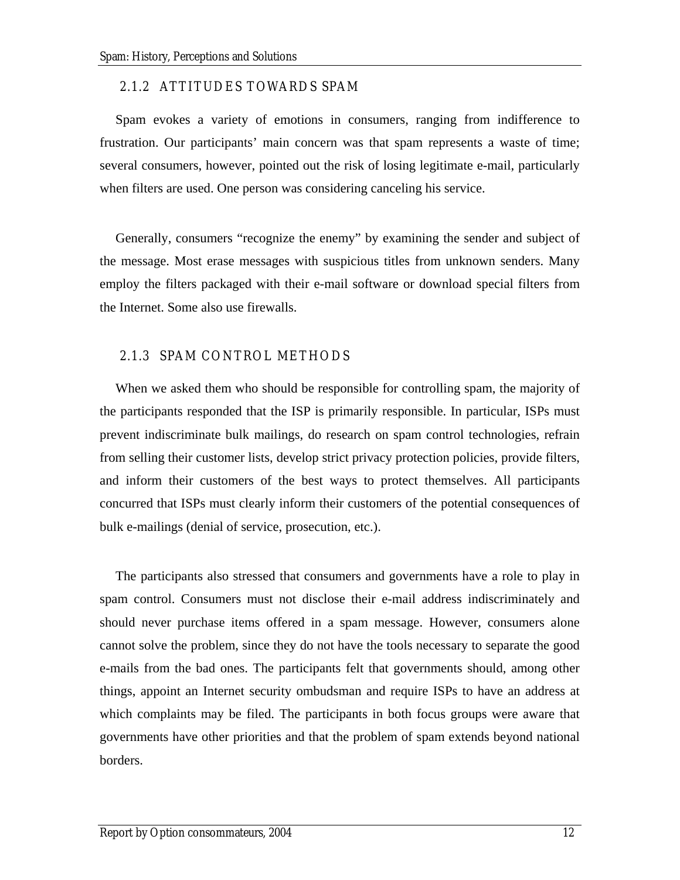#### <span id="page-21-0"></span>2.1.2 ATTITUDES TOWARDS SPAM

Spam evokes a variety of emotions in consumers, ranging from indifference to frustration. Our participants' main concern was that spam represents a waste of time; several consumers, however, pointed out the risk of losing legitimate e-mail, particularly when filters are used. One person was considering canceling his service.

Generally, consumers "recognize the enemy" by examining the sender and subject of the message. Most erase messages with suspicious titles from unknown senders. Many employ the filters packaged with their e-mail software or download special filters from the Internet. Some also use firewalls.

### 2.1.3 SPAM CONTROL METHODS

When we asked them who should be responsible for controlling spam, the majority of the participants responded that the ISP is primarily responsible. In particular, ISPs must prevent indiscriminate bulk mailings, do research on spam control technologies, refrain from selling their customer lists, develop strict privacy protection policies, provide filters, and inform their customers of the best ways to protect themselves. All participants concurred that ISPs must clearly inform their customers of the potential consequences of bulk e-mailings (denial of service, prosecution, etc.).

The participants also stressed that consumers and governments have a role to play in spam control. Consumers must not disclose their e-mail address indiscriminately and should never purchase items offered in a spam message. However, consumers alone cannot solve the problem, since they do not have the tools necessary to separate the good e-mails from the bad ones. The participants felt that governments should, among other things, appoint an Internet security ombudsman and require ISPs to have an address at which complaints may be filed. The participants in both focus groups were aware that governments have other priorities and that the problem of spam extends beyond national borders.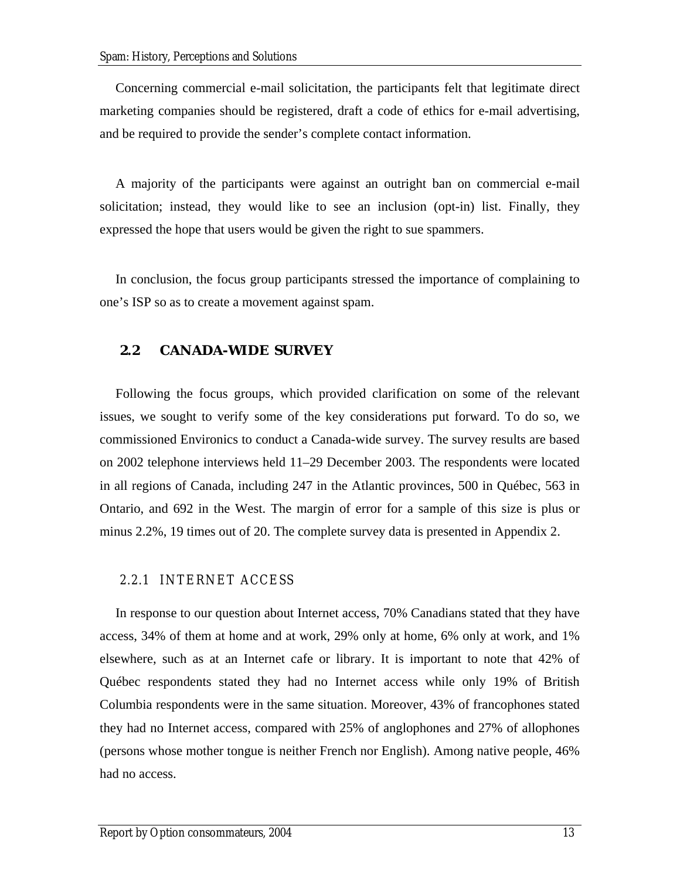<span id="page-22-0"></span>Concerning commercial e-mail solicitation, the participants felt that legitimate direct marketing companies should be registered, draft a code of ethics for e-mail advertising, and be required to provide the sender's complete contact information.

A majority of the participants were against an outright ban on commercial e-mail solicitation; instead, they would like to see an inclusion (opt-in) list. Finally, they expressed the hope that users would be given the right to sue spammers.

In conclusion, the focus group participants stressed the importance of complaining to one's ISP so as to create a movement against spam.

### **2.2 CANADA-WIDE SURVEY**

Following the focus groups, which provided clarification on some of the relevant issues, we sought to verify some of the key considerations put forward. To do so, we commissioned Environics to conduct a Canada-wide survey. The survey results are based on 2002 telephone interviews held 11–29 December 2003. The respondents were located in all regions of Canada, including 247 in the Atlantic provinces, 500 in Québec, 563 in Ontario, and 692 in the West. The margin of error for a sample of this size is plus or minus 2.2%, 19 times out of 20. The complete survey data is presented in Appendix 2.

#### 2.2.1 INTERNET ACCESS

In response to our question about Internet access, 70% Canadians stated that they have access, 34% of them at home and at work, 29% only at home, 6% only at work, and 1% elsewhere, such as at an Internet cafe or library. It is important to note that 42% of Québec respondents stated they had no Internet access while only 19% of British Columbia respondents were in the same situation. Moreover, 43% of francophones stated they had no Internet access, compared with 25% of anglophones and 27% of allophones (persons whose mother tongue is neither French nor English). Among native people, 46% had no access.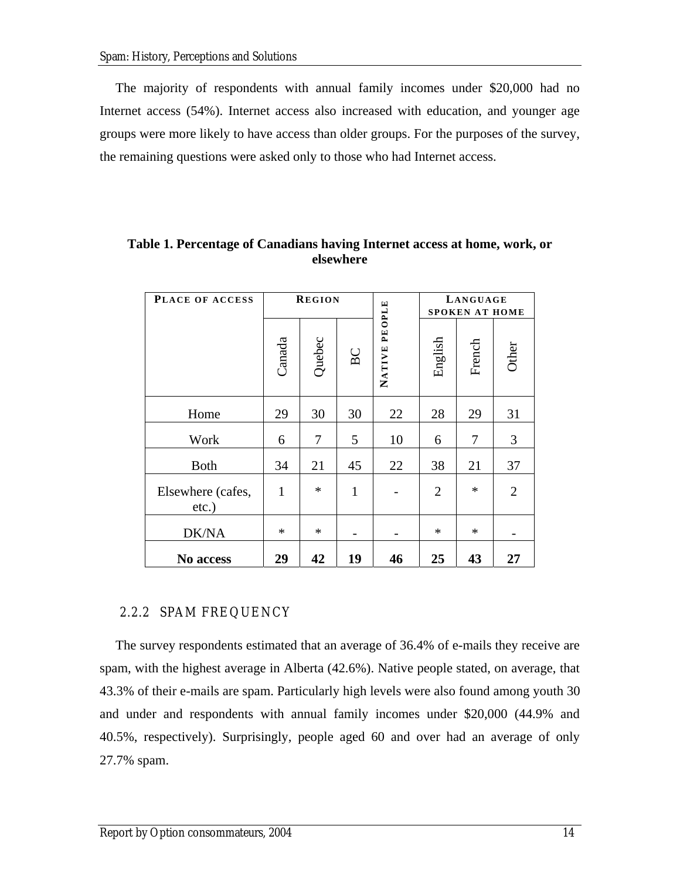<span id="page-23-0"></span>The majority of respondents with annual family incomes under \$20,000 had no Internet access (54%). Internet access also increased with education, and younger age groups were more likely to have access than older groups. For the purposes of the survey, the remaining questions were asked only to those who had Internet access.

| PLACE OF ACCESS               |        | <b>REGION</b>  |              |                  | LANGUAGE<br><b>SPOKEN AT HOME</b> |        |                |  |  |  |  |
|-------------------------------|--------|----------------|--------------|------------------|-----------------------------------|--------|----------------|--|--|--|--|
|                               | Canada | Quebec         | BC           | PEOPLE<br>NATIVE | English                           | French | Other          |  |  |  |  |
| Home                          | 29     | 30             | 30           | 22               | 28                                | 29     | 31             |  |  |  |  |
| Work                          | 6      | 7              | 5            | 10               | 6                                 | 7      | 3              |  |  |  |  |
| <b>Both</b>                   | 34     | 22<br>21<br>45 |              | 38               | 21                                | 37     |                |  |  |  |  |
| Elsewhere (cafes,<br>$etc.$ ) | 1      | $\ast$         | $\mathbf{1}$ |                  | $\overline{2}$                    | $\ast$ | $\overline{2}$ |  |  |  |  |
| DK/NA                         | $\ast$ | $\ast$         |              |                  | $\ast$                            | $\ast$ |                |  |  |  |  |
| No access                     | 29     | 42             | 19           | 46               | 25                                | 43     | 27             |  |  |  |  |

**Table 1. Percentage of Canadians having Internet access at home, work, or elsewhere** 

## 2.2.2 SPAM FREQUENCY

The survey respondents estimated that an average of 36.4% of e-mails they receive are spam, with the highest average in Alberta (42.6%). Native people stated, on average, that 43.3% of their e-mails are spam. Particularly high levels were also found among youth 30 and under and respondents with annual family incomes under \$20,000 (44.9% and 40.5%, respectively). Surprisingly, people aged 60 and over had an average of only 27.7% spam.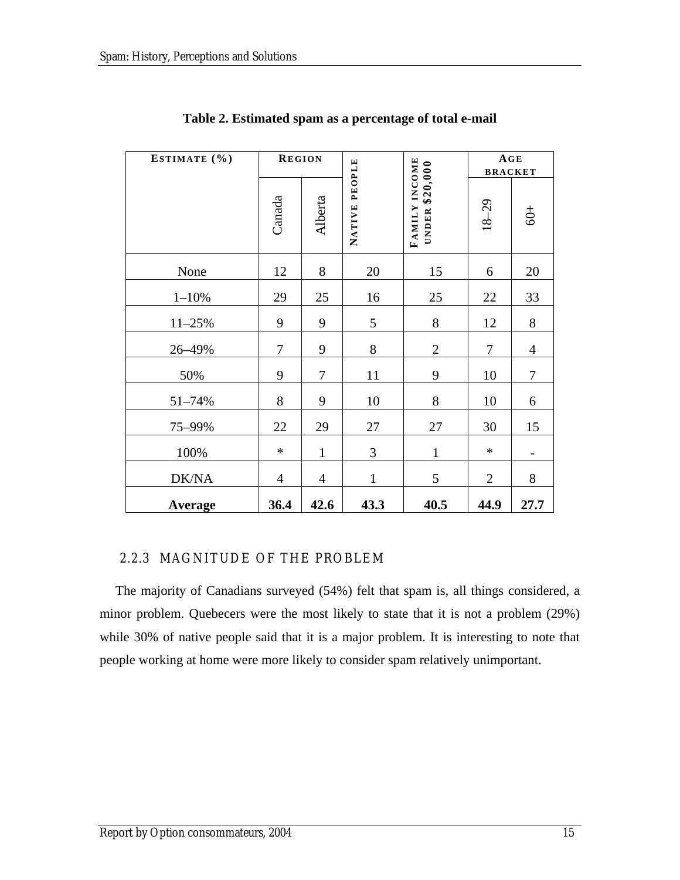<span id="page-24-0"></span>

| ESTIMATE (%) | <b>REGION</b>  |                |                  |                                    | AGE<br><b>BRACKET</b> |                |
|--------------|----------------|----------------|------------------|------------------------------------|-----------------------|----------------|
|              | Canada         | Alberta        | PEOPLE<br>NATIVE | FAMILY INCOME<br>\$20,000<br>UNDER | $18 - 29$             | $60+$          |
| None         | 12             | 8              | 20               | 15                                 | 6                     | 20             |
| $1 - 10%$    | 29             | 25             | 16               | 25                                 | 22                    | 33             |
| $11 - 25%$   | 9              | 9              | 5                | $8\,$                              | 12                    | 8              |
| 26-49%       | 7              | 9              | 8                | $\overline{2}$                     | 7                     | $\overline{4}$ |
| 50%          | 9              | 7              | 11               | 9                                  | 10                    | $\tau$         |
| 51-74%       | 8              | 9              | 10               | 8                                  | 10                    | 6              |
| 75-99%       | 22             | 29             | 27               | 27                                 | 30                    | 15             |
| 100%         | $\ast$         | $\mathbf{1}$   | 3                | $\mathbf{1}$                       | $\ast$                |                |
| DK/NA        | $\overline{4}$ | $\overline{4}$ | $\mathbf{1}$     | 5                                  | $\overline{2}$        | 8              |
| Average      | 36.4           | 42.6           | 43.3             | 40.5                               | 44.9                  | 27.7           |

**Table 2. Estimated spam as a percentage of total e-mail** 

## 2.2.3 MAGNITUDE OF THE PROBLEM

The majority of Canadians surveyed (54%) felt that spam is, all things considered, a minor problem. Quebecers were the most likely to state that it is not a problem (29%) while 30% of native people said that it is a major problem. It is interesting to note that people working at home were more likely to consider spam relatively unimportant.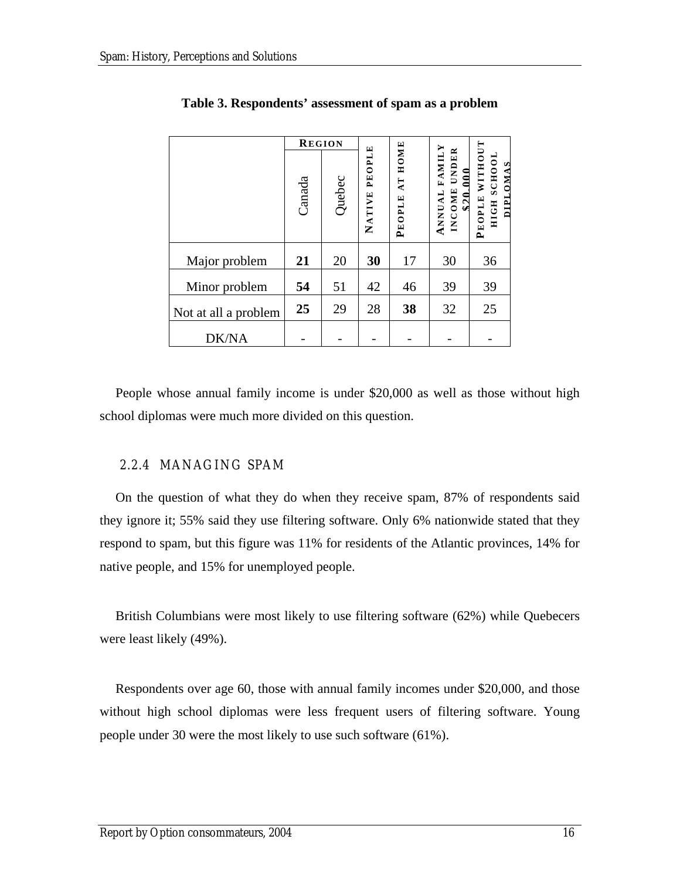|                      | <b>REGION</b> |        |                  |                                  |                                                          |                                              |
|----------------------|---------------|--------|------------------|----------------------------------|----------------------------------------------------------|----------------------------------------------|
|                      | Canada        | Quebec | PEOPLE<br>NATIVE | HOME<br>$\mathbf{A}$ T<br>PEOPLE | <b>FAMILY</b><br>UNDER<br>000<br>INCOME<br><b>ANNUAL</b> | WITHOUT<br>HIGH SCHOOL<br>DIPLOMAS<br>PEOPLE |
| Major problem        | 21            | 20     | 30               | 17                               | 30                                                       | 36                                           |
| Minor problem        | 54            | 51     | 42               | 46                               | 39                                                       | 39                                           |
| Not at all a problem | 25            | 29     | 28               | 38                               | 32                                                       | 25                                           |
| <b>DK/NA</b>         |               |        |                  |                                  |                                                          |                                              |

#### <span id="page-25-0"></span>**Table 3. Respondents' assessment of spam as a problem**

People whose annual family income is under \$20,000 as well as those without high school diplomas were much more divided on this question.

#### 2.2.4 MANAGING SPAM

On the question of what they do when they receive spam, 87% of respondents said they ignore it; 55% said they use filtering software. Only 6% nationwide stated that they respond to spam, but this figure was 11% for residents of the Atlantic provinces, 14% for native people, and 15% for unemployed people.

British Columbians were most likely to use filtering software (62%) while Quebecers were least likely (49%).

Respondents over age 60, those with annual family incomes under \$20,000, and those without high school diplomas were less frequent users of filtering software. Young people under 30 were the most likely to use such software (61%).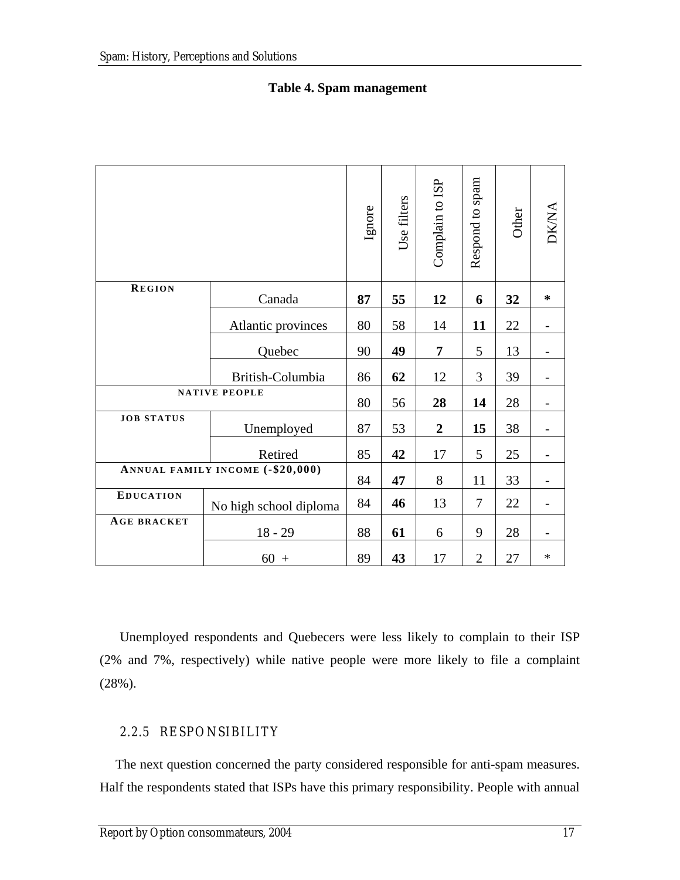<span id="page-26-0"></span>

|               |        | Ignore | Use filters | Complain to ISP | spam<br>$\mathbf{c}$<br>Respond | Other | DIZ AT |
|---------------|--------|--------|-------------|-----------------|---------------------------------|-------|--------|
| <b>REGION</b> | Canada | 87     | 55          | 12              | 6                               | 32    | ∗      |
|               |        |        |             |                 |                                 |       |        |

Atlantic provinces | 80 | 58 | 14 | **11** | 22 | -

### **Table 4. Spam management**

Quebec  $90 | 49 | 7 | 5 | 13$  -British-Columbia | 86 | 62 | 12 | 3 | 39 | -**NATIVE PEOPLE** 80 56 **28 14** 28 -  $JOB STATUS$  **Demployed** 87 53 2 15 38 -Retired | 85 | 42 | 17 | 5 | 25 | -**ANNUAL FAMILY INCOME (-\$20,000)** 84 **47** 8 11 33 - **EDUCATION** No high school diploma | 84 | **46** | 13 | 7 | 22 | -AGE BRACKET | 18 - 29 | 88 | 61 | 6 | 9 | 28 | -60 + 89 **43** 17 2 27 \*

Unemployed respondents and Quebecers were less likely to complain to their ISP (2% and 7%, respectively) while native people were more likely to file a complaint (28%).

## 2.2.5 RESPONSIBILITY

The next question concerned the party considered responsible for anti-spam measures. Half the respondents stated that ISPs have this primary responsibility. People with annual

DK/NA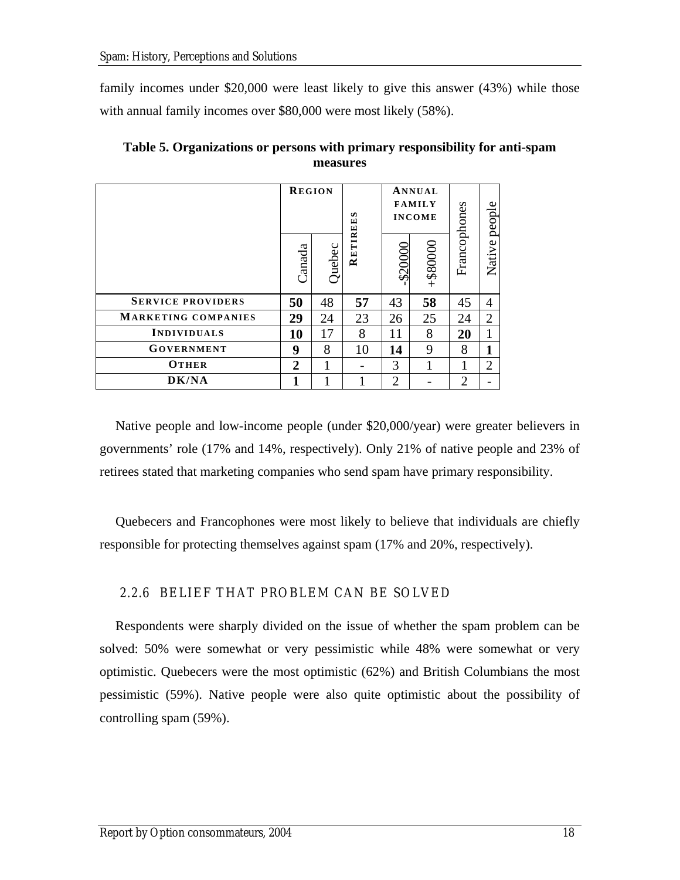<span id="page-27-0"></span>family incomes under \$20,000 were least likely to give this answer (43%) while those with annual family incomes over \$80,000 were most likely (58%).

|                            | <b>REGION</b> |        | s       |                | ANNUAL<br><b>FAMILY</b><br><b>INCOME</b> |                |                |
|----------------------------|---------------|--------|---------|----------------|------------------------------------------|----------------|----------------|
|                            | Canada        | Quebec | RETIREE | \$20000        | +\$80000                                 | Francophones   | Native people  |
| <b>SERVICE PROVIDERS</b>   | 50            | 48     | 57      | 43             | 58                                       | 45             | $\overline{4}$ |
| <b>MARKETING COMPANIES</b> | 29            | 24     | 23      | 26             | 25                                       | 24             | 2              |
| INDIVIDUALS                | 10            | 17     | 8       | 11             | 8                                        | 20             |                |
| <b>GOVERNMENT</b>          | 9             | 8      | 10      | 14             | 9                                        | 8              |                |
| <b>OTHER</b>               | $\mathbf 2$   |        |         | 3              |                                          |                | $\overline{2}$ |
| DK/NA                      |               |        |         | $\overline{2}$ |                                          | $\overline{2}$ |                |

**Table 5. Organizations or persons with primary responsibility for anti-spam measures** 

Native people and low-income people (under \$20,000/year) were greater believers in governments' role (17% and 14%, respectively). Only 21% of native people and 23% of retirees stated that marketing companies who send spam have primary responsibility.

Quebecers and Francophones were most likely to believe that individuals are chiefly responsible for protecting themselves against spam (17% and 20%, respectively).

## 2.2.6 BELIEF THAT PROBLEM CAN BE SOLVED

Respondents were sharply divided on the issue of whether the spam problem can be solved: 50% were somewhat or very pessimistic while 48% were somewhat or very optimistic. Quebecers were the most optimistic (62%) and British Columbians the most pessimistic (59%). Native people were also quite optimistic about the possibility of controlling spam (59%).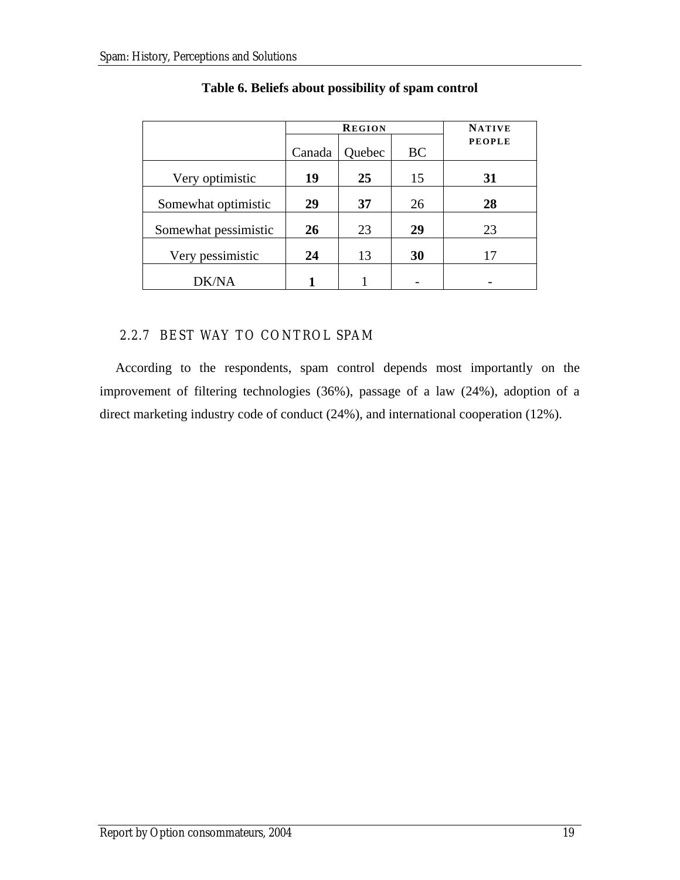<span id="page-28-0"></span>

|                      | <b>REGION</b> |        |           |               |  |  |  |  |  |  |  |  |
|----------------------|---------------|--------|-----------|---------------|--|--|--|--|--|--|--|--|
|                      | Canada        | Quebec | <b>BC</b> | <b>PEOPLE</b> |  |  |  |  |  |  |  |  |
| Very optimistic      | 19            | 25     | 15        | 31            |  |  |  |  |  |  |  |  |
| Somewhat optimistic  | 29            | 37     | 26        | 28            |  |  |  |  |  |  |  |  |
| Somewhat pessimistic | 26            | 23     | 29        | 23            |  |  |  |  |  |  |  |  |
| Very pessimistic     | 24            | 13     | 30        | 17            |  |  |  |  |  |  |  |  |
| <b>DK/NA</b>         |               |        |           |               |  |  |  |  |  |  |  |  |

## **Table 6. Beliefs about possibility of spam control**

## 2.2.7 BEST WAY TO CONTROL SPAM

According to the respondents, spam control depends most importantly on the improvement of filtering technologies (36%), passage of a law (24%), adoption of a direct marketing industry code of conduct (24%), and international cooperation (12%).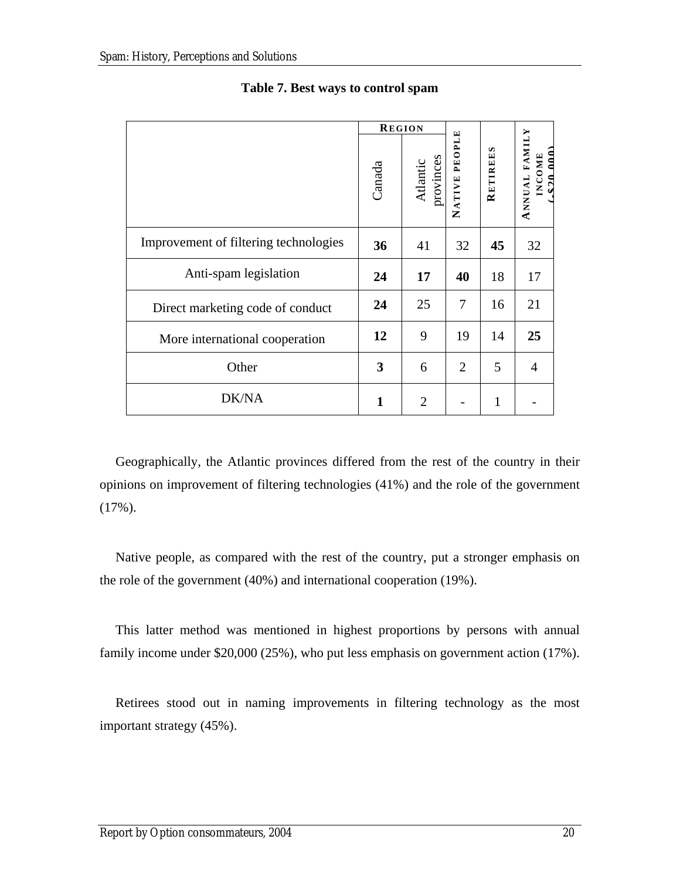|                                       | <b>REGION</b> |                       |                |          |                                                         |
|---------------------------------------|---------------|-----------------------|----------------|----------|---------------------------------------------------------|
|                                       | Canada        | Atlantic<br>provinces | NATIVE PEOPLE  | RETIREES | ANNUAL FAMILY<br>0.00<br><b>INCOME</b><br>$\mathbf{12}$ |
| Improvement of filtering technologies | 36            | 41                    | 32             | 45       | 32                                                      |
| Anti-spam legislation                 | 24            | 17                    | 40             | 18       | 17                                                      |
| Direct marketing code of conduct      | 24            | 25                    | 7              | 16       | 21                                                      |
| More international cooperation        | 12            | 9                     | 19             | 14       | 25                                                      |
| Other                                 | 3             | 6                     | $\overline{2}$ | 5        | $\overline{4}$                                          |
| DK/NA                                 | 1             | $\overline{2}$        |                | 1        |                                                         |

### **Table 7. Best ways to control spam**

Geographically, the Atlantic provinces differed from the rest of the country in their opinions on improvement of filtering technologies (41%) and the role of the government  $(17\%)$ .

Native people, as compared with the rest of the country, put a stronger emphasis on the role of the government (40%) and international cooperation (19%).

This latter method was mentioned in highest proportions by persons with annual family income under \$20,000 (25%), who put less emphasis on government action (17%).

Retirees stood out in naming improvements in filtering technology as the most important strategy (45%).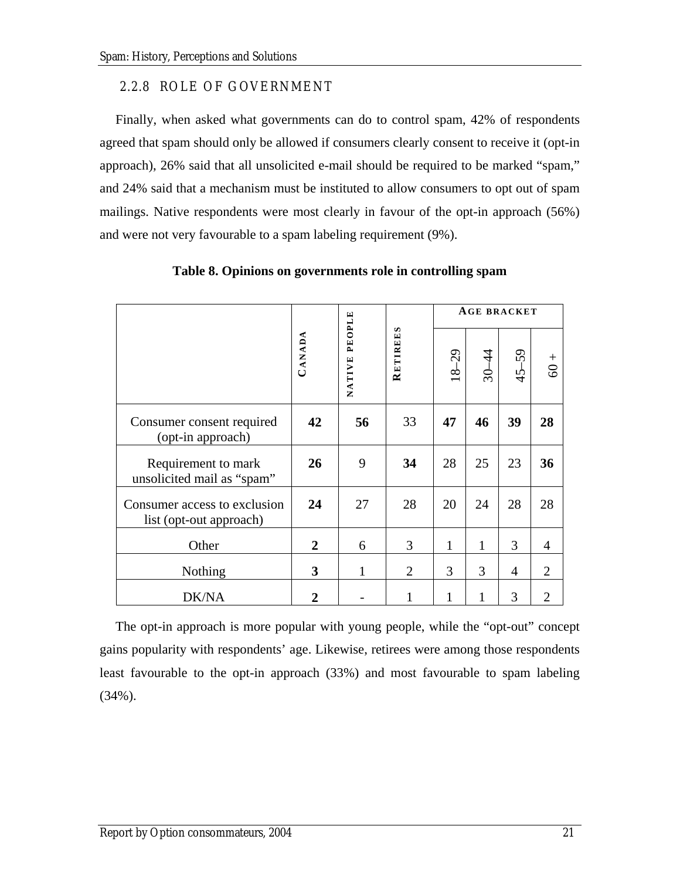### <span id="page-30-0"></span>2.2.8 ROLE OF GOVERNMENT

Finally, when asked what governments can do to control spam, 42% of respondents agreed that spam should only be allowed if consumers clearly consent to receive it (opt-in approach), 26% said that all unsolicited e-mail should be required to be marked "spam," and 24% said that a mechanism must be instituted to allow consumers to opt out of spam mailings. Native respondents were most clearly in favour of the opt-in approach (56%) and were not very favourable to a spam labeling requirement (9%).

|                                                         |                |                  |                                  |                         | <b>AGE BRACKET</b> |           |                |
|---------------------------------------------------------|----------------|------------------|----------------------------------|-------------------------|--------------------|-----------|----------------|
|                                                         | CANADA         | PEOPLE<br>NATIVE | $\boldsymbol{\omega}$<br>RETIREE | $-29$<br>$\frac{8}{16}$ | $30 - 44$          | $45 - 59$ | $60 +$         |
| Consumer consent required<br>(opt-in approach)          | 42             | 56               | 33                               | 47                      | 46                 | 39        | 28             |
| Requirement to mark<br>unsolicited mail as "spam"       | 26             | 9                | 34                               | 28                      | 25                 | 23        | 36             |
| Consumer access to exclusion<br>list (opt-out approach) | 24             | 27               | 28                               | 20                      | 24                 | 28        | 28             |
| Other                                                   | $\overline{2}$ | 6                | 3                                | 1                       | $\mathbf{1}$       | 3         | $\overline{4}$ |
| Nothing                                                 | 3              | 1                | $\overline{2}$                   | 3                       | 3                  | 4         | $\overline{2}$ |
| DK/NA                                                   | 2              |                  |                                  | 1                       |                    | 3         | $\overline{2}$ |

#### **Table 8. Opinions on governments role in controlling spam**

The opt-in approach is more popular with young people, while the "opt-out" concept gains popularity with respondents' age. Likewise, retirees were among those respondents least favourable to the opt-in approach (33%) and most favourable to spam labeling (34%).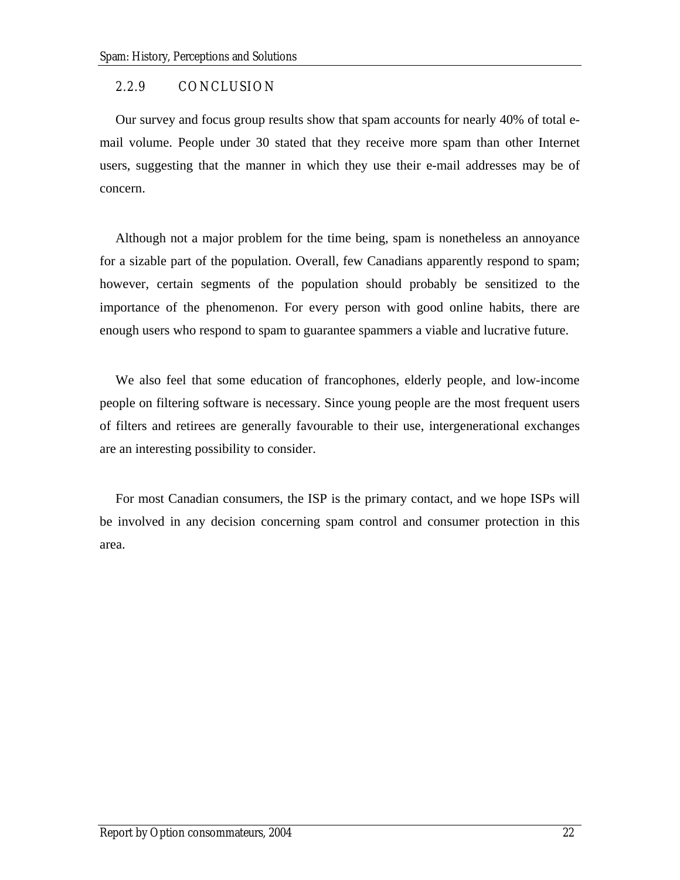### <span id="page-31-0"></span>2.2.9 CONCLUSION

Our survey and focus group results show that spam accounts for nearly 40% of total email volume. People under 30 stated that they receive more spam than other Internet users, suggesting that the manner in which they use their e-mail addresses may be of concern.

Although not a major problem for the time being, spam is nonetheless an annoyance for a sizable part of the population. Overall, few Canadians apparently respond to spam; however, certain segments of the population should probably be sensitized to the importance of the phenomenon. For every person with good online habits, there are enough users who respond to spam to guarantee spammers a viable and lucrative future.

We also feel that some education of francophones, elderly people, and low-income people on filtering software is necessary. Since young people are the most frequent users of filters and retirees are generally favourable to their use, intergenerational exchanges are an interesting possibility to consider.

For most Canadian consumers, the ISP is the primary contact, and we hope ISPs will be involved in any decision concerning spam control and consumer protection in this area.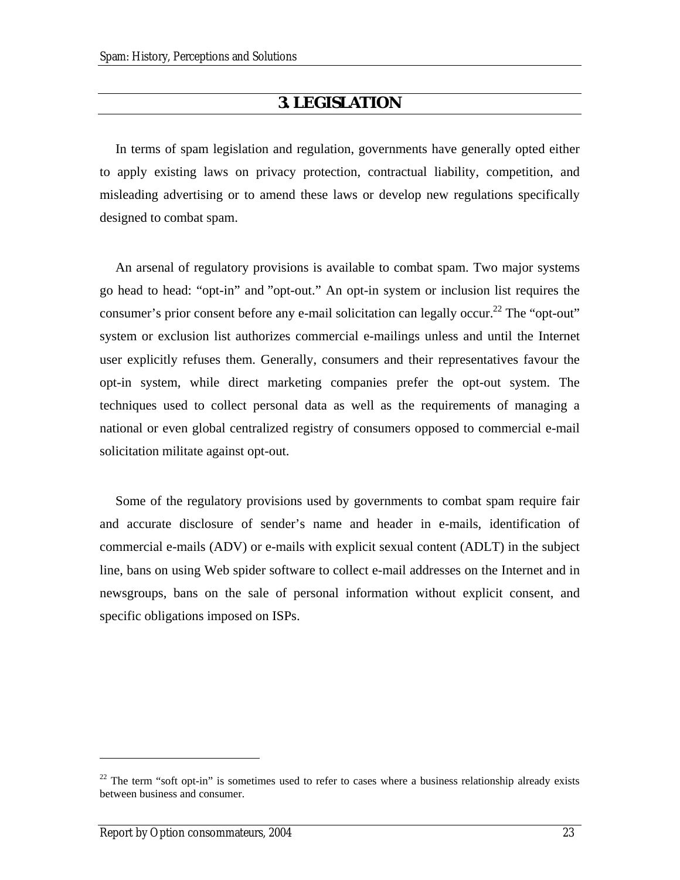## **3. LEGISLATION**

<span id="page-32-0"></span>In terms of spam legislation and regulation, governments have generally opted either to apply existing laws on privacy protection, contractual liability, competition, and misleading advertising or to amend these laws or develop new regulations specifically designed to combat spam.

An arsenal of regulatory provisions is available to combat spam. Two major systems go head to head: "opt-in" and "opt-out." An opt-in system or inclusion list requires the consumer's prior consent before any e-mail solicitation can legally occur.<sup>22</sup> The "opt-out" system or exclusion list authorizes commercial e-mailings unless and until the Internet user explicitly refuses them. Generally, consumers and their representatives favour the opt-in system, while direct marketing companies prefer the opt-out system. The techniques used to collect personal data as well as the requirements of managing a national or even global centralized registry of consumers opposed to commercial e-mail solicitation militate against opt-out.

Some of the regulatory provisions used by governments to combat spam require fair and accurate disclosure of sender's name and header in e-mails, identification of commercial e-mails (ADV) or e-mails with explicit sexual content (ADLT) in the subject line, bans on using Web spider software to collect e-mail addresses on the Internet and in newsgroups, bans on the sale of personal information without explicit consent, and specific obligations imposed on ISPs.

<span id="page-32-1"></span> $22$  The term "soft opt-in" is sometimes used to refer to cases where a business relationship already exists between business and consumer.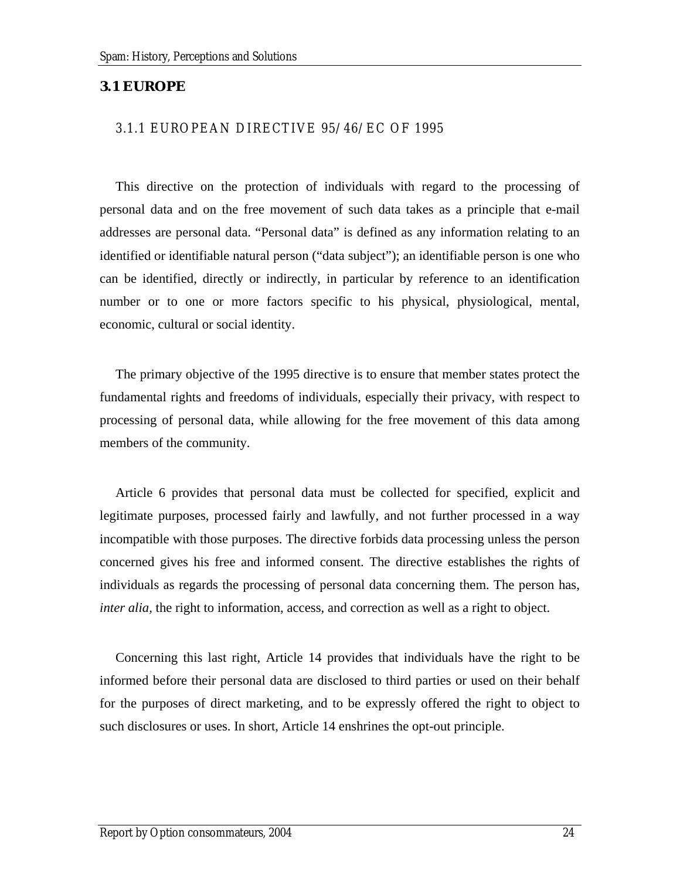#### <span id="page-33-0"></span>**3.1 EUROPE**

#### 3.1.1 EUROPEAN DIRECTIVE 95/46/EC OF 1995

This directive on the protection of individuals with regard to the processing of personal data and on the free movement of such data takes as a principle that e-mail addresses are personal data. "Personal data" is defined as any information relating to an identified or identifiable natural person ("data subject"); an identifiable person is one who can be identified, directly or indirectly, in particular by reference to an identification number or to one or more factors specific to his physical, physiological, mental, economic, cultural or social identity.

The primary objective of the 1995 directive is to ensure that member states protect the fundamental rights and freedoms of individuals, especially their privacy, with respect to processing of personal data, while allowing for the free movement of this data among members of the community.

Article 6 provides that personal data must be collected for specified, explicit and legitimate purposes, processed fairly and lawfully, and not further processed in a way incompatible with those purposes. The directive forbids data processing unless the person concerned gives his free and informed consent. The directive establishes the rights of individuals as regards the processing of personal data concerning them. The person has, *inter alia,* the right to information, access, and correction as well as a right to object.

Concerning this last right, Article 14 provides that individuals have the right to be informed before their personal data are disclosed to third parties or used on their behalf for the purposes of direct marketing, and to be expressly offered the right to object to such disclosures or uses. In short, Article 14 enshrines the opt-out principle.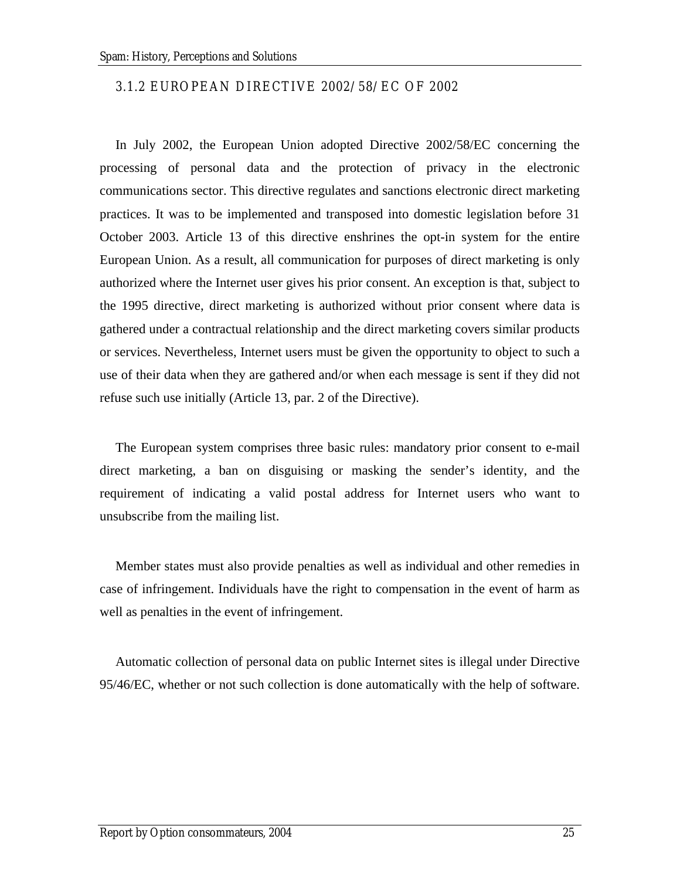#### <span id="page-34-0"></span>3.1.2 EUROPEAN DIRECTIVE 2002/58/EC OF 2002

In July 2002, the European Union adopted Directive 2002/58/EC concerning the processing of personal data and the protection of privacy in the electronic communications sector. This directive regulates and sanctions electronic direct marketing practices. It was to be implemented and transposed into domestic legislation before 31 October 2003. Article 13 of this directive enshrines the opt-in system for the entire European Union. As a result, all communication for purposes of direct marketing is only authorized where the Internet user gives his prior consent. An exception is that, subject to the 1995 directive, direct marketing is authorized without prior consent where data is gathered under a contractual relationship and the direct marketing covers similar products or services. Nevertheless, Internet users must be given the opportunity to object to such a use of their data when they are gathered and/or when each message is sent if they did not refuse such use initially (Article 13, par. 2 of the Directive).

The European system comprises three basic rules: mandatory prior consent to e-mail direct marketing, a ban on disguising or masking the sender's identity, and the requirement of indicating a valid postal address for Internet users who want to unsubscribe from the mailing list.

Member states must also provide penalties as well as individual and other remedies in case of infringement. Individuals have the right to compensation in the event of harm as well as penalties in the event of infringement.

Automatic collection of personal data on public Internet sites is illegal under Directive 95/46/EC, whether or not such collection is done automatically with the help of software.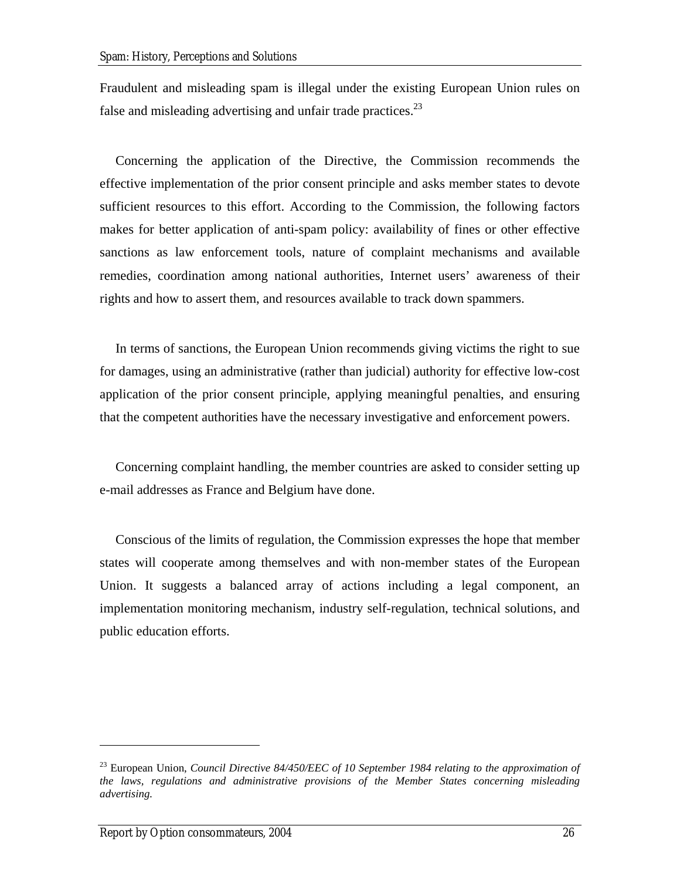Fraudulent and misleading spam is illegal under the existing European Union rules on false and misleading advertising and unfair trade practices.<sup>23</sup>

Concerning the application of the Directive, the Commission recommends the effective implementation of the prior consent principle and asks member states to devote sufficient resources to this effort. According to the Commission, the following factors makes for better application of anti-spam policy: availability of fines or other effective sanctions as law enforcement tools, nature of complaint mechanisms and available remedies, coordination among national authorities, Internet users' awareness of their rights and how to assert them, and resources available to track down spammers.

In terms of sanctions, the European Union recommends giving victims the right to sue for damages, using an administrative (rather than judicial) authority for effective low-cost application of the prior consent principle, applying meaningful penalties, and ensuring that the competent authorities have the necessary investigative and enforcement powers.

Concerning complaint handling, the member countries are asked to consider setting up e-mail addresses as France and Belgium have done.

Conscious of the limits of regulation, the Commission expresses the hope that member states will cooperate among themselves and with non-member states of the European Union. It suggests a balanced array of actions including a legal component, an implementation monitoring mechanism, industry self-regulation, technical solutions, and public education efforts.

<span id="page-35-0"></span><sup>23</sup> European Union, *Council Directive 84/450/EEC of 10 September 1984 relating to the approximation of the laws, regulations and administrative provisions of the Member States concerning misleading advertising.*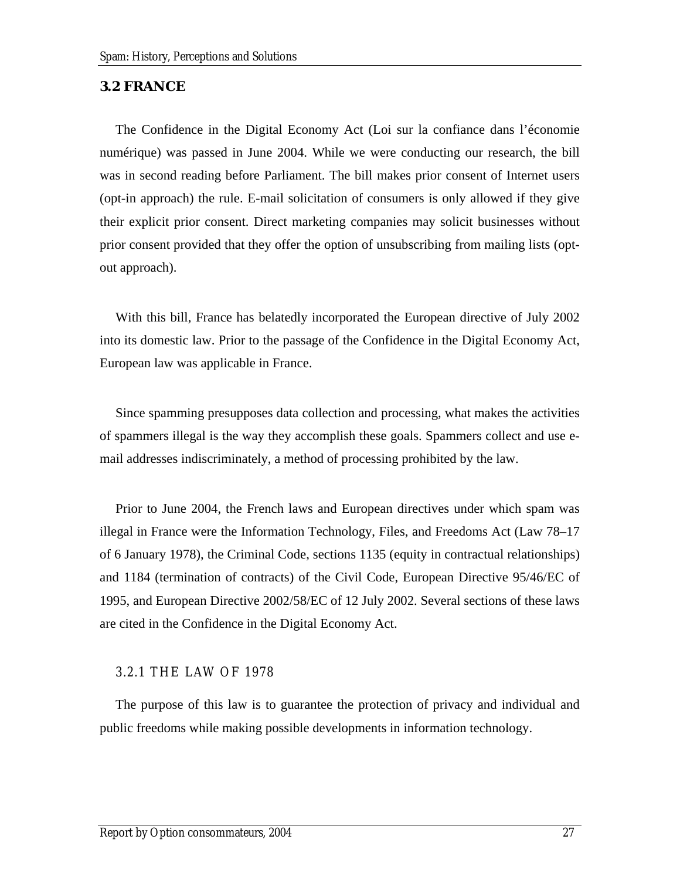#### <span id="page-36-0"></span>**3.2 FRANCE**

The Confidence in the Digital Economy Act (Loi sur la confiance dans l'économie numérique) was passed in June 2004. While we were conducting our research, the bill was in second reading before Parliament. The bill makes prior consent of Internet users (opt-in approach) the rule. E-mail solicitation of consumers is only allowed if they give their explicit prior consent. Direct marketing companies may solicit businesses without prior consent provided that they offer the option of unsubscribing from mailing lists (optout approach).

With this bill, France has belatedly incorporated the European directive of July 2002 into its domestic law. Prior to the passage of the Confidence in the Digital Economy Act, European law was applicable in France.

Since spamming presupposes data collection and processing, what makes the activities of spammers illegal is the way they accomplish these goals. Spammers collect and use email addresses indiscriminately, a method of processing prohibited by the law.

Prior to June 2004, the French laws and European directives under which spam was illegal in France were the Information Technology, Files, and Freedoms Act (Law 78–17 of 6 January 1978), the Criminal Code, sections 1135 (equity in contractual relationships) and 1184 (termination of contracts) of the Civil Code, European Directive 95/46/EC of 1995, and European Directive 2002/58/EC of 12 July 2002. Several sections of these laws are cited in the Confidence in the Digital Economy Act.

### 3.2.1 THE LAW OF 1978

The purpose of this law is to guarantee the protection of privacy and individual and public freedoms while making possible developments in information technology.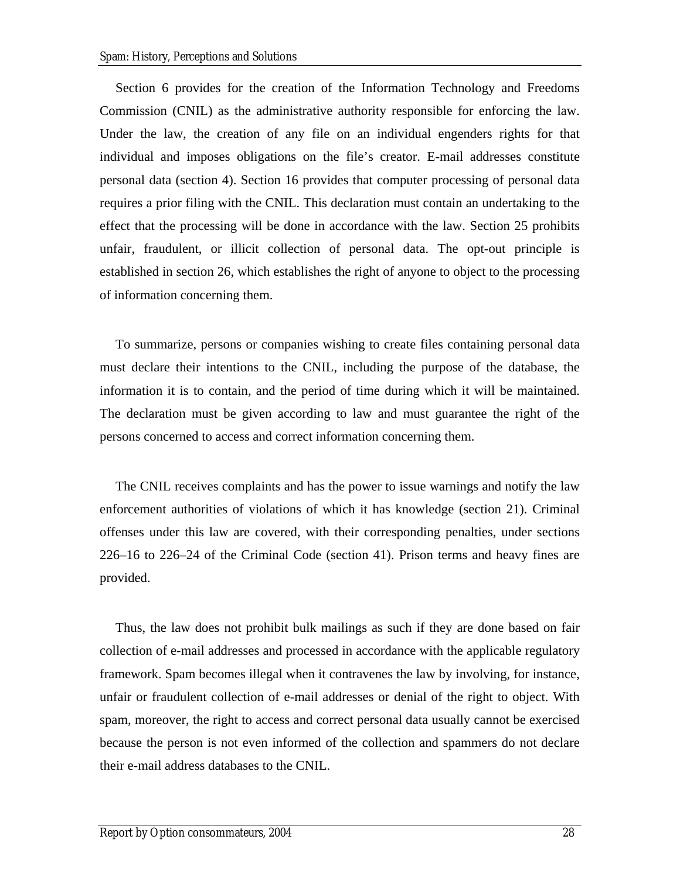Section 6 provides for the creation of the Information Technology and Freedoms Commission (CNIL) as the administrative authority responsible for enforcing the law. Under the law, the creation of any file on an individual engenders rights for that individual and imposes obligations on the file's creator. E-mail addresses constitute personal data (section 4). Section 16 provides that computer processing of personal data requires a prior filing with the CNIL. This declaration must contain an undertaking to the effect that the processing will be done in accordance with the law. Section 25 prohibits unfair, fraudulent, or illicit collection of personal data. The opt-out principle is established in section 26, which establishes the right of anyone to object to the processing of information concerning them.

To summarize, persons or companies wishing to create files containing personal data must declare their intentions to the CNIL, including the purpose of the database, the information it is to contain, and the period of time during which it will be maintained. The declaration must be given according to law and must guarantee the right of the persons concerned to access and correct information concerning them.

The CNIL receives complaints and has the power to issue warnings and notify the law enforcement authorities of violations of which it has knowledge (section 21). Criminal offenses under this law are covered, with their corresponding penalties, under sections 226–16 to 226–24 of the Criminal Code (section 41). Prison terms and heavy fines are provided.

Thus, the law does not prohibit bulk mailings as such if they are done based on fair collection of e-mail addresses and processed in accordance with the applicable regulatory framework. Spam becomes illegal when it contravenes the law by involving, for instance, unfair or fraudulent collection of e-mail addresses or denial of the right to object. With spam, moreover, the right to access and correct personal data usually cannot be exercised because the person is not even informed of the collection and spammers do not declare their e-mail address databases to the CNIL.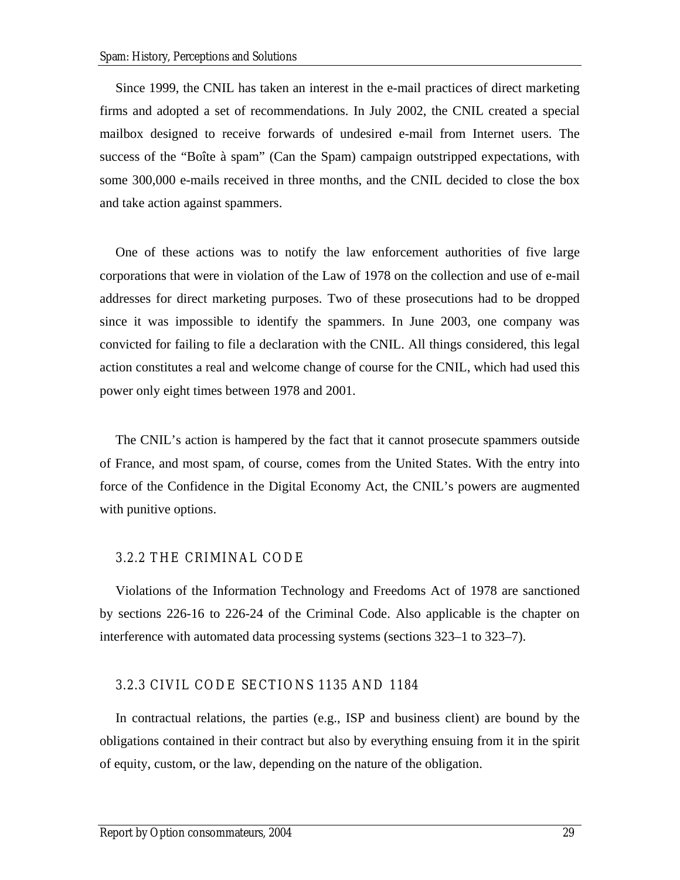<span id="page-38-0"></span>Since 1999, the CNIL has taken an interest in the e-mail practices of direct marketing firms and adopted a set of recommendations. In July 2002, the CNIL created a special mailbox designed to receive forwards of undesired e-mail from Internet users. The success of the "Boîte à spam" (Can the Spam) campaign outstripped expectations, with some 300,000 e-mails received in three months, and the CNIL decided to close the box and take action against spammers.

One of these actions was to notify the law enforcement authorities of five large corporations that were in violation of the Law of 1978 on the collection and use of e-mail addresses for direct marketing purposes. Two of these prosecutions had to be dropped since it was impossible to identify the spammers. In June 2003, one company was convicted for failing to file a declaration with the CNIL. All things considered, this legal action constitutes a real and welcome change of course for the CNIL, which had used this power only eight times between 1978 and 2001.

The CNIL's action is hampered by the fact that it cannot prosecute spammers outside of France, and most spam, of course, comes from the United States. With the entry into force of the Confidence in the Digital Economy Act, the CNIL's powers are augmented with punitive options.

#### 3.2.2 THE CRIMINAL CODE

Violations of the Information Technology and Freedoms Act of 1978 are sanctioned by sections 226-16 to 226-24 of the Criminal Code. Also applicable is the chapter on interference with automated data processing systems (sections 323–1 to 323–7).

### 3.2.3 CIVIL CODE SECTIONS 1135 AND 1184

In contractual relations, the parties (e.g., ISP and business client) are bound by the obligations contained in their contract but also by everything ensuing from it in the spirit of equity, custom, or the law, depending on the nature of the obligation.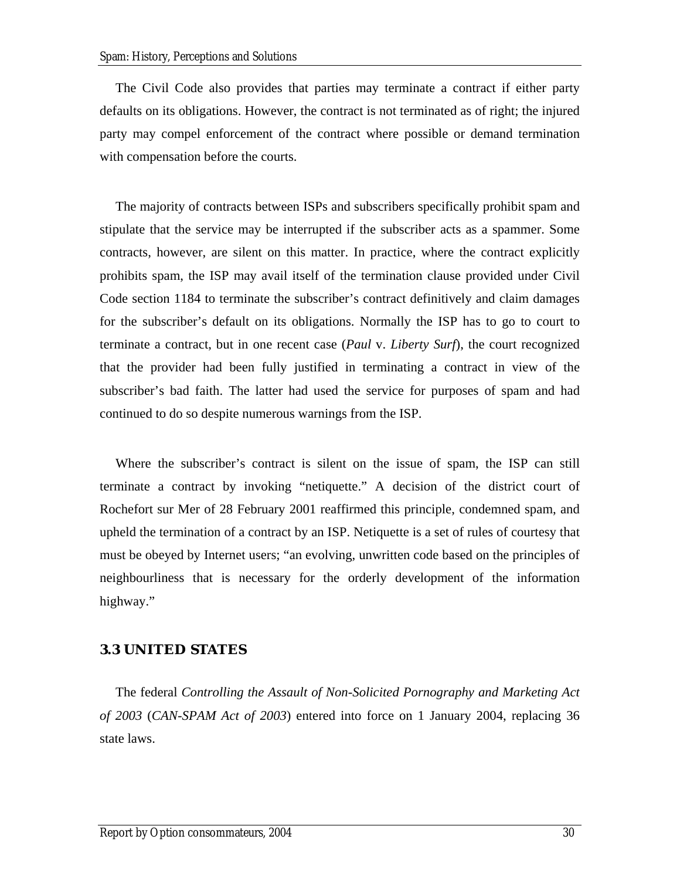<span id="page-39-0"></span>The Civil Code also provides that parties may terminate a contract if either party defaults on its obligations. However, the contract is not terminated as of right; the injured party may compel enforcement of the contract where possible or demand termination with compensation before the courts.

The majority of contracts between ISPs and subscribers specifically prohibit spam and stipulate that the service may be interrupted if the subscriber acts as a spammer. Some contracts, however, are silent on this matter. In practice, where the contract explicitly prohibits spam, the ISP may avail itself of the termination clause provided under Civil Code section 1184 to terminate the subscriber's contract definitively and claim damages for the subscriber's default on its obligations. Normally the ISP has to go to court to terminate a contract, but in one recent case (*Paul* v. *Liberty Surf*), the court recognized that the provider had been fully justified in terminating a contract in view of the subscriber's bad faith. The latter had used the service for purposes of spam and had continued to do so despite numerous warnings from the ISP.

Where the subscriber's contract is silent on the issue of spam, the ISP can still terminate a contract by invoking "netiquette." A decision of the district court of Rochefort sur Mer of 28 February 2001 reaffirmed this principle, condemned spam, and upheld the termination of a contract by an ISP. Netiquette is a set of rules of courtesy that must be obeyed by Internet users; "an evolving, unwritten code based on the principles of neighbourliness that is necessary for the orderly development of the information highway."

### **3.3 UNITED STATES**

The federal *Controlling the Assault of Non-Solicited Pornography and Marketing Act of 2003* (*CAN-SPAM Act of 2003*) entered into force on 1 January 2004, replacing 36 state laws.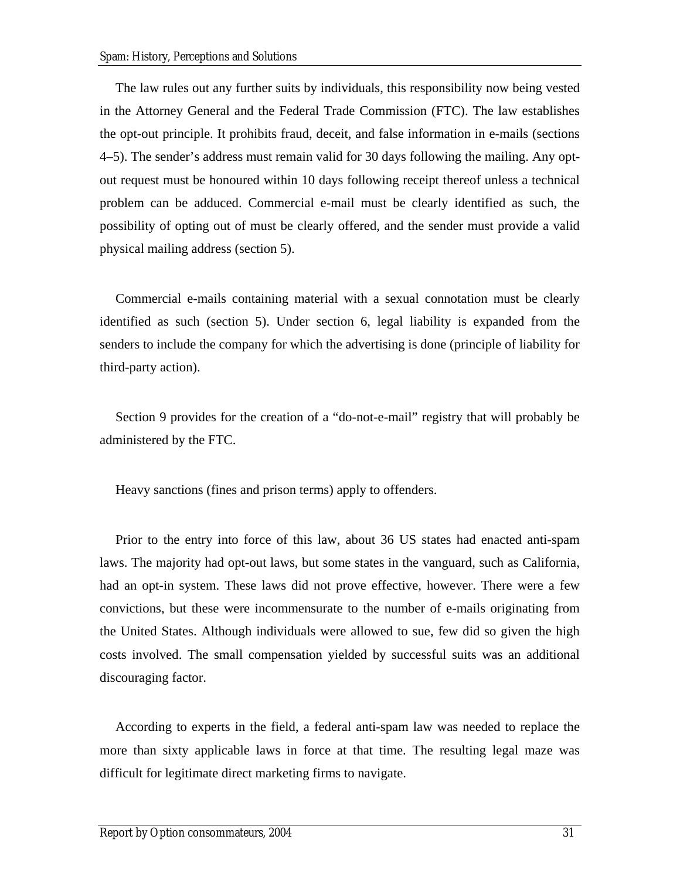The law rules out any further suits by individuals, this responsibility now being vested in the Attorney General and the Federal Trade Commission (FTC). The law establishes the opt-out principle. It prohibits fraud, deceit, and false information in e-mails (sections 4–5). The sender's address must remain valid for 30 days following the mailing. Any optout request must be honoured within 10 days following receipt thereof unless a technical problem can be adduced. Commercial e-mail must be clearly identified as such, the possibility of opting out of must be clearly offered, and the sender must provide a valid physical mailing address (section 5).

Commercial e-mails containing material with a sexual connotation must be clearly identified as such (section 5). Under section 6, legal liability is expanded from the senders to include the company for which the advertising is done (principle of liability for third-party action).

Section 9 provides for the creation of a "do-not-e-mail" registry that will probably be administered by the FTC.

Heavy sanctions (fines and prison terms) apply to offenders.

Prior to the entry into force of this law, about 36 US states had enacted anti-spam laws. The majority had opt-out laws, but some states in the vanguard, such as California, had an opt-in system. These laws did not prove effective, however. There were a few convictions, but these were incommensurate to the number of e-mails originating from the United States. Although individuals were allowed to sue, few did so given the high costs involved. The small compensation yielded by successful suits was an additional discouraging factor.

According to experts in the field, a federal anti-spam law was needed to replace the more than sixty applicable laws in force at that time. The resulting legal maze was difficult for legitimate direct marketing firms to navigate.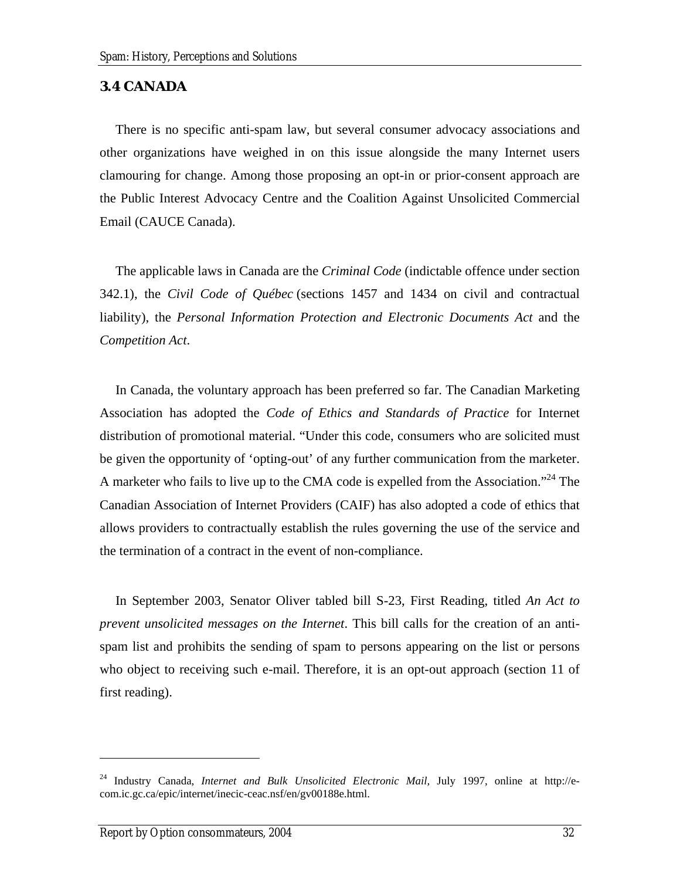### <span id="page-41-0"></span>**3.4 CANADA**

There is no specific anti-spam law, but several consumer advocacy associations and other organizations have weighed in on this issue alongside the many Internet users clamouring for change. Among those proposing an opt-in or prior-consent approach are the Public Interest Advocacy Centre and the Coalition Against Unsolicited Commercial Email (CAUCE Canada).

The applicable laws in Canada are the *Criminal Code* (indictable offence under section 342.1), the *Civil Code of Québec* (sections 1457 and 1434 on civil and contractual liability), the *Personal Information Protection and Electronic Documents Act* and the *Competition Act*.

In Canada, the voluntary approach has been preferred so far. The Canadian Marketing Association has adopted the *Code of Ethics and Standards of Practice* for Internet distribution of promotional material. "Under this code, consumers who are solicited must be given the opportunity of 'opting-out' of any further communication from the marketer. A marketer who fails to live up to the CMA code is expelled from the Association.<sup>24</sup> The Canadian Association of Internet Providers (CAIF) has also adopted a code of ethics that allows providers to contractually establish the rules governing the use of the service and the termination of a contract in the event of non-compliance.

In September 2003, Senator Oliver tabled bill S-23, First Reading, titled *An Act to prevent unsolicited messages on the Internet*. This bill calls for the creation of an antispam list and prohibits the sending of spam to persons appearing on the list or persons who object to receiving such e-mail. Therefore, it is an opt-out approach (section 11 of first reading).

<span id="page-41-1"></span><sup>&</sup>lt;sup>24</sup> Industry Canada, *Internet and Bulk Unsolicited Electronic Mail*, July 1997, online at http://ecom.ic.gc.ca/epic/internet/inecic-ceac.nsf/en/gv00188e.html.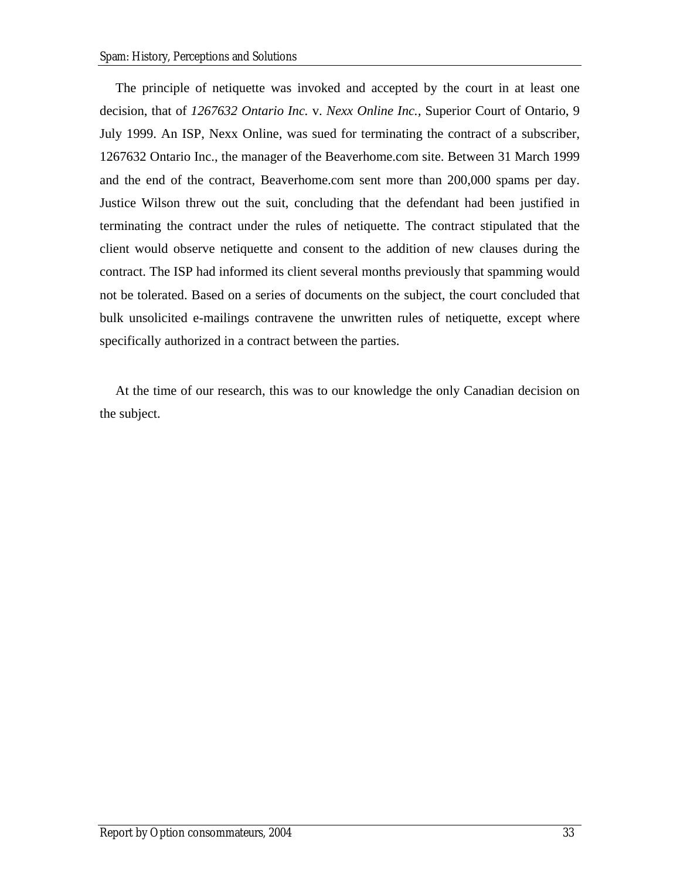The principle of netiquette was invoked and accepted by the court in at least one decision, that of *1267632 Ontario Inc.* v. *Nexx Online Inc.,* Superior Court of Ontario, 9 July 1999. An ISP, Nexx Online, was sued for terminating the contract of a subscriber, 1267632 Ontario Inc., the manager of the Beaverhome.com site. Between 31 March 1999 and the end of the contract, Beaverhome.com sent more than 200,000 spams per day. Justice Wilson threw out the suit, concluding that the defendant had been justified in terminating the contract under the rules of netiquette. The contract stipulated that the client would observe netiquette and consent to the addition of new clauses during the contract. The ISP had informed its client several months previously that spamming would not be tolerated. Based on a series of documents on the subject, the court concluded that bulk unsolicited e-mailings contravene the unwritten rules of netiquette, except where specifically authorized in a contract between the parties.

At the time of our research, this was to our knowledge the only Canadian decision on the subject.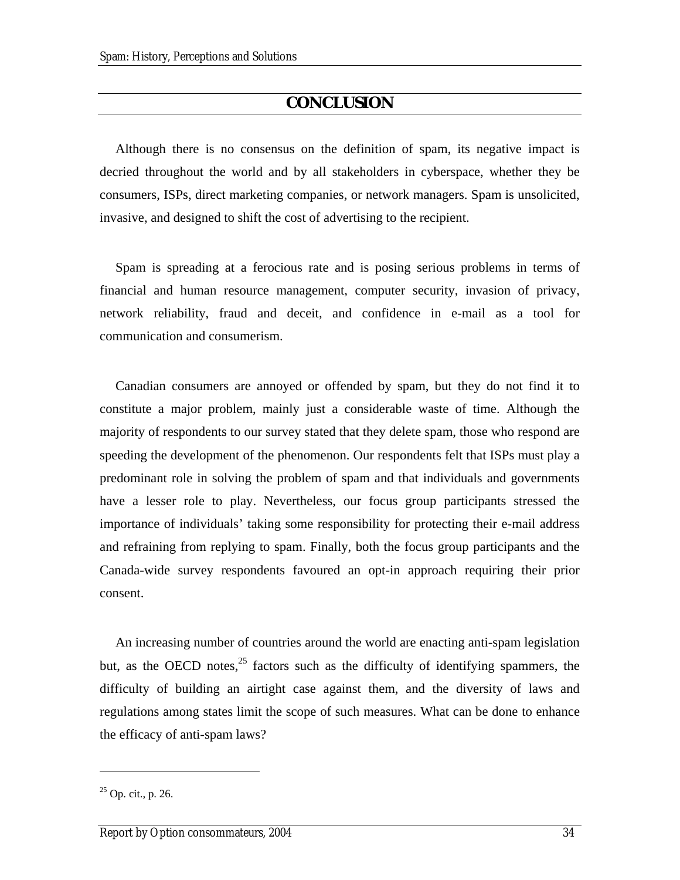## **CONCLUSION**

<span id="page-43-0"></span>Although there is no consensus on the definition of spam, its negative impact is decried throughout the world and by all stakeholders in cyberspace, whether they be consumers, ISPs, direct marketing companies, or network managers. Spam is unsolicited, invasive, and designed to shift the cost of advertising to the recipient.

Spam is spreading at a ferocious rate and is posing serious problems in terms of financial and human resource management, computer security, invasion of privacy, network reliability, fraud and deceit, and confidence in e-mail as a tool for communication and consumerism.

Canadian consumers are annoyed or offended by spam, but they do not find it to constitute a major problem, mainly just a considerable waste of time. Although the majority of respondents to our survey stated that they delete spam, those who respond are speeding the development of the phenomenon. Our respondents felt that ISPs must play a predominant role in solving the problem of spam and that individuals and governments have a lesser role to play. Nevertheless, our focus group participants stressed the importance of individuals' taking some responsibility for protecting their e-mail address and refraining from replying to spam. Finally, both the focus group participants and the Canada-wide survey respondents favoured an opt-in approach requiring their prior consent.

An increasing number of countries around the world are enacting anti-spam legislation but, as the OECD notes,  $2^5$  factors such as the difficulty of identifying spammers, the difficulty of building an airtight case against them, and the diversity of laws and regulations among states limit the scope of such measures. What can be done to enhance the efficacy of anti-spam laws?

<span id="page-43-1"></span> $25$  Op. cit., p. 26.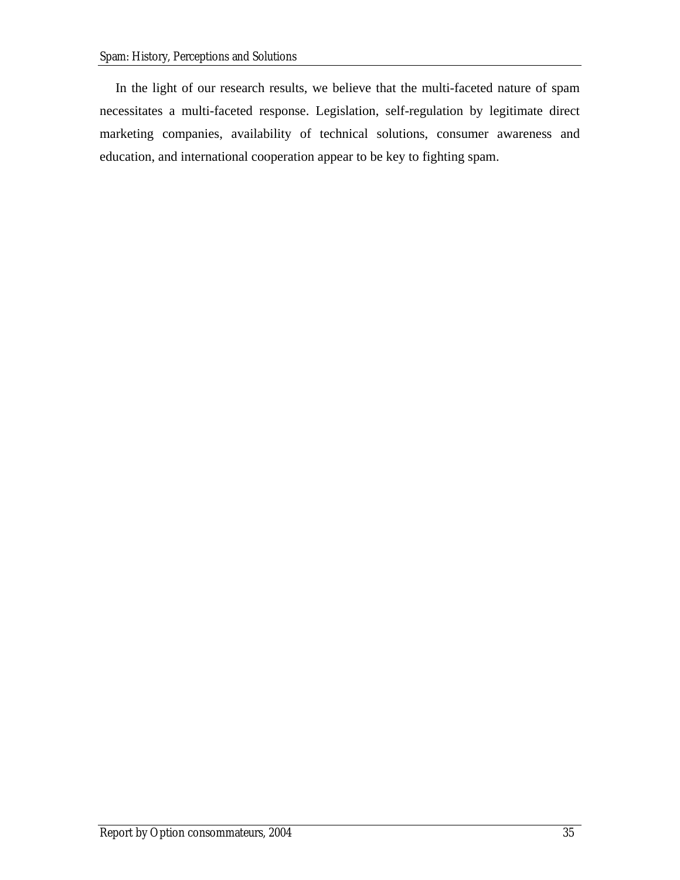In the light of our research results, we believe that the multi-faceted nature of spam necessitates a multi-faceted response. Legislation, self-regulation by legitimate direct marketing companies, availability of technical solutions, consumer awareness and education, and international cooperation appear to be key to fighting spam.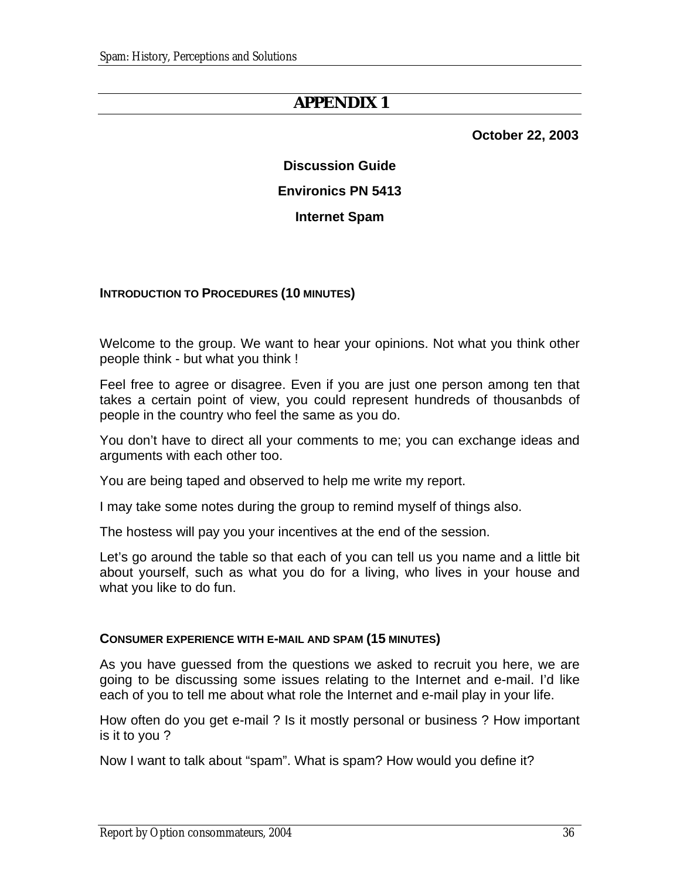## **APPENDIX 1**

 **October 22, 2003** 

# **Discussion Guide Environics PN 5413**

### **Internet Spam**

### <span id="page-45-0"></span>**INTRODUCTION TO PROCEDURES (10 MINUTES)**

Welcome to the group. We want to hear your opinions. Not what you think other people think - but what you think !

Feel free to agree or disagree. Even if you are just one person among ten that takes a certain point of view, you could represent hundreds of thousanbds of people in the country who feel the same as you do.

You don't have to direct all your comments to me; you can exchange ideas and arguments with each other too.

You are being taped and observed to help me write my report.

I may take some notes during the group to remind myself of things also.

The hostess will pay you your incentives at the end of the session.

Let's go around the table so that each of you can tell us you name and a little bit about yourself, such as what you do for a living, who lives in your house and what you like to do fun.

#### **CONSUMER EXPERIENCE WITH E-MAIL AND SPAM (15 MINUTES)**

As you have guessed from the questions we asked to recruit you here, we are going to be discussing some issues relating to the Internet and e-mail. I'd like each of you to tell me about what role the Internet and e-mail play in your life.

How often do you get e-mail ? Is it mostly personal or business ? How important is it to you ?

Now I want to talk about "spam". What is spam? How would you define it?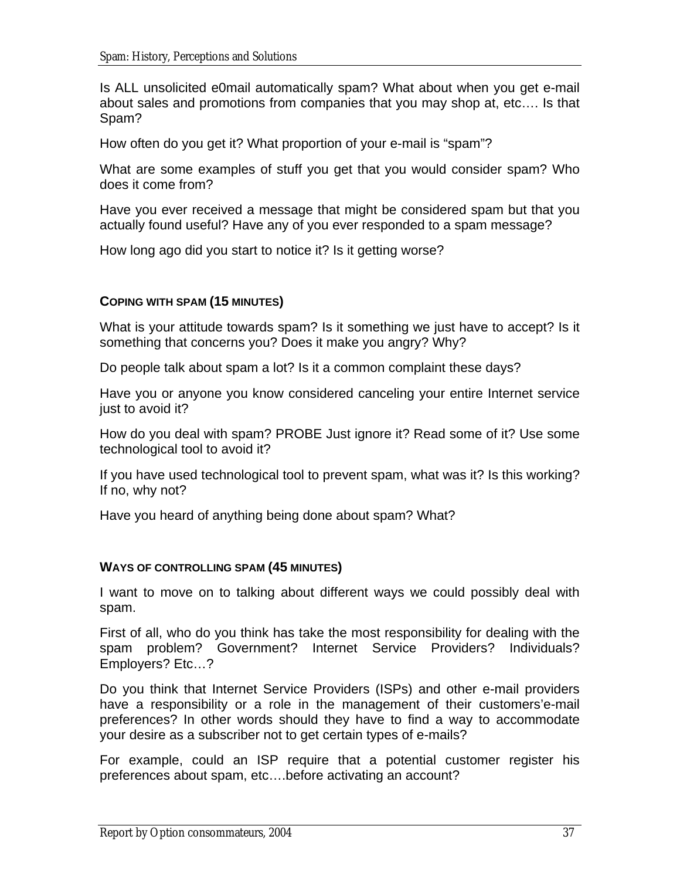Is ALL unsolicited e0mail automatically spam? What about when you get e-mail about sales and promotions from companies that you may shop at, etc…. Is that Spam?

How often do you get it? What proportion of your e-mail is "spam"?

What are some examples of stuff you get that you would consider spam? Who does it come from?

Have you ever received a message that might be considered spam but that you actually found useful? Have any of you ever responded to a spam message?

How long ago did you start to notice it? Is it getting worse?

## **COPING WITH SPAM (15 MINUTES)**

What is your attitude towards spam? Is it something we just have to accept? Is it something that concerns you? Does it make you angry? Why?

Do people talk about spam a lot? Is it a common complaint these days?

Have you or anyone you know considered canceling your entire Internet service just to avoid it?

How do you deal with spam? PROBE Just ignore it? Read some of it? Use some technological tool to avoid it?

If you have used technological tool to prevent spam, what was it? Is this working? If no, why not?

Have you heard of anything being done about spam? What?

## **WAYS OF CONTROLLING SPAM (45 MINUTES)**

I want to move on to talking about different ways we could possibly deal with spam.

First of all, who do you think has take the most responsibility for dealing with the spam problem? Government? Internet Service Providers? Individuals? Employers? Etc…?

Do you think that Internet Service Providers (ISPs) and other e-mail providers have a responsibility or a role in the management of their customers'e-mail preferences? In other words should they have to find a way to accommodate your desire as a subscriber not to get certain types of e-mails?

For example, could an ISP require that a potential customer register his preferences about spam, etc….before activating an account?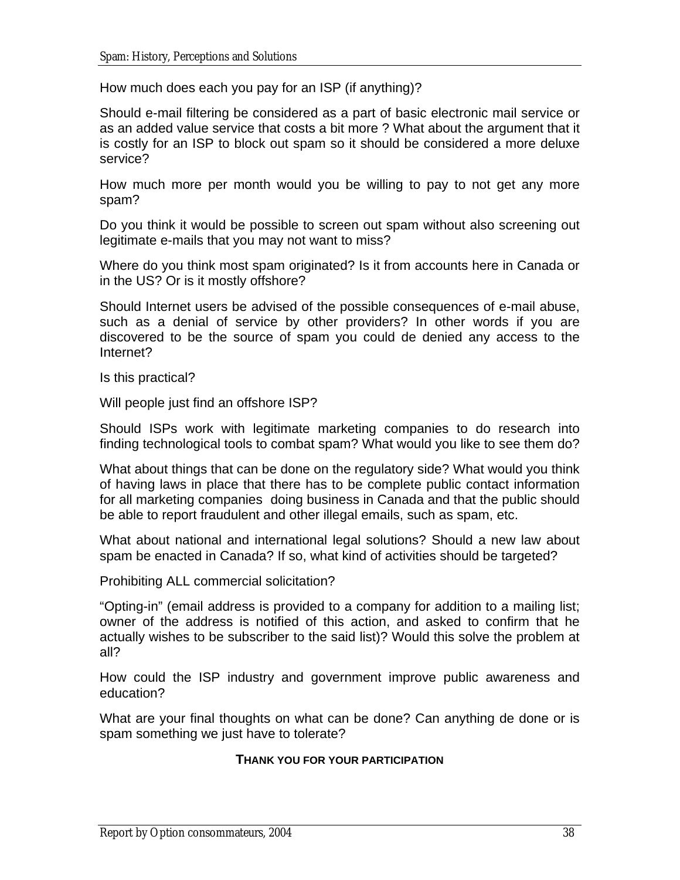How much does each you pay for an ISP (if anything)?

Should e-mail filtering be considered as a part of basic electronic mail service or as an added value service that costs a bit more ? What about the argument that it is costly for an ISP to block out spam so it should be considered a more deluxe service?

How much more per month would you be willing to pay to not get any more spam?

Do you think it would be possible to screen out spam without also screening out legitimate e-mails that you may not want to miss?

Where do you think most spam originated? Is it from accounts here in Canada or in the US? Or is it mostly offshore?

Should Internet users be advised of the possible consequences of e-mail abuse, such as a denial of service by other providers? In other words if you are discovered to be the source of spam you could de denied any access to the Internet?

Is this practical?

Will people just find an offshore ISP?

Should ISPs work with legitimate marketing companies to do research into finding technological tools to combat spam? What would you like to see them do?

What about things that can be done on the regulatory side? What would you think of having laws in place that there has to be complete public contact information for all marketing companies doing business in Canada and that the public should be able to report fraudulent and other illegal emails, such as spam, etc.

What about national and international legal solutions? Should a new law about spam be enacted in Canada? If so, what kind of activities should be targeted?

Prohibiting ALL commercial solicitation?

"Opting-in" (email address is provided to a company for addition to a mailing list; owner of the address is notified of this action, and asked to confirm that he actually wishes to be subscriber to the said list)? Would this solve the problem at all?

How could the ISP industry and government improve public awareness and education?

What are your final thoughts on what can be done? Can anything de done or is spam something we just have to tolerate?

### **THANK YOU FOR YOUR PARTICIPATION**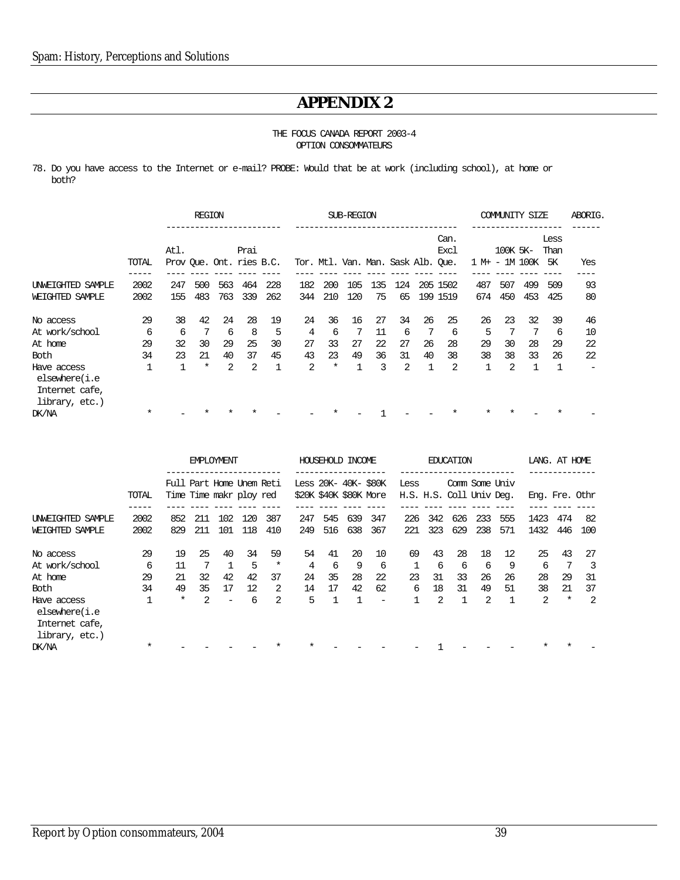## **APPENDIX 2**

#### THE FOCUS CANADA REPORT 2003-4 OPTION CONSOMMATEURS

<span id="page-48-0"></span>78. Do you have access to the Internet or e-mail? PROBE: Would that be at work (including school), at home or both?

|                                                                  |         |      | <b>REGION</b> |     |                                  |     | SUB-REGION                         |        |     |     |     |    |              |        | COMMUNITY<br>SIZE |         |                    |     |  |  |
|------------------------------------------------------------------|---------|------|---------------|-----|----------------------------------|-----|------------------------------------|--------|-----|-----|-----|----|--------------|--------|-------------------|---------|--------------------|-----|--|--|
|                                                                  | TOTAL   | Atl. |               |     | Prai<br>Prov Que. Ont. ries B.C. |     | Tor. Mtl. Van. Man. Sask Alb. Que. |        |     |     |     |    | Can.<br>Excl | 1 M+ - | 100K 5K-          | 1M 100K | Less<br>Than<br>5К | Yes |  |  |
| UNWEIGHTED SAMPLE                                                | 2002    | 247  | 500           | 563 | 464                              | 228 | 182                                | 200    | 105 | 135 | 124 |    | 205 1502     | 487    | 507               | 499     | 509                | 93  |  |  |
| WEIGHTED SAMPLE                                                  | 2002    | 155  | 483           | 763 | 339                              | 262 | 344                                | 210    | 120 | 75  | 65  |    | 199 1519     | 674    | 450               | 453     | 425                | 80  |  |  |
| No access                                                        | 29      | 38   | 42            | 24  | 28                               | 19  | 24                                 | 36     | 16  | 27  | 34  | 26 | 25           | 26     | 23                | 32      | 39                 | 46  |  |  |
| At work/school                                                   | 6       | 6    | 7             | 6   | 8                                | 5   | $\overline{4}$                     | 6      | 7   | 11  | 6   | 7  | 6            | 5      | 7                 | 7       | 6                  | 10  |  |  |
| At home                                                          | 29      | 32   | 30            | 29  | 25                               | 30  | 27                                 | 33     | 27  | 22  | 27  | 26 | 28           | 29     | 30                | 28      | 29                 | 22  |  |  |
| <b>Both</b>                                                      | 34      | 23   | 21            | 40  | 37                               | 45  | 43                                 | 23     | 49  | 36  | 31  | 40 | 38           | 38     | 38                | 33      | 26                 | 22  |  |  |
| Have access<br>elsewhere(i.e<br>Internet cafe,<br>library, etc.) |         |      | $^\star$      | 2   | $\overline{2}$                   |     | 2                                  | $\ast$ |     | 3   | 2   |    | 2            |        | 2                 |         | $\mathbf 1$        | -   |  |  |
| DK/NA                                                            | $\star$ |      |               |     |                                  |     |                                    |        |     |     |     |    |              |        |                   |         |                    |     |  |  |

|                                                                  |         | <b>EMPLOYMENT</b>                                    |     |     |     |        |                                                | HOUSEHOLD INCOME |     |                          |                                  |     | <b>EDUCATION</b> |     |     |                | LANG. AT HOME |     |
|------------------------------------------------------------------|---------|------------------------------------------------------|-----|-----|-----|--------|------------------------------------------------|------------------|-----|--------------------------|----------------------------------|-----|------------------|-----|-----|----------------|---------------|-----|
|                                                                  | TOTAL   | Full Part Home Unem Reti<br>Time Time maker ploy red |     |     |     |        | Less 20K- 40K- \$80K<br>\$20K \$40K \$80K More |                  |     |                          | Less<br>H.S. H.S. Coll Univ Deg. |     | Comm Some Univ   |     |     | Eng. Fre. Othr |               |     |
| UNWEIGHTED SAMPLE                                                | 2002    | 852                                                  | 211 | 102 | 120 | 387    | 247                                            | 545              | 639 | 347                      | 226                              | 342 | 626              | 233 | 555 | 1423           | 474           | -82 |
| WEIGHTED SAMPLE                                                  | 2002    | 829                                                  | 211 | 101 | 118 | 410    | 249                                            | 516              | 638 | 367                      | 221                              | 323 | 629              | 238 | 571 | 1432           | 446           | 100 |
| No access                                                        | 29      | 19                                                   | 25  | 40  | 34  | 59     | 54                                             | 41               | 20  | 10                       | 69                               | 43  | 28               | 18  | 12  | 25             | 43            | 27  |
| At work/school                                                   | 6       | 11                                                   |     |     | 5   | $\ast$ | 4                                              | 6                | 9   | 6                        | 1                                | 6   | 6                | 6   | 9   | 6              | 7             | 3   |
| At home                                                          | 29      | 21                                                   | 32  | 42  | 42  | 37     | 24                                             | 35               | 28  | 22                       | 23                               | 31  | 33               | 26  | 26  | 28             | 29            | 31  |
| Both                                                             | 34      | 49                                                   | 35  | 17  | 12  | 2      | 14                                             | 17               | 42  | 62                       | 6                                | 18  | 31               | 49  | 51  | 38             | 21            | 37  |
| Have access<br>elsewhere(i.e<br>Internet cafe,<br>library, etc.) |         | $^\star$                                             | 2   |     | 6   | 2      | 5                                              |                  |     | $\overline{\phantom{0}}$ |                                  | 2   |                  | 2   |     | 2              | $\ast$        | 2   |
| DK/NA                                                            | $\star$ |                                                      |     |     |     |        |                                                |                  |     |                          |                                  |     |                  |     |     |                |               |     |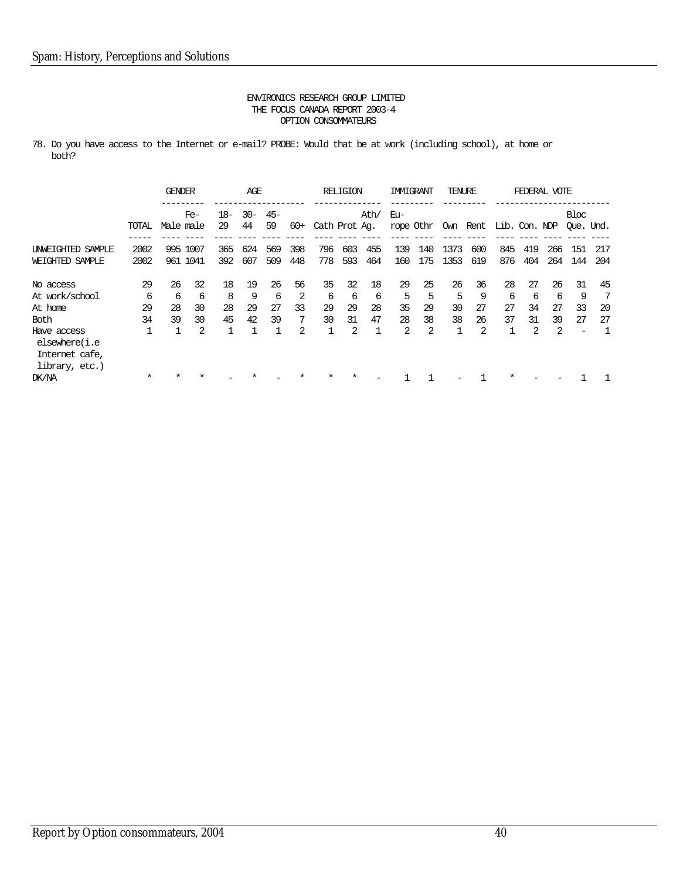78. Do you have access to the Internet or e-mail? PROBE: Would that be at work (including school), at home or both?

|                                                                  |        | <b>GENDER</b> |                    |             | AGE          |              |       |               | <b>RELIGION</b> |              | IMMIGRANT                               |     | TENURE |     |     |     | FEDERAL VOTE |                          |     |
|------------------------------------------------------------------|--------|---------------|--------------------|-------------|--------------|--------------|-------|---------------|-----------------|--------------|-----------------------------------------|-----|--------|-----|-----|-----|--------------|--------------------------|-----|
|                                                                  | TOTAL  |               | $Fe-$<br>Male male | $18-$<br>29 | $30 -$<br>44 | $45 -$<br>59 | $60+$ | Cath Prot Ag. |                 | Ath/         | Eu-<br>rope Othr Own Rent Lib. Con. NDP |     |        |     |     |     |              | Bloc<br>Oue. Und.        |     |
|                                                                  |        |               |                    |             |              |              |       |               |                 |              |                                         |     |        |     |     |     |              |                          |     |
| UNWEIGHTED SAMPLE                                                | 2002   |               | 995 1007           | 365         | 624          | 569          | 398   | 796           | 603             | 455          | 139                                     | 140 | 1373   | 600 | 845 | 419 | 266          | 151                      | 217 |
| WEIGHTED SAMPLE                                                  | 2002   |               | 961 1041           | 392         | 607          | 509          | 448   | 778           | 593             | 464          | 160                                     | 175 | 1353   | 619 | 876 | 404 | 264          | 144                      | 204 |
| No access                                                        | 29     | 26            | 32                 | 18          | 19           | 26           | 56    | 35            | 32              | 18           | 29                                      | 25  | 26     | 36  | 28  | 27  | 26           | 31                       | 45  |
| At work/school                                                   | 6      | 6             | 6                  | 8           | 9            | 6            | 2     | 6             | 6               | 6            | 5                                       | 5   | 5      | 9   | 6   | 6   | 6            | 9                        | -7  |
| At home                                                          | 29     | 28            | 30                 | 28          | 29           | 27           | 33    | 29            | 29              | 28           | 35                                      | 29  | 30     | 27  | 27  | 34  | 27           | 33                       | 20  |
| Both                                                             | 34     | 39            | 30                 | 45          | 42           | 39           | 7     | 30            | 31              | 47           | 28                                      | 38  | 38     | 26  | 37  | 31  | 39           | 27                       | 27  |
| Have access<br>elsewhere(i.e<br>Internet cafe,<br>library, etc.) |        |               | $\mathfrak{D}$     |             |              |              | 2     |               | 2               | $\mathbf{1}$ | 2                                       | 2   |        | 2   |     | 2   | 2            | $\overline{\phantom{a}}$ |     |
| DK/NA                                                            | $\ast$ |               |                    |             |              |              |       | $\ast$        | $\ast$          |              |                                         |     |        |     |     |     |              |                          |     |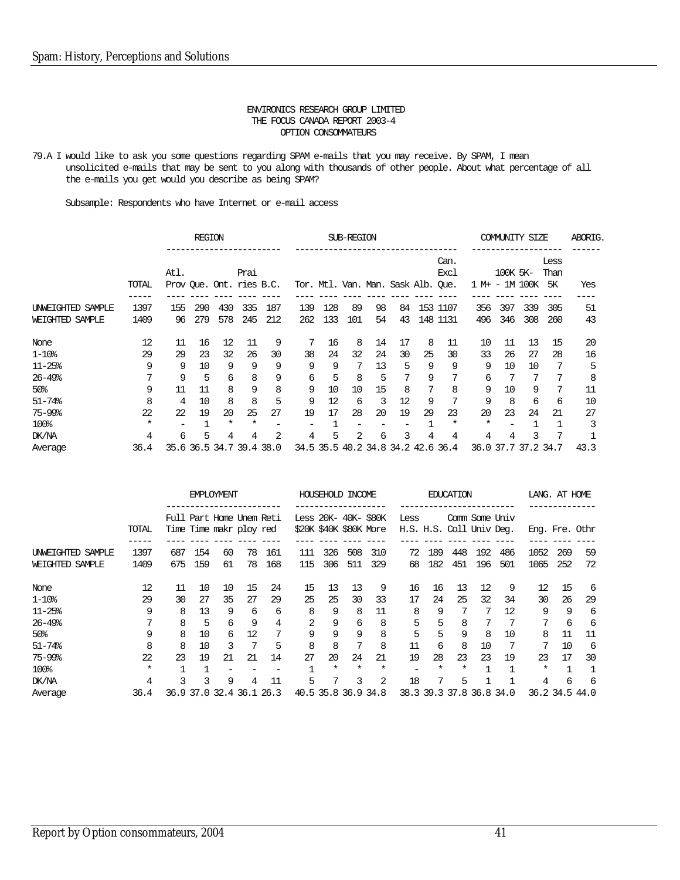79.A I would like to ask you some questions regarding SPAM e-mails that you may receive. By SPAM, I mean unsolicited e-mails that may be sent to you along with thousands of other people. About what percentage of all the e-mails you get would you describe as being SPAM?

Subsample: Respondents who have Internet or e-mail access

|                        |        |      | <b>REGION</b> |                          |        |     |     |     | SUB-REGION |    |                                    |    |                     |                | <b>COMMUNITY SIZE</b> |     |                           | ABORIG.      |
|------------------------|--------|------|---------------|--------------------------|--------|-----|-----|-----|------------|----|------------------------------------|----|---------------------|----------------|-----------------------|-----|---------------------------|--------------|
|                        | TOTAL  | Atl. |               | Prov Oue. Ont. ries B.C. | Prai   |     |     |     |            |    | Tor. Mtl. Van. Man. Sask Alb. Que. |    | Can.<br><b>Excl</b> | 1 M+ - 1M 100K | 100K 5K-              |     | Less<br>Than<br><b>5K</b> | Yes          |
|                        |        |      |               |                          |        |     |     |     |            |    |                                    |    |                     |                |                       |     |                           |              |
| UNWEIGHTED SAMPLE      | 1397   | 155  | 290           | 430                      | 335    | 187 | 139 | 128 | 89         | 98 | 84                                 |    | 153 1107            | 356            | 397                   | 339 | 305                       | 51           |
| WEIGHTED SAMPLE        | 1409   | 96   | 279           | 578                      | 245    | 212 | 262 | 133 | 101        | 54 | 43                                 |    | 148 1131            | 496            | 346                   | 308 | 260                       | 43           |
| None                   | 12     | 11   | 16            | 12                       | 11     | 9   | 7   | 16  | 8          | 14 | 17                                 | 8  | 11                  | 10             | 11                    | 13  | 15                        | 20           |
| $1 - 10$ %             | 29     | 29   | 23            | 32                       | 26     | 30  | 38  | 24  | 32         | 24 | 30                                 | 25 | 30                  | 33             | 26                    | 27  | 28                        | 16           |
| $11 - 25%$             | 9      | 9    | 10            | 9                        | 9      | 9   | 9   | 9   | 7          | 13 | 5                                  | 9  | 9                   | 9              | 10                    | 10  | 7                         | 5            |
| $26 - 49$ %            | 7      | 9    | 5             | 6                        | 8      | 9   | 6   | 5   | 8          | 5  | 7                                  | 9  | 7                   | 6              | 7                     | 7   | 7                         | 8            |
| 50 <sup>8</sup>        | 9      | 11   | 11            | 8                        | 9      | 8   | 9   | 10  | 10         | 15 | 8                                  | 7  | 8                   | 9              | 10                    | 9   | 7                         | 11           |
| $51 - 74$ %            | 8      | 4    | 10            | 8                        | 8      | 5   | 9   | 12  | 6          | 3  | 12                                 | 9  | 7                   | 9              | 8                     | 6   | 6                         | 10           |
| $75 - 99$ <sup>8</sup> | 22     | 22   | 19            | 20                       | 25     | 27  | 19  | 17  | 28         | 20 | 19                                 | 29 | 23                  | 20             | 23                    | 24  | 21                        | 27           |
| 100%                   | $\ast$ | -    |               | $\ast$                   | $\ast$ |     |     |     |            |    |                                    |    | $\ast$              | $^\star$       |                       |     |                           | 3            |
| DK/NA                  | 4      | 6    | 5             | 4                        | 4      | 2   | 4   | 5   | 2          | 6  | 3                                  | 4  | 4                   | 4              | 4                     | 3   | 7                         | $\mathbf{1}$ |
| Average                | 36.4   |      |               | 35.6 36.5 34.7 39.4 38.0 |        |     |     |     |            |    | 34.5 35.5 40.2 34.8 34.2 42.6 36.4 |    |                     |                | 36.0 37.7 37.2 34.7   |     |                           | 43.3         |

|                   |          |                          |     | <b>EMPLOYMENT</b>        |    |     |                                                |          | HOUSEHOLD INCOME |        |                                  |     | <b>EDUCATION</b> |     |                          |          | LANG. AT HOME  |                |
|-------------------|----------|--------------------------|-----|--------------------------|----|-----|------------------------------------------------|----------|------------------|--------|----------------------------------|-----|------------------|-----|--------------------------|----------|----------------|----------------|
|                   | TOTAL    | Time Time maker ploy red |     | Full Part Home Unem Reti |    |     | Less 20K- 40K- \$80K<br>\$20K \$40K \$80K More |          |                  |        | Less<br>H.S. H.S. Coll Univ Deg. |     |                  |     | Comm Some Univ           |          | Eng. Fre. Othr |                |
| UNWEIGHTED SAMPLE | 1397     | 687                      | 154 | 60                       | 78 | 161 | 111                                            | 326      | 508              | 310    | 72                               | 189 | 448              | 192 | 486                      | 1052     | 269            | 59             |
| WEIGHTED SAMPLE   | 1409     | 675                      | 159 | 61                       | 78 | 168 | 115                                            | 306      | 511              | 329    | 68                               | 182 | 451              | 196 | 501                      | 1065     | 252            | 72             |
| None              | 12       | 11                       | 10  | 10                       | 15 | 24  | 15                                             | 13       | 13               | 9      | 16                               | 16  | 13               | 12  | 9                        | 12       | 15             | 6              |
| $1 - 108$         | 29       | 30                       | 27  | 35                       | 27 | 29  | 25                                             | 25       | 30               | 33     | 17                               | 24  | 25               | 32  | 34                       | 30       | 26             | 29             |
| $11 - 25%$        | 9        | 8                        | 13  | 9                        | 6  | 6   | 8                                              | 9        | 8                | 11     | 8                                | 9   |                  | 7   | 12                       | 9        | 9              | 6              |
| $26 - 49$ %       |          | 8                        | 5   | 6                        | 9  | 4   | 2                                              | 9        | 6                | 8      | 5                                | 5   | 8                | 7   |                          | 7        | 6              | 6              |
| 50 <sup>8</sup>   | 9        | 8                        | 10  | 6                        | 12 | 7   | 9                                              | 9        | 9                | 8      | 5                                | 5   | 9                | 8   | 10                       | 8        | 11             | 11             |
| $51 - 74%$        | 8        | 8                        | 10  | 3                        | 7  | 5   | 8                                              | 8        | 7                | 8      | 11                               | 6   | 8                | 10  | 7                        | 7        | 10             | 6              |
| 75-99%            | 22       | 23                       | 19  | 21                       | 21 | 14  | 27                                             | 20       | 24               | 21     | 19                               | 28  | 23               | 23  | 19                       | 23       | 17             | 30             |
| 100%              | $^\star$ |                          |     |                          |    |     |                                                | $^\star$ | $^\star$         | $\ast$ |                                  | *   | *                |     |                          | $^\star$ |                | $\overline{1}$ |
| DK/NA             | 4        | 3                        | 3   | 9                        | 4  | 11  | 5                                              |          | 3                | 2      | 18                               | 7   | 5                |     |                          | 4        | 6              | 6              |
| Average           | 36.4     |                          |     | 36.9 37.0 32.4 36.1 26.3 |    |     | 40.5 35.8 36.9 34.8                            |          |                  |        |                                  |     |                  |     | 38.3 39.3 37.8 36.8 34.0 |          | 36.2 34.5 44.0 |                |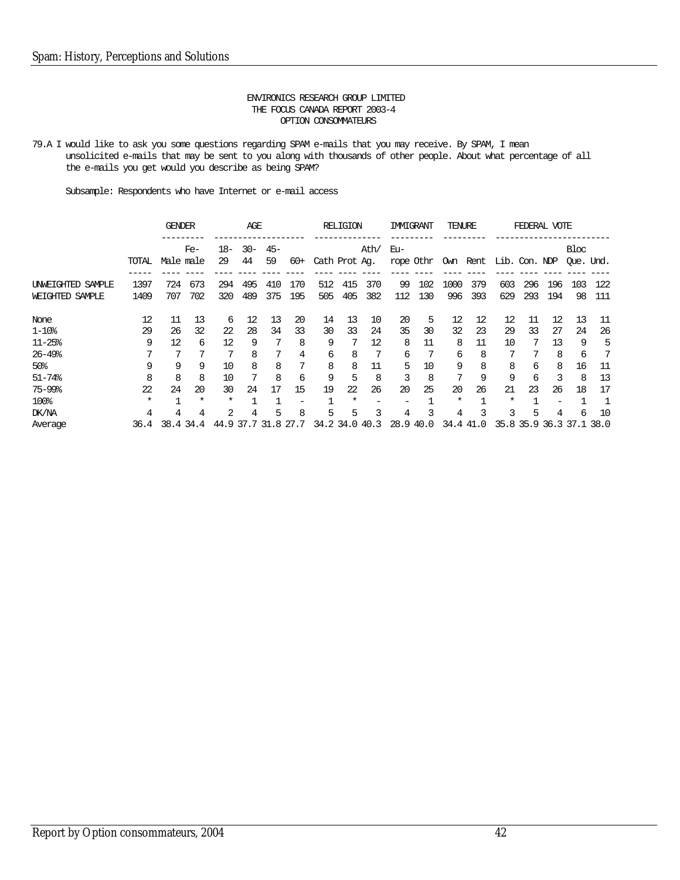79.A I would like to ask you some questions regarding SPAM e-mails that you may receive. By SPAM, I mean unsolicited e-mails that may be sent to you along with thousands of other people. About what percentage of all the e-mails you get would you describe as being SPAM?

Subsample: Respondents who have Internet or e-mail access

|                                      |              | <b>GENDER</b> |           |             | AGE          |             |       |               | <b>RELIGION</b> |      | IMMIGRANT        |     | TENURE      |           |                        |            | FEDERAL VOTE |                          |            |
|--------------------------------------|--------------|---------------|-----------|-------------|--------------|-------------|-------|---------------|-----------------|------|------------------|-----|-------------|-----------|------------------------|------------|--------------|--------------------------|------------|
|                                      | TOTAL        | Male male     | $Fe-$     | $18-$<br>29 | $30 -$<br>44 | $45-$<br>59 | $60+$ | Cath Prot Ag. |                 | Ath/ | Eu-<br>rope Othr |     |             |           | Own Rent Lib. Con. NDP |            |              | Bloc<br>Oue. Und.        |            |
|                                      |              |               | 673       |             | 495          |             | 170   |               | 415             | 370  |                  | 102 |             | 379       |                        |            |              |                          |            |
| UNWEIGHTED SAMPLE<br>WEIGHTED SAMPLE | 1397<br>1409 | 724<br>707    | 702       | 294<br>320  | 489          | 410<br>375  | 195   | 512<br>505    | 405             | 382  | 99<br>112        | 130 | 1000<br>996 | 393       | 603<br>629             | 296<br>293 | 196<br>194   | 103<br>98                | 122<br>111 |
| None                                 | 12           | 11            | 13        | 6           | 12           | 13          | 20    | 14            | 13              | 10   | 20               | 5   | 12          | 12        | 12                     | 11         | 12           | 13                       | 11         |
| $1 - 108$                            | 29           | 26            | 32        | 22          | 28           | 34          | 33    | 30            | 33              | 24   | 35               | 30  | 32          | 23        | 29                     | 33         | 27           | 24                       | 26         |
| $11 - 25$ %                          | 9            | 12            | 6         | 12          | 9            |             | 8     | 9             |                 | 12   | 8                | 11  | 8           | 11        | 10                     |            | 13           | 9                        | 5          |
| $26 - 49$ %                          |              |               |           |             | 8            |             | 4     | 6             | 8               | 7    | 6                | 7   | 6           | 8         | 7                      |            | 8            | 6                        |            |
| 50 <sub>8</sub>                      | 9            | 9             | 9         | 10          | 8            | 8           | 7     | 8             | 8               | 11   | 5                | 10  | 9           | 8         | 8                      | 6          | 8            | 16                       | 11         |
| $51 - 74%$                           | 8            | 8             | 8         | 10          | 7            | 8           | 6     | 9             | 5               | 8    | 3                | 8   | 7           | 9         | 9                      | 6          | 3            | 8                        | 13         |
| 75-99%                               | 22           | 24            | 20        | 30          | 24           | 17          | 15    | 19            | 22              | 26   | 20               | 25  | 20          | 26        | 21                     | 23         | 26           | 18                       | 17         |
| 100%                                 | $^\star$     | $\mathbf{1}$  | $\ast$    | $^\star$    |              |             | -     |               | $^\star$        | -    |                  |     | *           |           | *                      |            |              |                          |            |
| DK/NA                                | 4            | 4             | 4         | 2           | 4            | 5           | 8     | 5             | 5               | 3    | 4                | 3   | 4           | 3         | 3                      | 5          | 4            | 6                        | 10         |
| Average                              | 36.4         |               | 38.4 34.4 | 44.9 37.7   |              | 31.8 27.7   |       |               | 34.2 34.0 40.3  |      | 28.9 40.0        |     |             | 34.4 41.0 |                        |            |              | 35.8 35.9 36.3 37.1 38.0 |            |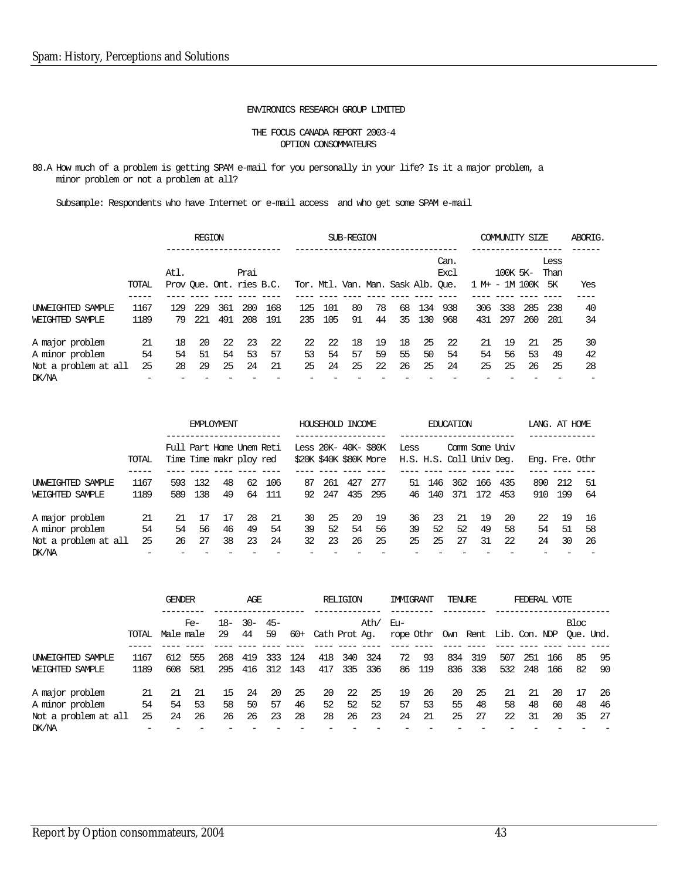#### ENVIRONICS RESEARCH GROUP LIMITED

#### THE FOCUS CANADA REPORT 2003-4 OPTION CONSOMMATEURS

80.A How much of a problem is getting SPAM e-mail for you personally in your life? Is it a major problem, a minor problem or not a problem at all?

|                               |       |      | <b>REGION</b> |     |      |                          |                                    |      | SUB-REGION |    |    |     |                     |                |          | COMMUNITY SIZE |              | ABORIG. |
|-------------------------------|-------|------|---------------|-----|------|--------------------------|------------------------------------|------|------------|----|----|-----|---------------------|----------------|----------|----------------|--------------|---------|
|                               |       | Atl. |               |     | Prai |                          |                                    |      |            |    |    |     | Can.<br><b>Excl</b> |                | 100K 5K- |                | Less<br>Than |         |
|                               | TOTAL |      |               |     |      | Prov Oue. Ont. ries B.C. | Tor. Mtl. Van. Man. Sask Alb. Oue. |      |            |    |    |     |                     | 1 M+ - 1M 100K |          |                | 5K           | Yes     |
| UNWEIGHTED SAMPLE             | 1167  | 129  | 229           | 361 | 280  | 168                      | 125                                | -101 | 80         | 78 | 68 | 134 | 938                 | 306            | 338      | 285            | 238          | 40      |
| WEIGHTED SAMPLE               | 1189  | 79   | 221           | 491 | 208  | 191                      | 235                                | 105  | 91         | 44 | 35 | 130 | 968                 | 431            | 297      | 260            | 201          | 34      |
| A major problem               | -21   | 18   | 20            | 22  | -23  | -22                      | 22                                 | -22  | 18         | 19 | 18 | 25  | 22                  | 21             | 19       | 21             | 25           | 30      |
| A minor problem               | 54    | 54   | 51            | 54  | 53   | 57                       | 53                                 | 54   | 57         | 59 | 55 | 50  | 54                  | 54             | 56       | 53             | 49           | 42      |
| Not a problem at all<br>DK/NA | 25    | 28   | 29            | 25  | 24   | 21                       | 25                                 | 24   | 25         | 22 | 26 | 25  | 24                  | 25             | 25       | 26             | 25           | 28      |

|                                                            |                |                                                     | <b>FMPLOYMENT</b> |                 |                |                 |                                                |                | HOUSEHOLD INCOME |                 |                                  |                | <b>EDUCATION</b> |                |                 | LANG. AT HOME  |                |                 |
|------------------------------------------------------------|----------------|-----------------------------------------------------|-------------------|-----------------|----------------|-----------------|------------------------------------------------|----------------|------------------|-----------------|----------------------------------|----------------|------------------|----------------|-----------------|----------------|----------------|-----------------|
|                                                            | TOTAL          | Full Part Home Unem Reti<br>Time Time makr ploy red |                   |                 |                |                 | Less 20K- 40K- \$80K<br>\$20K \$40K \$80K More |                |                  |                 | Less<br>H.S. H.S. Coll Univ Deg. |                | Comm Some Univ   |                |                 | Eng. Fre. Othr |                |                 |
| INWEIGHTED SAMPLE<br>WEIGHTED SAMPLE                       | 1167<br>1189   | 593<br>589                                          | 132<br>138        | 48<br>49        | 62<br>64       | 106<br>111      | 87<br>92.                                      | 261<br>247     | 427<br>435       | 277<br>295      | 51<br>46                         | 146<br>140     | 362<br>371       | 166<br>172     | 435<br>453      | 890<br>910     | 212<br>199     | 51<br>64        |
| A major problem<br>A minor problem<br>Not a problem at all | 21<br>54<br>25 | 21<br>54<br>26                                      | 17<br>56<br>27    | -17<br>46<br>38 | 28<br>49<br>23 | -21<br>54<br>24 | 30<br>39<br>32                                 | 25<br>52<br>23 | 20<br>54<br>26   | -19<br>56<br>25 | 36<br>39<br>25                   | 23<br>52<br>25 | -21<br>52<br>27  | 19<br>49<br>31 | -20<br>58<br>22 | 22<br>54<br>24 | 19<br>51<br>30 | 16<br>58<br>-26 |
| DK/NA                                                      |                |                                                     |                   |                 |                |                 |                                                |                |                  |                 |                                  |                |                  |                |                 |                |                |                 |

|                                                            |                | <b>GENDER</b>  |                 |                | AGE            |                |                 |                | RELIGION       |                | <b>IMMIGRANT</b>                                  |                | TENURE          |                |                | FEDERAL VOTE   |                          |                |                 |
|------------------------------------------------------------|----------------|----------------|-----------------|----------------|----------------|----------------|-----------------|----------------|----------------|----------------|---------------------------------------------------|----------------|-----------------|----------------|----------------|----------------|--------------------------|----------------|-----------------|
|                                                            | TOTAL          | Male male      | $Fe-$           | 18-<br>29      | $-30-$<br>44   | $45-$<br>59    | 60+             | Cath Prot Ag.  |                | Ath/           | Eu-<br>rope Othr Own Rent Lib. Con. NDP Oue. Und. |                |                 |                |                |                |                          | Bloc           |                 |
| UNWEIGHTED SAMPLE<br>WEIGHTED SAMPLE                       | 1167<br>1189   | 612<br>608     | 555<br>581      | 268<br>295     | 419<br>416     | 333<br>312     | 124<br>143      | 418<br>417     | 340<br>335     | 324<br>336     | 72<br>86                                          | -93<br>119     | 834<br>836      | 319<br>338     | 507<br>532     | 251<br>248     | 166<br>166               | -85<br>82      | 95<br>-90       |
| A major problem<br>A minor problem<br>Not a problem at all | 21<br>54<br>25 | 21<br>54<br>24 | -21<br>53<br>26 | 15<br>58<br>26 | 24<br>50<br>26 | 20<br>57<br>23 | -25<br>46<br>28 | 20<br>52<br>28 | 22<br>52<br>26 | 25<br>52<br>23 | 19<br>57<br>24                                    | 26<br>53<br>21 | -20<br>55<br>25 | 25<br>48<br>27 | 21<br>58<br>22 | 21<br>48<br>31 | $20^{\circ}$<br>60<br>20 | 17<br>48<br>35 | -26<br>46<br>27 |
| DK/NA                                                      |                |                |                 |                |                |                |                 |                |                |                |                                                   |                |                 |                |                |                |                          |                |                 |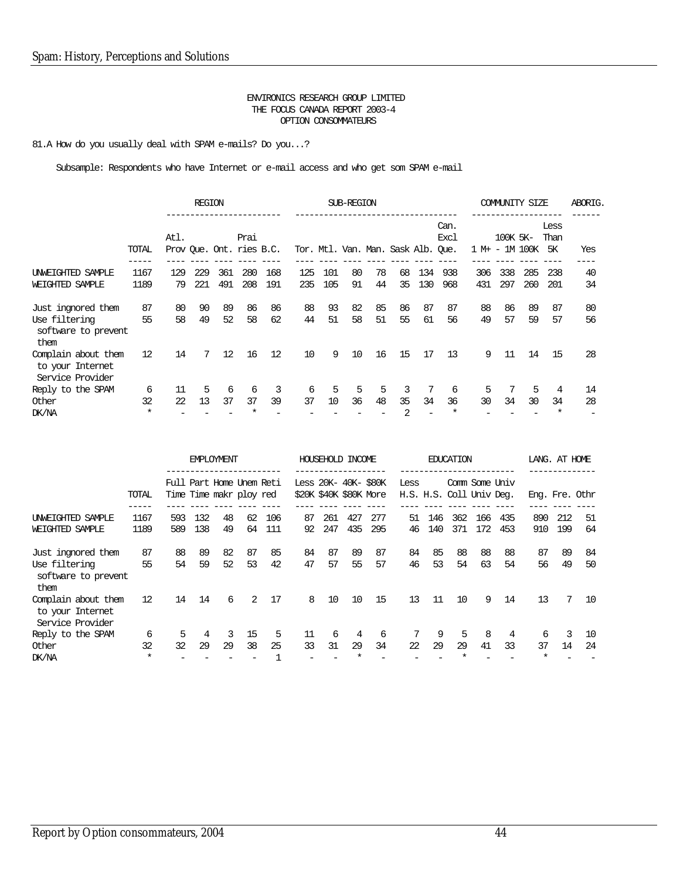81.A How do you usually deal with SPAM e-mails? Do you...?

|                                                             |                   |      | <b>REGION</b>   |                          |      |     |     |     | SUB-REGION |    |                                    |     |              |     | COMMUNITY SIZE             |     |                           | ABORIG. |
|-------------------------------------------------------------|-------------------|------|-----------------|--------------------------|------|-----|-----|-----|------------|----|------------------------------------|-----|--------------|-----|----------------------------|-----|---------------------------|---------|
|                                                             | TOTAL             | Atl. |                 | Prov Oue. Ont. ries B.C. | Prai |     |     |     |            |    | Tor. Mtl. Van. Man. Sask Alb. Que. |     | Can.<br>Exc1 |     | 100K 5K-<br>1 M+ - 1M 100K |     | Less<br>Than<br><b>5K</b> | Yes     |
|                                                             |                   |      |                 |                          |      |     |     |     |            |    |                                    |     |              |     |                            |     |                           |         |
| UNWEIGHTED SAMPLE                                           | 1167              | 129  | 229             | 361                      | 280  | 168 | 125 | 101 | 80         | 78 | 68                                 | 134 | 938          | 306 | 338                        | 285 | 238                       | 40      |
| WEIGHTED SAMPLE                                             | 1189              | 79   | 221             | 491                      | 208  | 191 | 235 | 105 | 91         | 44 | 35                                 | 130 | 968          | 431 | 297                        | 260 | 201                       | 34      |
| Just ingnored them                                          | 87                | 80   | 90              | 89                       | 86   | 86  | 88  | 93  | 82         | 85 | 86                                 | 87  | 87           | 88  | 86                         | 89  | 87                        | 80      |
| Use filtering<br>software to prevent<br>them                | 55                | 58   | 49              | 52                       | 58   | 62  | 44  | 51  | 58         | 51 | 55                                 | 61  | 56           | 49  | 57                         | 59  | 57                        | 56      |
| Complain about them<br>to your Internet<br>Service Provider | $12 \overline{ }$ | 14   | $7\overline{ }$ | 12                       | 16   | 12  | 10  | 9   | 10         | 16 | 15                                 | 17  | 13           | 9   | 11                         | 14  | 15                        | 28      |
| Reply to the SPAM                                           | 6                 | 11   | 5               | 6                        | 6    | 3   | 6   | 5   | 5          | 5  | 3                                  |     | 6            | 5   |                            | 5   | 4                         | 14      |
| Other                                                       | 32                | 22   | 13              | 37                       | 37   | 39  | 37  | 10  | 36         | 48 | 35                                 | 34  | 36           | 30  | 34                         | 30  | 34                        | 28      |
| DK/NA                                                       | $\ast$            |      |                 |                          |      |     |     |     |            |    | 2                                  |     | $\ast$       |     |                            |     | $\star$                   |         |

|                                                                    |                   |                                                      | <b>FMPLOYMENT</b><br>.________________ |          |          |            |                      |            | HOUSEHOLD INCOME       |            |          |            | <b>EDUCATION</b>         |            |                |            | LANG. AT HOME |                |
|--------------------------------------------------------------------|-------------------|------------------------------------------------------|----------------------------------------|----------|----------|------------|----------------------|------------|------------------------|------------|----------|------------|--------------------------|------------|----------------|------------|---------------|----------------|
|                                                                    | TOTAL             | Full Part Home Unem Reti<br>Time Time maker ploy red |                                        |          |          |            | Less 20K- 40K- \$80K |            | \$20K \$40K \$80K More |            | Less     |            | H.S. H.S. Coll Univ Deg. |            | Comm Some Univ |            |               | Eng. Fre. Othr |
| UNWEIGHTED SAMPLE<br>WEIGHTED SAMPLE                               | 1167<br>1189      | 593<br>589                                           | 132<br>138                             | 48<br>49 | 62<br>64 | 106<br>111 | 87<br>92             | 261<br>247 | 427<br>435             | 277<br>295 | 51<br>46 | 146<br>140 | 362<br>371               | 166<br>172 | 435<br>453     | 890<br>910 | 212<br>199    | 51<br>64       |
| Just ingnored them<br>Use filtering<br>software to prevent<br>them | 87<br>55          | 88<br>54                                             | 89<br>59                               | 82<br>52 | 87<br>53 | 85<br>42   | 84<br>47             | 87<br>57   | 89<br>55               | 87<br>57   | 84<br>46 | 85<br>53   | 88<br>54                 | 88<br>63   | 88<br>54       | 87<br>56   | 89<br>49      | 84<br>50       |
| Complain about them<br>to your Internet<br>Service Provider        | 12                | 14                                                   | 14                                     | 6        | 2        | 17         | 8                    | 10         | 10                     | 15         | 13       | 11         | 10                       | 9          | 14             | 13         | 7             | 10             |
| Reply to the SPAM<br>Other<br>DK/NA                                | 6<br>32<br>$\ast$ | 5<br>32                                              | 4<br>29                                | 3<br>29  | 15<br>38 | 5<br>25    | 11<br>33             | 6<br>31    | 4<br>29                | 6<br>34    | 7<br>22  | 9<br>29    | 5<br>29                  | 8<br>41    | 4<br>33        | 6<br>37    | 3<br>14       | 10<br>24       |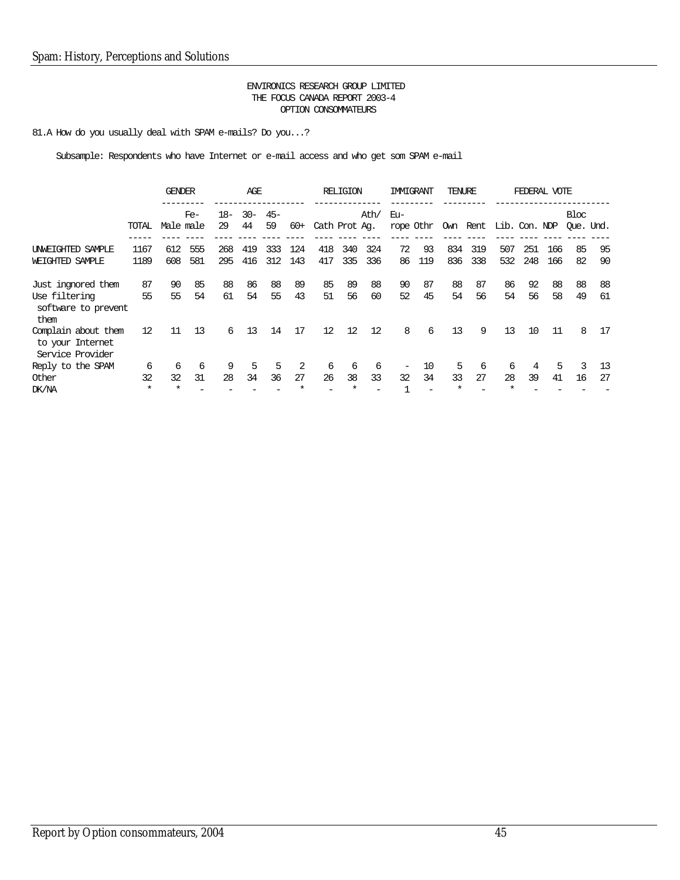81.A How do you usually deal with SPAM e-mails? Do you...?

|                                                                    |                    | <b>GENDER</b>       |            |            | AGE          |             |            |               | RELIGION   |            | IMMIGRANT               |           | TENURE     |            |                        |            | FEDERAL VOTE |                   |          |
|--------------------------------------------------------------------|--------------------|---------------------|------------|------------|--------------|-------------|------------|---------------|------------|------------|-------------------------|-----------|------------|------------|------------------------|------------|--------------|-------------------|----------|
|                                                                    | TOTAL              | Male male           | $Fe-$      | 18-<br>29  | $30 -$<br>44 | $45-$<br>59 | $60+$      | Cath Prot Ag. |            | Ath/       | Eu-                     | rope Othr |            |            | Own Rent Lib. Con. NDP |            |              | Bloc<br>Oue. Und. |          |
| UNWEIGHTED SAMPLE<br>WEIGHTED SAMPLE                               | 1167<br>1189       | 612<br>608          | 555<br>581 | 268<br>295 | 419<br>416   | 333<br>312  | 124<br>143 | 418<br>417    | 340<br>335 | 324<br>336 | 72<br>86                | 93<br>119 | 834<br>836 | 319<br>338 | 507<br>532             | 251<br>248 | 166<br>166   | 85<br>82          | 95<br>90 |
| Just ingnored them<br>Use filtering<br>software to prevent<br>them | 87<br>55           | 90<br>55            | 85<br>54   | 88<br>61   | 86<br>54     | 88<br>55    | 89<br>43   | 85<br>51      | 89<br>56   | 88<br>60   | 90<br>52                | 87<br>45  | 88<br>54   | 87<br>56   | 86<br>54               | 92<br>56   | 88<br>58     | 88<br>49          | 88<br>61 |
| Complain about them<br>to your Internet<br>Service Provider        | 12                 | 11                  | 13         | 6          | 13           | 14          | 17         | 12            | 12         | 12         | 8                       | 6         | 13         | 9          | 13                     | 10         | 11           | 8                 | 17       |
| Reply to the SPAM<br>Other<br>DK/NA                                | 6<br>32<br>$\star$ | 6<br>32<br>$^\star$ | 6<br>31    | 9<br>28    | 5<br>34      | 5<br>36     | 2<br>27    | 6<br>26       | 6<br>38    | 6<br>33    | $\qquad \qquad -$<br>32 | 10<br>34  | 5<br>33    | 6<br>27    | 6<br>28                | 4<br>39    | 5<br>41      | 3<br>16           | 13<br>27 |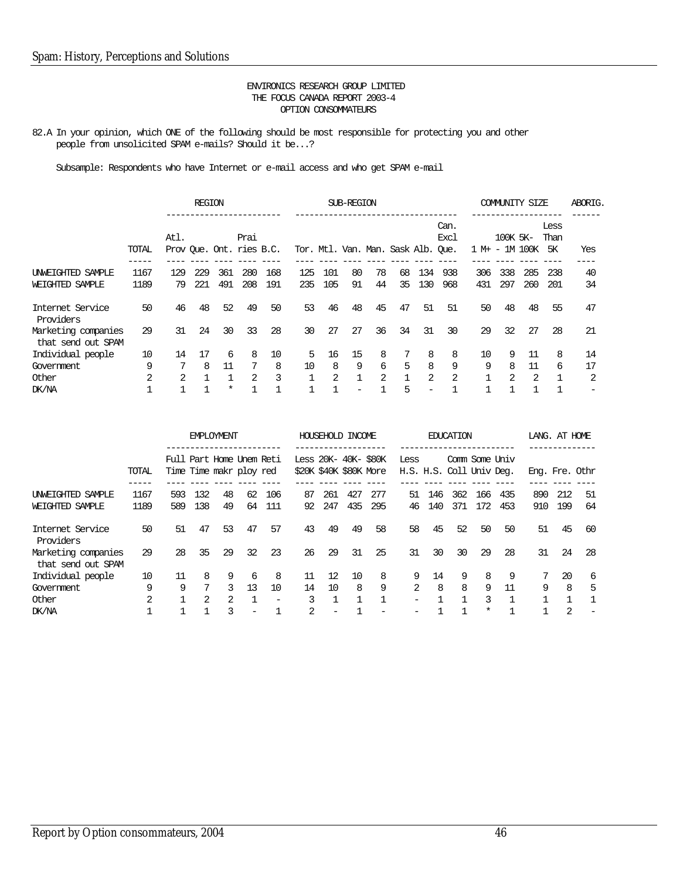82.A In your opinion, which ONE of the following should be most responsible for protecting you and other people from unsolicited SPAM e-mails? Should it be...?

|                                           |       |      | <b>REGION</b> |          |      |                          |     |     | SUB-REGION   |                |                                    |                          |                |                | COMMUNITY SIZE |               |                    | ABORIG. |
|-------------------------------------------|-------|------|---------------|----------|------|--------------------------|-----|-----|--------------|----------------|------------------------------------|--------------------------|----------------|----------------|----------------|---------------|--------------------|---------|
|                                           | TOTAL | Atl. |               |          | Prai | Prov Que. Ont. ries B.C. |     |     |              |                | Tor. Mtl. Van. Man. Sask Alb. Oue. |                          | Can.<br>Excl   | 1 M+ - 1M 100K | 100K 5K-       |               | Less<br>Than<br>5K | Yes     |
| UNWEIGHTED SAMPLE                         | 1167  | 129  | 229           | 361      | 280  | 168                      | 125 | 101 | 80           | 78             | 68                                 | 134                      | 938            | 306            | 338            | 285           | 238                | 40      |
| WEIGHTED SAMPLE                           | 1189  | 79   | 221           | 491      | 208  | 191                      | 235 | 105 | 91           | 44             | 35                                 | 130                      | 968            | 431            | 297            | 260           | 201                | 34      |
| Internet Service<br>Providers             | 50    | 46   | 48            | 52       | 49   | 50                       | 53  | 46  | 48           | 45             | 47                                 | 51                       | 51             | 50             | 48             | 48            | 55                 | 47      |
| Marketing companies<br>that send out SPAM | 29    | 31   | 24            | 30       | 33   | 28                       | 30  | 27  | 27           | 36             | 34                                 | 31                       | 30             | 29             | 32             | 27            | 28                 | 21      |
| Individual people                         | 10    | 14   | 17            | 6        | 8    | 10                       | 5   | 16  | 15           | 8              | 7                                  | 8                        | 8              | 10             | 9              | 11            | 8                  | 14      |
| Government                                | 9     |      | 8             | 11       | -7   | 8                        | 10  | 8   | 9            | 6              | 5                                  | 8                        | 9              | 9              | 8              | 11            | 6                  | 17      |
| Other                                     | 2     | 2    |               |          | 2    | 3                        |     | 2   | $\mathbf{1}$ | $\mathfrak{D}$ | $\mathbf{1}$                       | 2                        | $\mathfrak{D}$ |                | $\mathcal{L}$  | $\mathcal{L}$ | $\mathbf{1}$       | 2       |
| DK/NA                                     |       |      |               | $^\star$ |      |                          |     |     |              |                | 5                                  | $\overline{\phantom{0}}$ |                |                |                |               |                    |         |

|                                           |       |                                                      |     | <b>EMPLOYMENT</b> |    |                          |                                                |     | HOUSEHOLD INCOME |              |                          |                          | <b>EDUCATION</b> |          |                |                | LANG. AT HOME |     |
|-------------------------------------------|-------|------------------------------------------------------|-----|-------------------|----|--------------------------|------------------------------------------------|-----|------------------|--------------|--------------------------|--------------------------|------------------|----------|----------------|----------------|---------------|-----|
|                                           | TOTAL | Full Part Home Unem Reti<br>Time Time maker ploy red |     |                   |    |                          | Less 20K- 40K- \$80K<br>\$20K \$40K \$80K More |     | ___________      |              | Less                     | H.S. H.S. Coll Univ Deg. |                  |          | Comm Some Univ | Eng. Fre. Othr |               |     |
| INWEIGHTED SAMPLE                         | 1167  | 593                                                  | 132 | 48                | 62 | 106                      | 87                                             | 261 | 427              | 277          | 51                       | 146                      | 362              | 166      | 435            | 890            | 212           | 51  |
| WEIGHTED SAMPLE                           | 1189  | 589                                                  | 138 | 49                | 64 | 111                      | 92                                             | 247 | 435              | 295          | 46                       | 140                      | 371              | 172      | 453            | 910            | 199           | 64  |
| Internet Service<br>Providers             | 50    | 51                                                   | 47  | 53                | 47 | 57                       | 43                                             | 49  | 49               | 58           | 58                       | 45                       | 52               | 50       | 50             | 51             | 45            | 60  |
| Marketing companies<br>that send out SPAM | 29    | 28                                                   | 35  | 29                | 32 | 23                       | 26                                             | 29  | 31               | 25           | 31                       | 30                       | 30               | 29       | 28             | 31             | 24            | -28 |
| Individual people                         | 10    | 11                                                   | 8   | 9                 | 6  | 8                        | 11                                             | 12. | 10               | 8            | 9                        | 14                       | 9                | 8        | 9              | 7              | 20            | 6   |
| Government                                | 9     | 9                                                    | 7   | 3                 | 13 | 10                       | 14                                             | 10  | 8                | 9            | 2                        | 8                        | 8                | 9        | 11             | 9              | 8             | .5  |
| Other                                     | 2     |                                                      | 2   | 2                 |    | $\overline{\phantom{m}}$ | 3                                              |     |                  | $\mathbf{1}$ | $\overline{\phantom{0}}$ |                          |                  | 3        |                |                |               |     |
| DK/NA                                     |       |                                                      |     | 3                 | -  |                          | 2                                              |     |                  |              |                          |                          |                  | $^\star$ |                |                | 2             |     |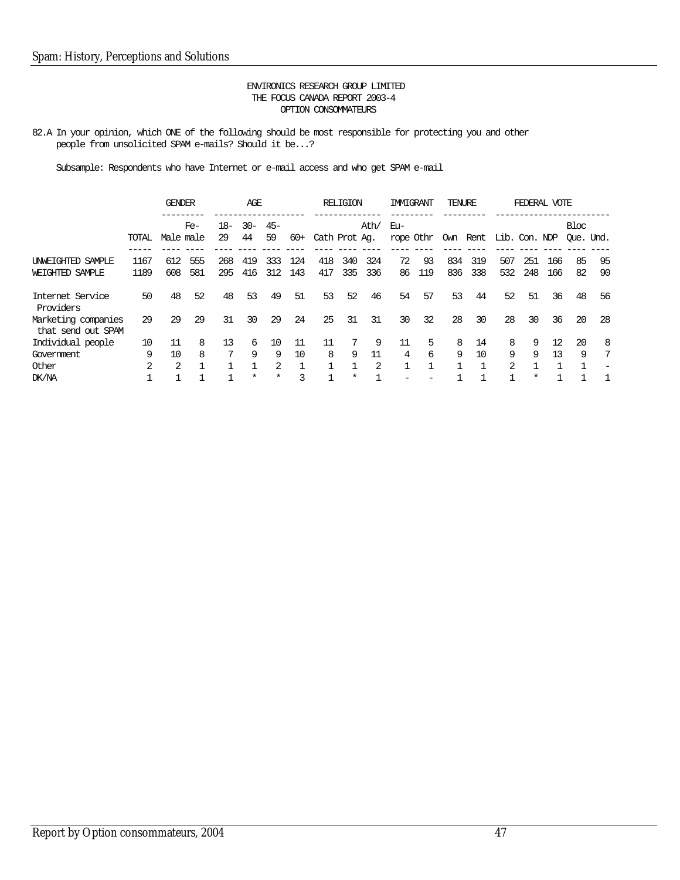82.A In your opinion, which ONE of the following should be most responsible for protecting you and other people from unsolicited SPAM e-mails? Should it be...?

|                                           |       | <b>GENDER</b> |       |     | AGE               |             |       |               | <b>RELIGION</b> |      | <b>IMMIGRANT</b> |     | TENURE |     |                                  | FEDERAL VOTE |     |                   |     |
|-------------------------------------------|-------|---------------|-------|-----|-------------------|-------------|-------|---------------|-----------------|------|------------------|-----|--------|-----|----------------------------------|--------------|-----|-------------------|-----|
|                                           | TOTAL | Male male     | $Fe-$ | 29  | $18 - 30 -$<br>44 | $45-$<br>59 | $60+$ | Cath Prot Ag. |                 | Ath/ | Eu-              |     |        |     | rope Othr Own Rent Lib. Con. NDP |              |     | Bloc<br>Oue. Und. |     |
|                                           |       |               |       |     |                   |             |       |               |                 |      |                  |     |        |     |                                  |              |     |                   |     |
| UNWEIGHTED SAMPLE                         | 1167  | 612           | 555   | 268 | 419               | 333         | 124   | 418           | 340             | 324  | 72               | 93  | 834    | 319 | 507                              | 251          | 166 | 85                | 95  |
| WEIGHTED SAMPLE                           | 1189  | 608           | 581   | 295 | 416               | 312         | 143   | 417           | 335             | 336  | 86               | 119 | 836    | 338 | 532                              | 248          | 166 | 82                | 90  |
| Internet Service<br>Providers             | 50    | 48            | 52    | 48  | 53                | 49          | 51    | 53            | 52              | 46   | 54               | 57  | 53     | 44  | 52                               | 51           | 36  | 48                | 56  |
| Marketing companies<br>that send out SPAM | 29    | 29            | 29    | 31  | 30                | 29          | 24    | 25            | 31              | 31   | 30               | 32  | 28     | 30  | 28                               | 30           | 36  | 20                | -28 |
| Individual people                         | 10    | 11            | 8     | 13  | 6                 | 10          | 11    | 11            |                 | 9    | 11               | 5   | 8      | 14  | 8                                | 9            | 12  | 20                | -8  |
| Government                                | 9     | 10            | 8     | 7   | 9                 | 9           | 10    | 8             | 9               | 11   | 4                | 6   | 9      | 10  | 9                                | 9            | 13  | 9                 | 7   |
| Other                                     | 2     | $\mathcal{L}$ |       |     |                   | 2           |       |               |                 | 2    |                  |     |        |     | 2                                |              |     |                   |     |
| DK/NA                                     |       |               |       |     | $^\star$          | $\ast$      | 3     |               | $\ast$          |      |                  |     |        |     |                                  | $^\star$     |     |                   |     |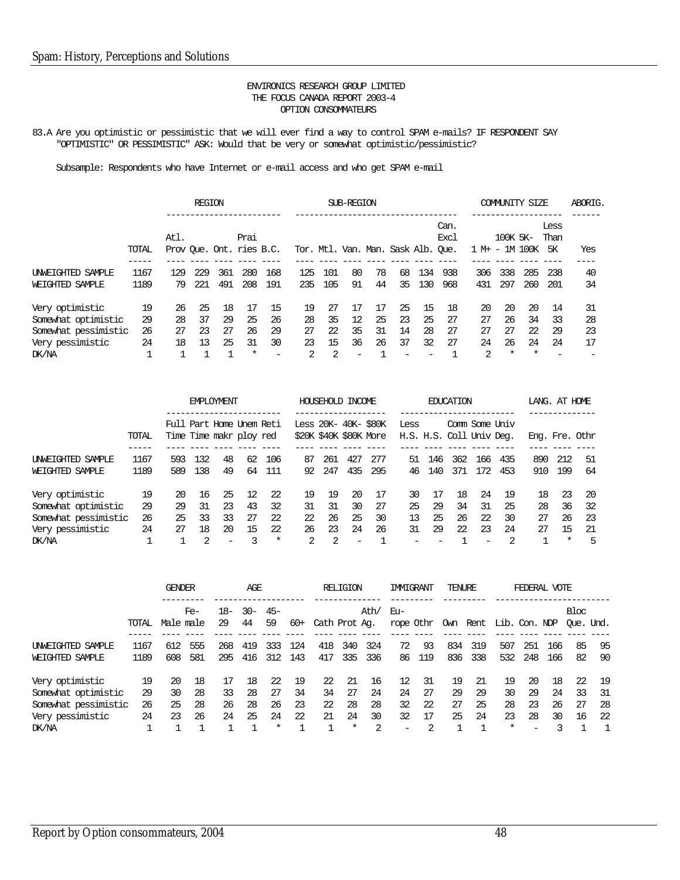83.A Are you optimistic or pessimistic that we will ever find a way to control SPAM e-mails? IF RESPONDENT SAY "OPTIMISTIC" OR PESSIMISTIC" ASK: Would that be very or somewhat optimistic/pessimistic?

|                      |       |                          | <b>REGION</b> |     |        |     |     |     | SUB-REGION |    |                                    |     |              |                |          | COMMUNITY SIZE |              | ABORIG. |
|----------------------|-------|--------------------------|---------------|-----|--------|-----|-----|-----|------------|----|------------------------------------|-----|--------------|----------------|----------|----------------|--------------|---------|
|                      |       | Atl.                     |               |     | Prai   |     |     |     |            |    |                                    |     | Can.<br>Excl |                | 100K 5K- |                | Less<br>Than |         |
|                      | TOTAL | Prov Que. Ont. ries B.C. |               |     |        |     |     |     |            |    | Tor. Mtl. Van. Man. Sask Alb. Oue. |     |              | 1 M+ - 1M 100K |          |                | 5K           | Yes     |
| UNWEIGHTED SAMPLE    | 1167  | 129                      | 229           | 361 | 280    | 168 | 125 | 101 | 80         | 78 | 68                                 | 134 | 938          | 306            | 338      | 285            | 238          | 40      |
| WEIGHTED SAMPLE      | 1189  | 79                       | 221           | 491 | 208    | 191 | 235 | 105 | 91         | 44 | 35                                 | 130 | 968          | 431            | 297      | 260            | 201          | 34      |
| Very optimistic      | 19    | 26                       | 25            | 18  | 17     | 15  | 19  | 27  | 17         |    | 25                                 | 15  | 18           | 20             | 20       | 20             | 14           | 31      |
| Somewhat optimistic  | 29    | 28                       | 37            | 29  | 25     | 26  | 28  | 35  | 12         | 25 | 23                                 | 25  | 27           | 27             | 26       | 34             | 33           | 28      |
| Somewhat pessimistic | 26    | 27                       | 23            | 27  | 26     | 29  | 27  | 22  | 35         | 31 | 14                                 | 28  | 27           | 27             | 27       | 22             | 29           | 23      |
| Very pessimistic     | 24    | 18                       | 13            | 25  | 31     | 30  | 23  | 15  | 36         | 26 | 37                                 | 32  | 27           | 24             | 26       | 24             | 24           | 17      |
| DK/NA                |       |                          |               |     | $\ast$ |     | 2   | 2   | -          |    |                                    |     |              | 2              | $\ast$   | $\ast$         |              |         |

|                      |       |                          |     | <b>FMPLOYMENT</b> |                   |        |                        |     | HOUSEHOLD INCOME |     |                          |     | <b>EDUCATION</b> |     |     |                | LANG. AT HOME |     |
|----------------------|-------|--------------------------|-----|-------------------|-------------------|--------|------------------------|-----|------------------|-----|--------------------------|-----|------------------|-----|-----|----------------|---------------|-----|
|                      |       | Full Part Home Unem Reti |     |                   |                   |        | Less 20K- 40K- \$80K   |     |                  |     | Less                     |     | Comm Some Univ   |     |     |                |               |     |
|                      | TOTAL | Time Time makr ploy red  |     |                   |                   |        | \$20K \$40K \$80K More |     |                  |     | H.S. H.S. Coll Univ Deg. |     |                  |     |     | Eng. Fre. Othr |               |     |
| UNWEIGHTED SAMPLE    | 1167  | 593                      | 132 | 48                | 62                | 106    | 87                     | 261 | 427              | 277 | 51                       | 146 | 362              | 166 | 435 | 890            | 212           | 51  |
| WEIGHTED SAMPLE      | 1189  | 589                      | 138 | 49                | 64                | 111    | 92                     | 247 | 435              | 295 | 46                       | 140 | 371              | 172 | 453 | 910            | 199           | 64  |
| Very optimistic      | 19    | 20                       | 16  | 25                | $12 \overline{ }$ | -22    | 19                     | 19  | 20               | 17  | 30                       | 17  | 18               | 24  | 19  | 18             | 23            | -20 |
| Somewhat optimistic  | 29    | 29                       | 31  | 23                | 43                | 32     | 31                     | 31  | 30               | 27  | 25                       | 29  | 34               | 31  | 25  | 28             | 36            | -32 |
| Somewhat pessimistic | 26    | 25                       | 33  | 33                | 27                | 22     | 22                     | 26  | 25               | 30  | 13                       | 25  | 26               | 22  | 30  | 27             | 26            | 23  |
| Very pessimistic     | 24    | 27                       | 18  | 20                | 15                | 22     | 26                     | 23  | 24               | 26  | 31                       | 29  | 22               | 23  | 24  | 27             | 15            | 21  |
| DK/NA                |       |                          | 2   | $\qquad \qquad$   |                   | $\ast$ | $\mathcal{L}$          | 2   |                  |     |                          |     |                  |     |     |                | $\ast$        | 5   |

|                                                                                             |                      | <b>GENDER</b>        |                      |                      | AGE                  |                                |                      |                      | RELIGION                       |                           | <b>IMMIGRANT</b>                        |                           | TENURE               |                      |                                | FEDERAL VOTE                                     |                      |                      |                       |
|---------------------------------------------------------------------------------------------|----------------------|----------------------|----------------------|----------------------|----------------------|--------------------------------|----------------------|----------------------|--------------------------------|---------------------------|-----------------------------------------|---------------------------|----------------------|----------------------|--------------------------------|--------------------------------------------------|----------------------|----------------------|-----------------------|
|                                                                                             | TOTAL                | Male male            | $Fe-$                | 18–<br>29            | $-30-$<br>44         | $45-$<br>59                    | $60+$                | Cath Prot Ag.        |                                | Ath/                      | Eu-<br>rope Othr Own Rent Lib. Con. NDP |                           |                      |                      |                                |                                                  |                      | Bloc<br>Oue. Und.    |                       |
| <b>INWEIGHTED SAMPLE</b><br>WEIGHTED SAMPLE                                                 | 1167<br>1189         | 612<br>608           | 555<br>581           | 268<br>295           | 419<br>416           | 333<br>312                     | 124<br>143           | 418<br>417           | 340<br>335                     | 324<br>336                | 72<br>86                                | 93<br>119                 | 834<br>836           | 319<br>338           | 507<br>532                     | 251<br>248                                       | 166<br>166           | 85<br>82             | -95<br>90             |
| Very optimistic<br>Somewhat optimistic<br>Somewhat pessimistic<br>Very pessimistic<br>DK/NA | 19<br>29<br>26<br>24 | 20<br>30<br>25<br>23 | 18<br>28<br>28<br>26 | 17<br>33<br>26<br>24 | 18<br>28<br>28<br>25 | 22<br>27<br>26<br>24<br>$\ast$ | 19<br>34<br>23<br>22 | 22<br>34<br>22<br>21 | 21<br>27<br>28<br>24<br>$\ast$ | 16<br>24<br>28<br>30<br>2 | 12<br>24<br>32<br>32<br>-               | 31<br>27<br>22<br>17<br>2 | 19<br>29<br>27<br>25 | 21<br>29<br>25<br>24 | 19<br>30<br>28<br>23<br>$\ast$ | 20<br>29<br>23<br>28<br>$\overline{\phantom{a}}$ | 18<br>24<br>26<br>30 | 22<br>33<br>27<br>16 | 19<br>31<br>-28<br>22 |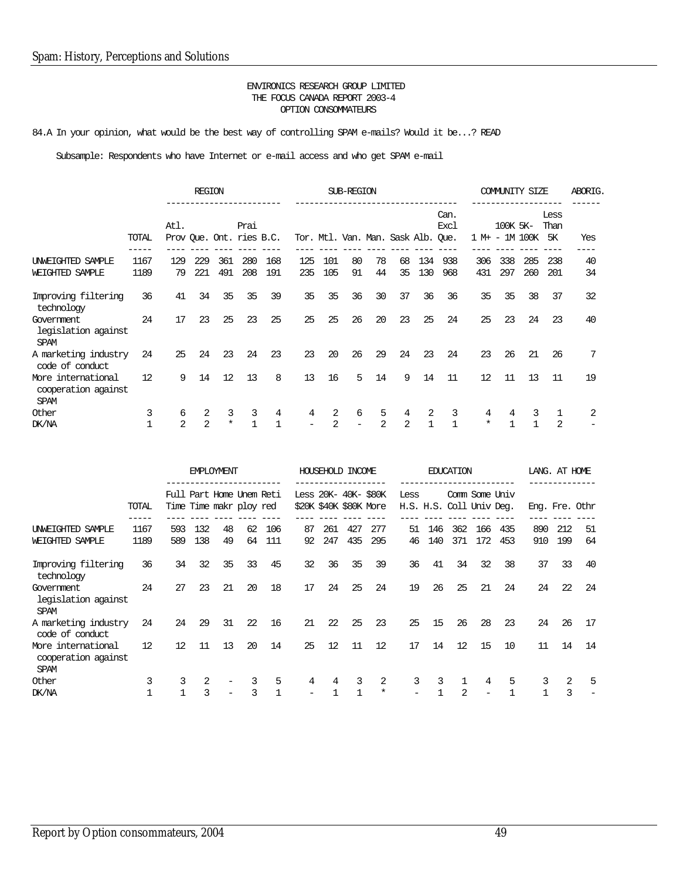84.A In your opinion, what would be the best way of controlling SPAM e-mails? Would it be...? READ

|                                                          |                   |                                  | <b>REGION</b> |                   |      |              |     |                | SUB-REGION                         |    |    |              |                     |         |          | COMMUNITY SIZE |                           | ABORIG. |
|----------------------------------------------------------|-------------------|----------------------------------|---------------|-------------------|------|--------------|-----|----------------|------------------------------------|----|----|--------------|---------------------|---------|----------|----------------|---------------------------|---------|
|                                                          | TOTAL             | Atl.<br>Prov Que. Ont. ries B.C. |               |                   | Prai |              |     |                | Tor. Mtl. Van. Man. Sask Alb. Que. |    |    |              | Can.<br><b>Exc1</b> | 1 M+ -  | 100K 5K- | 1M 100K        | Less<br>Than<br><b>5K</b> | Yes     |
| UNWEIGHTED SAMPLE                                        | 1167              | 129                              | 229           | 361               | 280  | 168          | 125 | 101            | 80                                 | 78 | 68 | 134          | 938                 | 306     | 338      | 285            | 238                       | 40      |
| WEIGHTED SAMPLE                                          | 1189              | 79                               | 221           | 491               | 208  | 191          | 235 | 105            | 91                                 | 44 | 35 | 130          | 968                 | 431     | 297      | 260            | 201                       | 34      |
| Improving filtering<br>technology                        | 36                | 41                               | 34            | 35                | 35   | 39           | 35  | 35             | 36                                 | 30 | 37 | 36           | 36                  | 35      | 35       | 38             | 37                        | 32      |
| Government<br>legislation against<br><b>SPAM</b>         | 24                | 17                               | 23            | 25                | 23   | 25           | 25  | 25             | 26                                 | 20 | 23 | 25           | 24                  | 25      | 23       | 24             | 23                        | 40      |
| A marketing industry<br>code of conduct                  | 24                | 25                               | 24            | 23                | 24   | 23           | 23  | 20             | 26                                 | 29 | 24 | 23           | 24                  | 23      | 26       | 21             | 26                        | 7       |
| More international<br>cooperation against<br><b>SPAM</b> | $12 \overline{ }$ | 9                                | 14            | $12 \overline{ }$ | 13   | 8            | 13  | 16             | 5                                  | 14 | 9  | 14           | 11                  | 12      | 11       | 13             | 11                        | 19      |
| Other                                                    | 3                 | 6                                | 2             | 3                 | 3    | 4            | 4   | 2              | 6                                  | 5  | 4  | 2            | 3                   | 4       | 4        | 3              |                           | 2       |
| DK/NA                                                    |                   | $\overline{2}$                   | 2             | $\star$           |      | $\mathbf{1}$ |     | $\overline{2}$ |                                    | 2  | 2  | $\mathbf{1}$ | $\mathbf{1}$        | $\star$ | 1        |                | $\overline{2}$            |         |

|                                                          |                   |                   |     | <b>EMPLOYMENT</b> |                                                     |     |                        |     | HOUSEHOLD INCOME     |        |      |     | <b>EDUCATION</b>                           |     |     |     | LANG. AT HOME |                |
|----------------------------------------------------------|-------------------|-------------------|-----|-------------------|-----------------------------------------------------|-----|------------------------|-----|----------------------|--------|------|-----|--------------------------------------------|-----|-----|-----|---------------|----------------|
|                                                          | TOTAL             |                   |     |                   | Full Part Home Unem Reti<br>Time Time makr ploy red |     | \$20K \$40K \$80K More |     | Less 20K- 40K- \$80K |        | Less |     | Comm Some Univ<br>H.S. H.S. Coll Univ Deg. |     |     |     |               | Eng. Fre. Othr |
| UNWEIGHTED SAMPLE                                        | 1167              | 593               | 132 | 48                | 62                                                  | 106 | 87                     | 261 | 427                  | 277    | 51   | 146 | 362                                        | 166 | 435 | 890 | 212           | 51             |
| WEIGHTED SAMPLE                                          | 1189              | 589               | 138 | 49                | 64                                                  | 111 | 92                     | 247 | 435                  | 295    | 46   | 140 | 371                                        | 172 | 453 | 910 | 199           | 64             |
| Improving filtering<br>technology                        | 36                | 34                | 32  | 35                | 33                                                  | 45  | 32                     | 36  | 35                   | 39     | 36   | 41  | 34                                         | 32  | 38  | 37  | 33            | 40             |
| Government<br>legislation against<br><b>SPAM</b>         | 24                | 27                | 23  | 21                | 20                                                  | 18  | 17                     | 24  | 25                   | 24     | 19   | 26  | 25                                         | 21  | 24  | 24  | 22            | 24             |
| A marketing industry<br>code of conduct                  | 24                | 24                | 29  | 31                | 22                                                  | 16  | 21                     | 22  | 25                   | 23     | 25   | 15  | 26                                         | 28  | 23  | 24  | 26            | 17             |
| More international<br>cooperation against<br><b>SPAM</b> | $12 \overline{ }$ | $12 \overline{ }$ | 11  | 13                | 20                                                  | 14  | 25                     | 12  | 11                   | 12     | 17   | 14  | 12                                         | 15  | 10  | 11  | 14            | 14             |
| Other                                                    |                   | 3                 | 2   |                   | 3                                                   | 5   | 4                      | 4   | 3                    | 2      | 3    | 3   |                                            | 4   | 5   | 3   | 2             | 5              |
| DK/NA                                                    |                   |                   | ζ   |                   |                                                     |     |                        |     |                      | $\ast$ |      |     | $\mathfrak{D}$                             |     |     |     | 3             |                |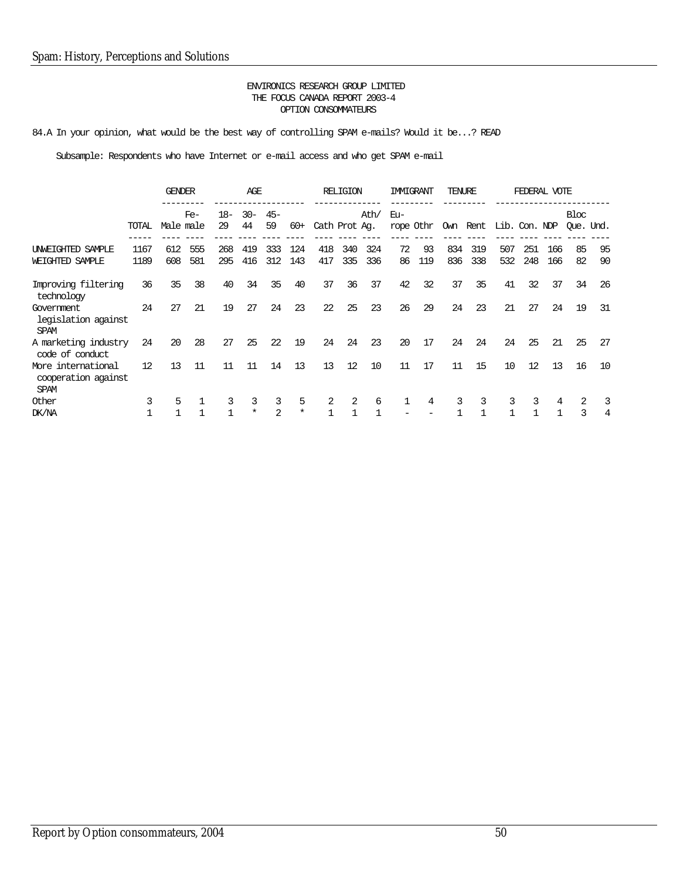84.A In your opinion, what would be the best way of controlling SPAM e-mails? Would it be...? READ

|                                                          |       | <b>GENDER</b> |       |       | AGE      |                |        |               | <b>RELIGION</b> |      | IMMIGRANT |           | TENURE |     |                        | FEDERAL VOTE |     |           |    |
|----------------------------------------------------------|-------|---------------|-------|-------|----------|----------------|--------|---------------|-----------------|------|-----------|-----------|--------|-----|------------------------|--------------|-----|-----------|----|
|                                                          |       |               | $Fe-$ | $18-$ | $30 -$   | $45-$          |        |               |                 | Ath/ | Eu-       |           |        |     |                        |              |     | Bloc      |    |
|                                                          | TOTAL | Male male     |       | 29    | 44       | 59             | $60+$  | Cath Prot Ag. |                 |      |           | rope Othr |        |     | Own Rent Lib. Con. NDP |              |     | Oue. Und. |    |
| UNWEIGHTED SAMPLE                                        | 1167  | 612           | 555   | 268   | 419      | 333            | 124    | 418           | 340             | 324  | 72        | 93        | 834    | 319 | 507                    | 251          | 166 | 85        | 95 |
| WEIGHTED SAMPLE                                          | 1189  | 608           | 581   | 295   | 416      | 312            | 143    | 417           | 335             | 336  | 86        | 119       | 836    | 338 | 532                    | 248          | 166 | 82        | 90 |
| Improving filtering<br>technology                        | 36    | 35            | 38    | 40    | 34       | 35             | 40     | 37            | 36              | 37   | 42        | 32        | 37     | 35  | 41                     | 32           | 37  | 34        | 26 |
| Government<br>legislation against<br><b>SPAM</b>         | 24    | 27            | 21    | 19    | 27       | 24             | 23     | 22            | 25              | 23   | 26        | 29        | 24     | 23  | 21                     | 27           | 24  | 19        | 31 |
| A marketing industry<br>code of conduct                  | 24    | 20            | 28    | 27    | 25       | 22             | 19     | 24            | 24              | 23   | 20        | 17        | 24     | 24  | 24                     | 25           | 21  | 25        | 27 |
| More international<br>cooperation against<br><b>SPAM</b> | 12    | 13            | 11    | 11    | 11       | 14             | 13     | 13            | 12              | 10   | 11        | 17        | 11     | 15  | 10                     | 12           | 13  | 16        | 10 |
| Other                                                    |       | 5             |       | 3     | 3        | 3              | 5      | 2             | 2               | 6    |           | 4         | 3      | 3   | 3                      | 3            | 4   |           | 3  |
| DK/NA                                                    |       |               |       |       | $^\star$ | $\mathfrak{D}$ | $\ast$ | $\mathbf{1}$  |                 |      |           |           |        |     |                        |              |     | 3         | 4  |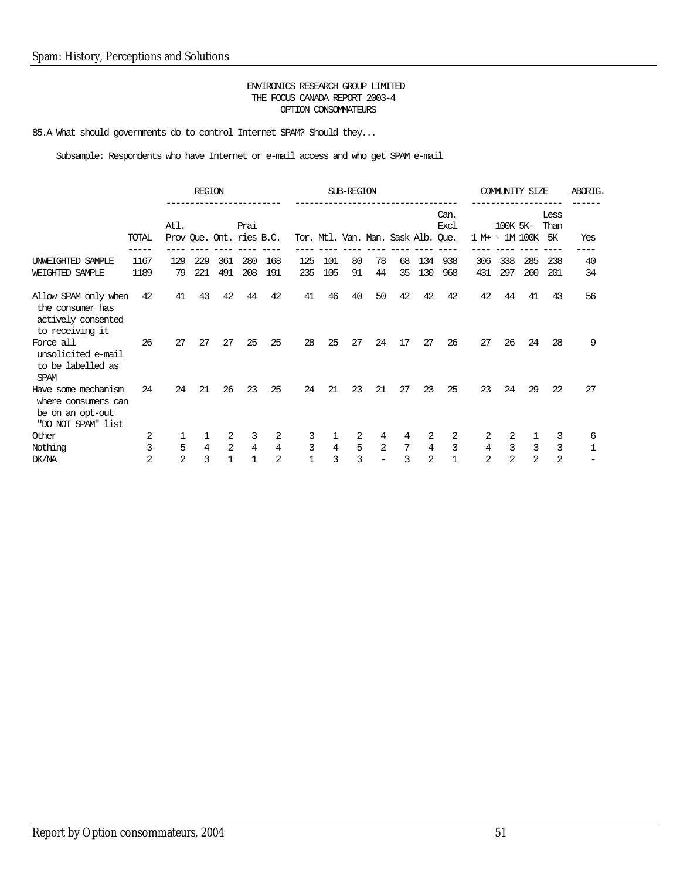85.A What should governments do to control Internet SPAM? Should they...

|                                                                                      |       |                | <b>REGION</b>  |     |                                  |                |     |                | SUB-REGION |                |                                    |                |                     |     |                | <b>COMMUNITY SIZE</b> |                           | ABORIG.      |
|--------------------------------------------------------------------------------------|-------|----------------|----------------|-----|----------------------------------|----------------|-----|----------------|------------|----------------|------------------------------------|----------------|---------------------|-----|----------------|-----------------------|---------------------------|--------------|
|                                                                                      | TOTAL | Atl.           |                |     | Prai<br>Prov Que. Ont. ries B.C. |                |     |                |            |                | Tor. Mtl. Van. Man. Sask Alb. Que. |                | Can.<br><b>Excl</b> |     | 100K 5K-       | 1 M+ - 1M 100K        | Less<br>Than<br><b>5K</b> | Yes          |
| UNWEIGHTED SAMPLE                                                                    | 1167  | 129            | 229            | 361 | 280                              | 168            | 125 | 101            | 80         | 78             | 68                                 | 134            | 938                 | 306 | 338            | 285                   | 238                       | 40           |
| WEIGHTED SAMPLE                                                                      | 1189  | 79             | 221            | 491 | 208                              | 191            | 235 | 105            | 91         | 44             | 35                                 | 130            | 968                 | 431 | 297            | 260                   | 201                       | 34           |
| Allow SPAM only when<br>the consumer has<br>actively consented<br>to receiving it    | 42    | 41             | 43             | 42  | 44                               | 42             | 41  | 46             | 40         | 50             | 42                                 | 42             | 42                  | 42  | 44             | 41                    | 43                        | 56           |
| Force all<br>unsolicited e-mail<br>to be labelled as<br><b>SPAM</b>                  | 26    | 27             | 27             | 27  | 25                               | 25             | 28  | 25             | 27         | 24             | 17                                 | 27             | 26                  | 27  | 26             | 24                    | 28                        | 9            |
| Have some mechanism<br>where consumers can<br>be on an opt-out<br>"DO NOT SPAM" list | 24    | 24             | 21             | 26  | 23                               | 25             | 24  | 21             | 23         | 21             | 27                                 | 23             | 25                  | 23  | 24             | 29                    | 22                        | 27           |
| Other                                                                                | 2     | 1              | 1              | 2   | 3                                | 2              | 3   |                | 2          | 4              | 4                                  | 2              | 2                   | 2   | 2              |                       | 3                         | 6            |
| Nothing                                                                              | 3     | 5              | $\overline{4}$ | 2   | $\overline{4}$                   | $\overline{4}$ | 3   | $\overline{4}$ | 5          | $\mathfrak{D}$ | 7                                  | $\overline{4}$ | $\mathbf{3}$        | 4   | $\mathbf{3}$   | 3                     | 3                         | $\mathbf{1}$ |
| DK/NA                                                                                | 2     | $\overline{2}$ | 3              | 1   | 1                                | 2              |     | 3              | 3          |                | 3                                  | 2              | 1                   | 2   | $\overline{2}$ | $\overline{2}$        | $\overline{2}$            |              |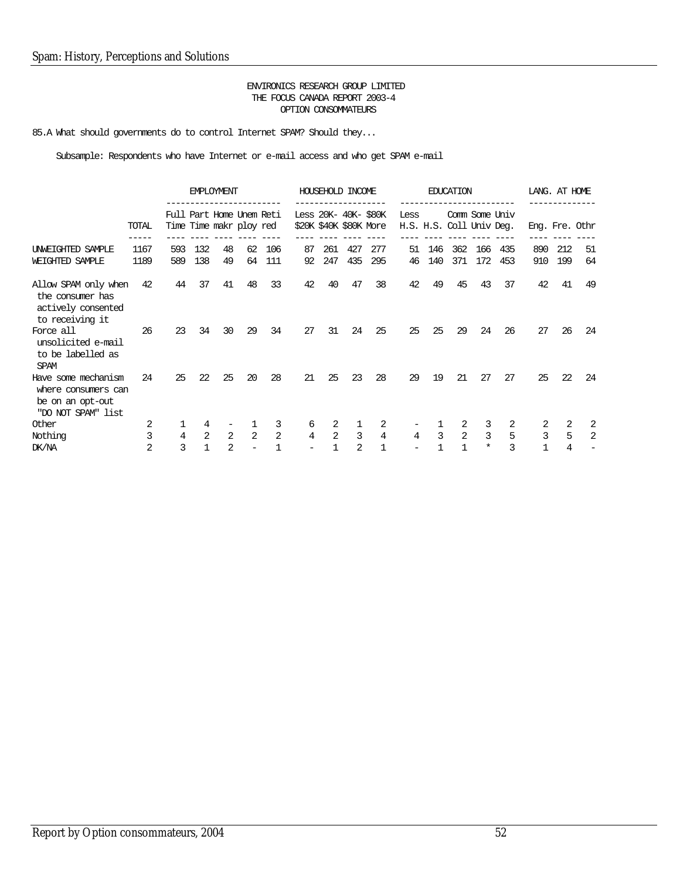85.A What should governments do to control Internet SPAM? Should they...

|                                                                                      |              |            | <b>EMPLOYMENT</b>                                   |                |          |                |                                                | HOUSEHOLD INCOME |                |            |                                  |            | <b>EDUCATION</b> |            |            | LANG. AT HOME |            |                |
|--------------------------------------------------------------------------------------|--------------|------------|-----------------------------------------------------|----------------|----------|----------------|------------------------------------------------|------------------|----------------|------------|----------------------------------|------------|------------------|------------|------------|---------------|------------|----------------|
|                                                                                      | TOTAL        |            | Full Part Home Unem Reti<br>Time Time makr ploy red |                |          |                | Less 20K- 40K- \$80K<br>\$20K \$40K \$80K More |                  |                |            | Less<br>H.S. H.S. Coll Univ Deg. |            | Comm Some Univ   |            |            |               |            | Eng. Fre. Othr |
| UNWEIGHTED SAMPLE<br>WEIGHTED SAMPLE                                                 | 1167<br>1189 | 593<br>589 | 132<br>138                                          | 48<br>49       | 62<br>64 | 106<br>111     | 87<br>92                                       | 261<br>247       | 427<br>435     | 277<br>295 | 51<br>46                         | 146<br>140 | 362<br>371       | 166<br>172 | 435<br>453 | 890<br>910    | 212<br>199 | 51<br>64       |
| Allow SPAM only when<br>the consumer has<br>actively consented<br>to receiving it    | 42           | 44         | 37                                                  | 41             | 48       | 33             | 42                                             | 40               | 47             | 38         | 42                               | 49         | 45               | 43         | 37         | 42            | 41         | 49             |
| Force all<br>unsolicited e-mail<br>to be labelled as<br><b>SPAM</b>                  | 26           | 23         | 34                                                  | 30             | 29       | 34             | 27                                             | 31               | 24             | 25         | 25                               | 25         | 29               | 24         | 26         | 27            | 26         | 24             |
| Have some mechanism<br>where consumers can<br>be on an opt-out<br>"DO NOT SPAM" list | 24           | 25         | 22                                                  | 25             | 20       | 28             | 21                                             | 25               | 23             | 28         | 29                               | 19         | 21               | 27         | 27         | 25            | 22         | 24             |
| Other                                                                                |              |            |                                                     |                |          | 3              | 6                                              | 2                |                | 2          |                                  |            |                  | 3          |            |               | 2          | 2              |
| Nothing                                                                              | 3            | 4          | $\overline{2}$                                      | 2              | 2        | $\overline{a}$ | 4                                              | 2                | 3              | 4          | 4                                | 3          | 2                | 3          | 5          | 3             | 5          | 2              |
| DK/NA                                                                                | 2            | ζ          |                                                     | $\overline{2}$ |          |                |                                                |                  | $\mathfrak{D}$ | 1          |                                  |            |                  | $\ast$     | ζ          |               | 4          |                |